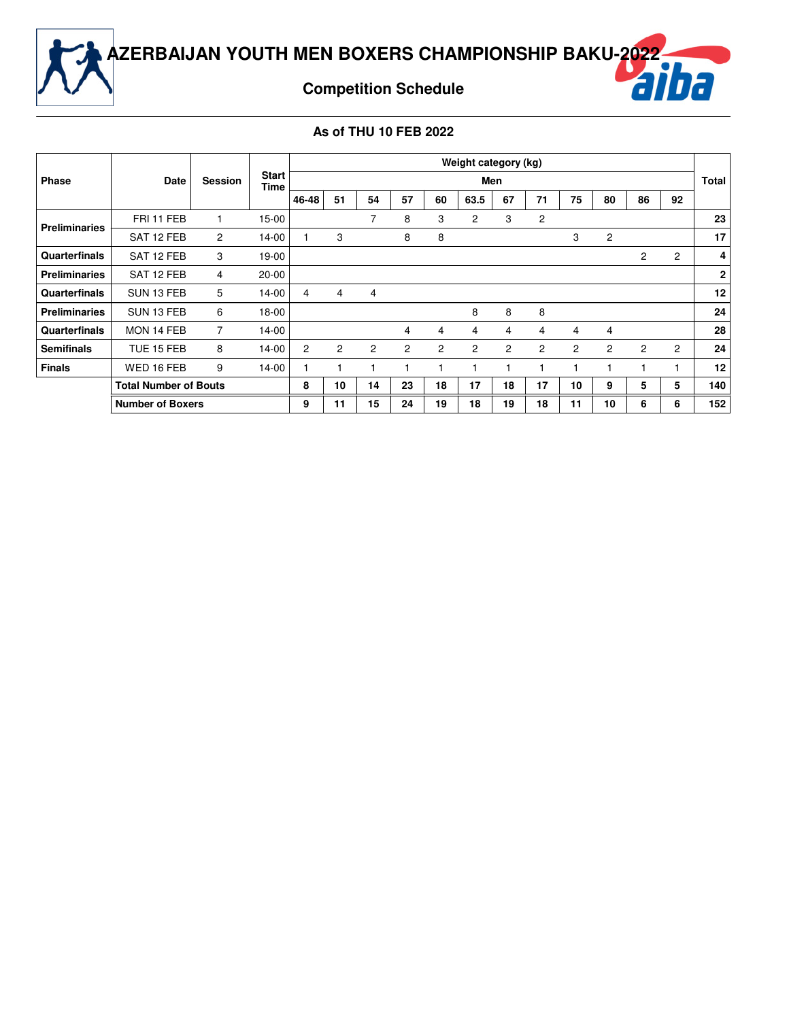

### **Competition Schedule**

#### **As of THU 10 FEB 2022**

|                      |                              |                |                      |       |                |    |                |    | Weight category (kg) |                |                |                       |                |    |                |              |
|----------------------|------------------------------|----------------|----------------------|-------|----------------|----|----------------|----|----------------------|----------------|----------------|-----------------------|----------------|----|----------------|--------------|
| <b>Phase</b>         | Date                         | <b>Session</b> | <b>Start</b><br>Time |       |                |    |                |    |                      | Men            |                |                       |                |    |                | Total        |
|                      |                              |                |                      | 46-48 | 51             | 54 | 57             | 60 | 63.5                 | 67             | 71             | 75                    | 80             | 86 | 92             |              |
| <b>Preliminaries</b> | FRI 11 FEB                   |                | 15-00                |       |                | 7  | 8              | 3  | 2                    | 3              | $\overline{c}$ |                       |                |    |                | 23           |
|                      | SAT 12 FEB                   | $\overline{2}$ | 14-00                |       | 3              |    | 8              | 8  |                      |                |                | 3                     | $\overline{c}$ |    |                | 17           |
| Quarterfinals        | SAT 12 FEB                   | 3              | 19-00                |       |                |    |                |    |                      |                |                |                       |                | 2  | $\overline{2}$ | 4            |
| <b>Preliminaries</b> | SAT 12 FEB                   | 4              | $20 - 00$            |       |                |    |                |    |                      |                |                |                       |                |    |                | $\mathbf{2}$ |
| Quarterfinals        | SUN 13 FEB                   | 5              | 14-00                | 4     | 4              | 4  |                |    |                      |                |                |                       |                |    |                | 12           |
| <b>Preliminaries</b> | SUN 13 FEB                   | 6              | 18-00                |       |                |    |                |    | 8                    | 8              | 8              |                       |                |    |                | 24           |
| Quarterfinals        | MON 14 FEB                   | 7              | 14-00                |       |                |    | 4              | 4  | 4                    | 4              | 4              | 4                     | 4              |    |                | 28           |
| <b>Semifinals</b>    | TUE 15 FEB                   | 8              | 14-00                | 2     | $\overline{2}$ | 2  | $\overline{2}$ | 2  | $\overline{2}$       | $\overline{c}$ | 2              | $\mathbf{2}^{\prime}$ | $\overline{2}$ | 2  | $\overline{2}$ | 24           |
| <b>Finals</b>        | WED 16 FEB                   | 9              | 14-00                |       |                |    |                |    |                      |                |                |                       |                |    |                | 12           |
|                      | <b>Total Number of Bouts</b> |                |                      | 8     | 10             | 14 | 23             | 18 | 17                   | 18             | 17             | 10                    | 9              | 5  | 5              | 140          |
|                      | <b>Number of Boxers</b>      |                |                      | 9     | 11             | 15 | 24             | 19 | 18                   | 19             | 18             | 11                    | 10             | 6  | 6              | 152          |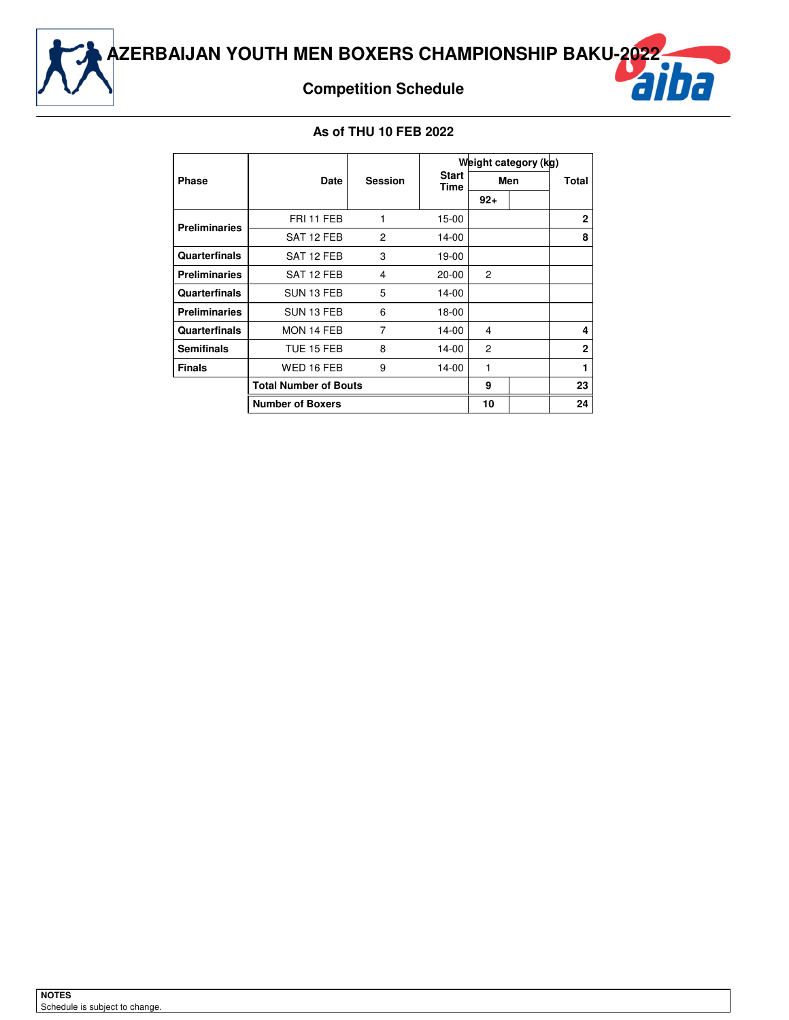

## **Competition Schedule**



#### **As of THU 10 FEB 2022**

|                      |                              |                |                      |        | Weight category (kg) |                |
|----------------------|------------------------------|----------------|----------------------|--------|----------------------|----------------|
| <b>Phase</b>         | <b>Date</b>                  | <b>Session</b> | <b>Start</b><br>Time |        | Men                  | Total          |
|                      |                              |                |                      | $92 +$ |                      |                |
| <b>Preliminaries</b> | FRI 11 FEB                   | 1              | $15-00$              |        |                      | $\mathbf{2}$   |
|                      | SAT 12 FEB                   | 2              | 14-00                |        |                      | 8              |
| <b>Quarterfinals</b> | SAT 12 FEB                   | 3              | 19-00                |        |                      |                |
| <b>Preliminaries</b> | SAT 12 FEB                   | 4              | 20-00                | 2      |                      |                |
| Quarterfinals        | SUN 13 FEB                   | 5              | 14-00                |        |                      |                |
| <b>Preliminaries</b> | SUN 13 FEB                   | 6              | 18-00                |        |                      |                |
| Quarterfinals        | MON 14 FEB                   | 7              | 14-00                | 4      |                      | 4              |
| <b>Semifinals</b>    | TUE 15 FEB                   | 8              | 14-00                | 2      |                      | $\overline{2}$ |
| <b>Finals</b>        | WED 16 FEB                   | 9              | 14-00                | 1      |                      |                |
|                      | <b>Total Number of Bouts</b> |                |                      | 9      |                      | 23             |
|                      | <b>Number of Boxers</b>      |                |                      | 10     |                      | 24             |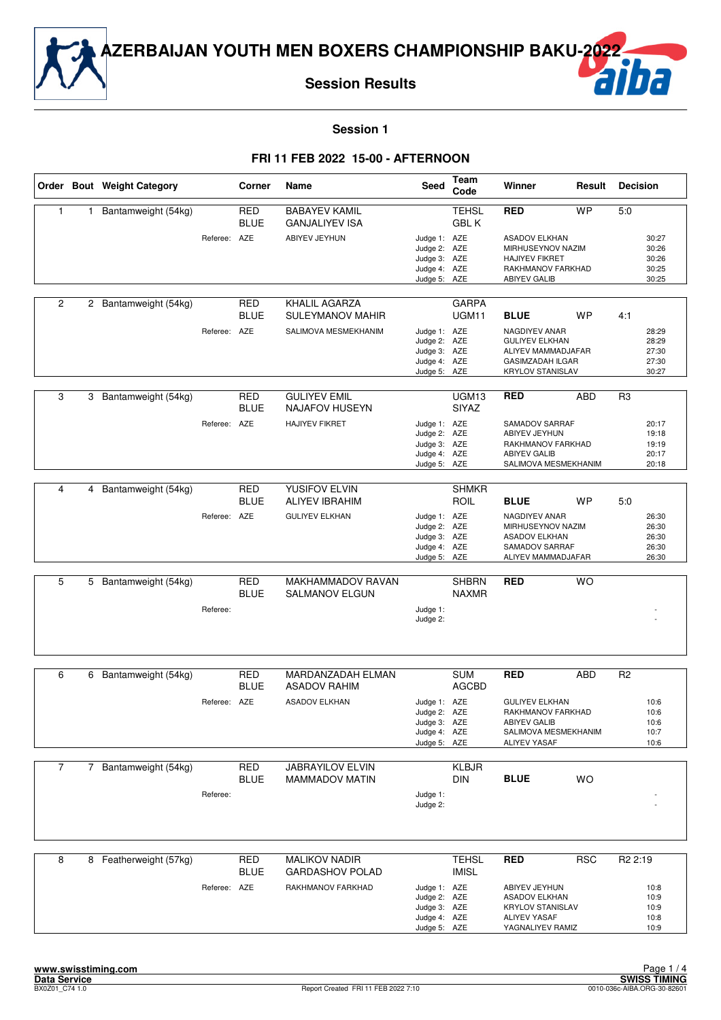

**Session Results**

## ha

**Session 1**

|                |              | Order Bout Weight Category |              | Corner                    | Name                                                             | Seed                                                                         | Team<br>Code                 | Winner                                                                                                           | Result     | <b>Decision</b>                           |
|----------------|--------------|----------------------------|--------------|---------------------------|------------------------------------------------------------------|------------------------------------------------------------------------------|------------------------------|------------------------------------------------------------------------------------------------------------------|------------|-------------------------------------------|
| 1              | 1            | Bantamweight (54kg)        |              | <b>RED</b><br><b>BLUE</b> | <b>BABAYEV KAMIL</b><br><b>GANJALIYEV ISA</b>                    |                                                                              | <b>TEHSL</b><br><b>GBL K</b> | <b>RED</b>                                                                                                       | <b>WP</b>  | 5:0                                       |
|                |              |                            | Referee: AZE |                           | ABIYEV JEYHUN                                                    | Judge 1: AZE<br>Judge 2: AZE<br>Judge 3: AZE<br>Judge 4: AZE<br>Judge 5: AZE |                              | <b>ASADOV ELKHAN</b><br>MIRHUSEYNOV NAZIM<br><b>HAJIYEV FIKRET</b><br>RAKHMANOV FARKHAD<br><b>ABIYEV GALIB</b>   |            | 30:27<br>30:26<br>30:26<br>30:25<br>30:25 |
| $\overline{2}$ |              | 2 Bantamweight (54kg)      | Referee: AZE | RED<br><b>BLUE</b>        | KHALIL AGARZA<br><b>SULEYMANOV MAHIR</b><br>SALIMOVA MESMEKHANIM | Judge 1: AZE<br>Judge 2: AZE                                                 | <b>GARPA</b><br>UGM11        | <b>BLUE</b><br>NAGDIYEV ANAR<br><b>GULIYEV ELKHAN</b>                                                            | <b>WP</b>  | 4:1<br>28:29<br>28:29                     |
|                |              |                            |              |                           |                                                                  | Judge 3: AZE<br>Judge 4: AZE<br>Judge 5: AZE                                 |                              | ALIYEV MAMMADJAFAR<br><b>GASIMZADAH ILGAR</b><br><b>KRYLOV STANISLAV</b>                                         |            | 27:30<br>27:30<br>30:27                   |
| 3              | 3            | Bantamweight (54kg)        |              | <b>RED</b><br><b>BLUE</b> | <b>GULIYEV EMIL</b><br><b>NAJAFOV HUSEYN</b>                     |                                                                              | UGM13<br><b>SIYAZ</b>        | <b>RED</b>                                                                                                       | <b>ABD</b> | R <sub>3</sub>                            |
|                |              |                            | Referee:     | <b>AZE</b>                | <b>HAJIYEV FIKRET</b>                                            | Judge 1: AZE<br>Judge 2: AZE<br>Judge 3: AZE<br>Judge 4: AZE<br>Judge 5: AZE |                              | SAMADOV SARRAF<br>ABIYEV JEYHUN<br>RAKHMANOV FARKHAD<br><b>ABIYEV GALIB</b><br>SALIMOVA MESMEKHANIM              |            | 20:17<br>19:18<br>19:19<br>20:17<br>20:18 |
| 4              | 4            | Bantamweight (54kg)        |              | <b>RED</b>                | YUSIFOV ELVIN                                                    |                                                                              | <b>SHMKR</b>                 |                                                                                                                  |            |                                           |
|                |              |                            |              | <b>BLUE</b>               | <b>ALIYEV IBRAHIM</b>                                            |                                                                              | <b>ROIL</b>                  | <b>BLUE</b>                                                                                                      | <b>WP</b>  | 5:0                                       |
|                |              |                            | Referee: AZE |                           | <b>GULIYEV ELKHAN</b>                                            | Judge 1: AZE<br>Judge 2: AZE<br>Judge 3: AZE<br>Judge 4: AZE<br>Judge 5: AZE |                              | NAGDIYEV ANAR<br>MIRHUSEYNOV NAZIM<br><b>ASADOV ELKHAN</b><br>SAMADOV SARRAF<br>ALIYEV MAMMADJAFAR               |            | 26:30<br>26:30<br>26:30<br>26:30<br>26:30 |
| 5              |              | 5 Bantamweight (54kg)      |              | <b>RED</b>                | MAKHAMMADOV RAVAN                                                |                                                                              | <b>SHBRN</b>                 | <b>RED</b>                                                                                                       | <b>WO</b>  |                                           |
|                |              |                            | Referee:     | <b>BLUE</b>               | <b>SALMANOV ELGUN</b>                                            | Judge 1:<br>Judge 2:                                                         | <b>NAXMR</b>                 |                                                                                                                  |            |                                           |
|                |              |                            |              |                           |                                                                  |                                                                              |                              |                                                                                                                  |            |                                           |
| 6              | 6            | Bantamweight (54kg)        |              | <b>RED</b><br><b>BLUE</b> | MARDANZADAH ELMAN<br><b>ASADOV RAHIM</b>                         |                                                                              | <b>SUM</b><br><b>AGCBD</b>   | <b>RED</b>                                                                                                       | <b>ABD</b> | R <sub>2</sub>                            |
|                |              |                            | Referee: AZE |                           | <b>ASADOV ELKHAN</b>                                             | Judge 1: AZE<br>Judge 2: AZE<br>Judge 3: AZE<br>Judge 4: AZE<br>Judge 5: AZE |                              | <b>GULIYEV ELKHAN</b><br>RAKHMANOV FARKHAD<br><b>ABIYEV GALIB</b><br>SALIMOVA MESMEKHANIM<br><b>ALIYEV YASAF</b> |            | 10:6<br>10:6<br>10:6<br>10:7<br>10:6      |
| $\overline{7}$ | $\mathbf{7}$ | Bantamweight (54kg)        |              | RED<br><b>BLUE</b>        | JABRAYILOV ELVIN<br><b>MAMMADOV MATIN</b>                        |                                                                              | KLBJR<br><b>DIN</b>          | <b>BLUE</b>                                                                                                      | <b>WO</b>  |                                           |
|                |              |                            | Referee:     |                           |                                                                  | Judge 1:<br>Judge 2:                                                         |                              |                                                                                                                  |            |                                           |
| 8              |              | 8 Featherweight (57kg)     |              | <b>RED</b>                | <b>MALIKOV NADIR</b>                                             |                                                                              | <b>TEHSL</b>                 | <b>RED</b>                                                                                                       | <b>RSC</b> | R <sub>2</sub> 2:19                       |
|                |              |                            |              | <b>BLUE</b>               | <b>GARDASHOV POLAD</b>                                           |                                                                              | <b>IMISL</b>                 |                                                                                                                  |            |                                           |
|                |              |                            | Referee: AZE |                           | RAKHMANOV FARKHAD                                                | Judge 1: AZE<br>Judge 2: AZE<br>Judge 3: AZE<br>Judge 4: AZE<br>Judge 5: AZE |                              | ABIYEV JEYHUN<br><b>ASADOV ELKHAN</b><br><b>KRYLOV STANISLAV</b><br><b>ALIYEV YASAF</b><br>YAGNALIYEV RAMIZ      |            | 10:8<br>10:9<br>10:9<br>10:8<br>10:9      |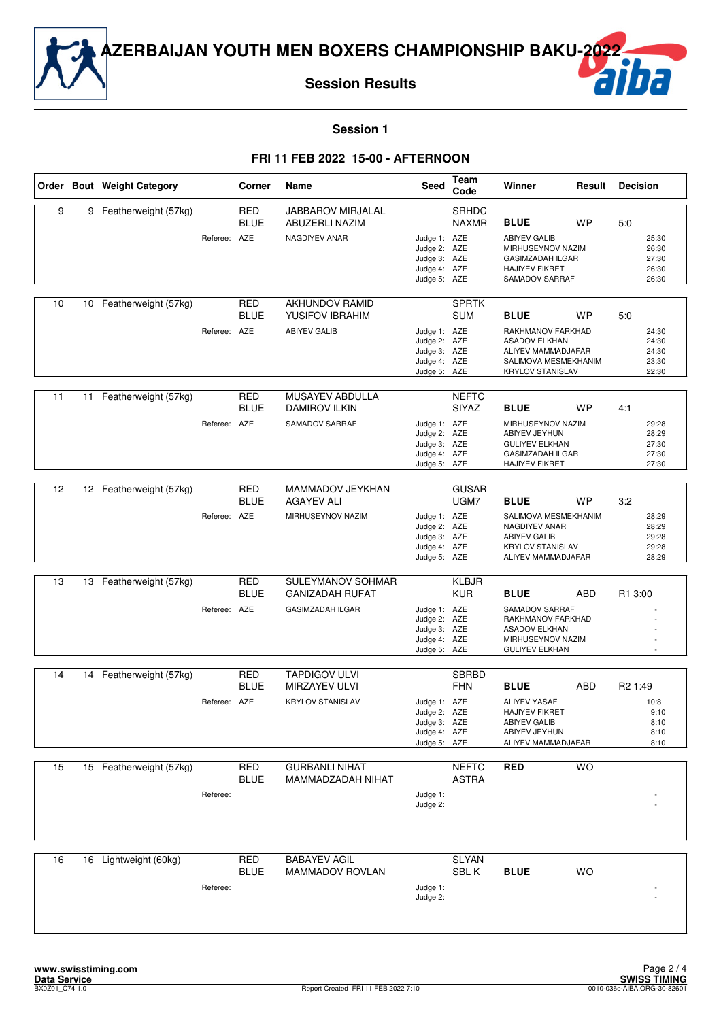

**Session Results**

## ha

**Session 1**

|    |    | Order Bout Weight Category |              | Corner                    | Name                                                                   | Seed                                                                         | Team<br>Code                 | Winner                                                                                                                            | Result    | <b>Decision</b>                                             |
|----|----|----------------------------|--------------|---------------------------|------------------------------------------------------------------------|------------------------------------------------------------------------------|------------------------------|-----------------------------------------------------------------------------------------------------------------------------------|-----------|-------------------------------------------------------------|
| 9  | 9  | Featherweight (57kg)       | Referee: AZE | <b>RED</b><br><b>BLUE</b> | <b>JABBAROV MIRJALAL</b><br>ABUZERLI NAZIM<br>NAGDIYEV ANAR            | Judge 1: AZE<br>Judge 2: AZE<br>Judge 3: AZE<br>Judge 4: AZE<br>Judge 5: AZE | SRHDC<br><b>NAXMR</b>        | <b>BLUE</b><br><b>ABIYEV GALIB</b><br>MIRHUSEYNOV NAZIM<br><b>GASIMZADAH ILGAR</b><br><b>HAJIYEV FIKRET</b><br>SAMADOV SARRAF     | <b>WP</b> | 5:0<br>25:30<br>26:30<br>27:30<br>26:30<br>26:30            |
| 10 |    | 10 Featherweight (57kg)    | Referee: AZE | <b>RED</b><br>BLUE        | <b>AKHUNDOV RAMID</b><br>YUSIFOV IBRAHIM<br><b>ABIYEV GALIB</b>        | Judge 1: AZE<br>Judge 2: AZE<br>Judge 3: AZE<br>Judge 4: AZE<br>Judge 5: AZE | <b>SPRTK</b><br><b>SUM</b>   | <b>BLUE</b><br>RAKHMANOV FARKHAD<br><b>ASADOV ELKHAN</b><br>ALIYEV MAMMADJAFAR<br>SALIMOVA MESMEKHANIM<br><b>KRYLOV STANISLAV</b> | <b>WP</b> | 5:0<br>24:30<br>24:30<br>24:30<br>23:30<br>22:30            |
| 11 | 11 | Featherweight (57kg)       | Referee: AZE | RED<br><b>BLUE</b>        | MUSAYEV ABDULLA<br><b>DAMIROV ILKIN</b><br>SAMADOV SARRAF              | Judge 1: AZE<br>Judge 2: AZE<br>Judge 3: AZE<br>Judge 4: AZE<br>Judge 5: AZE | <b>NEFTC</b><br><b>SIYAZ</b> | <b>BLUE</b><br>MIRHUSEYNOV NAZIM<br>ABIYEV JEYHUN<br><b>GULIYEV ELKHAN</b><br><b>GASIMZADAH ILGAR</b><br><b>HAJIYEV FIKRET</b>    | <b>WP</b> | 4:1<br>29:28<br>28:29<br>27:30<br>27:30<br>27:30            |
| 12 | 12 | Featherweight (57kg)       | Referee: AZE | <b>RED</b><br><b>BLUE</b> | MAMMADOV JEYKHAN<br><b>AGAYEV ALI</b><br>MIRHUSEYNOV NAZIM             | Judge 1: AZE<br>Judge 2: AZE<br>Judge 3: AZE<br>Judge 4: AZE<br>Judge 5: AZE | <b>GUSAR</b><br>UGM7         | <b>BLUE</b><br>SALIMOVA MESMEKHANIM<br>NAGDIYEV ANAR<br><b>ABIYEV GALIB</b><br><b>KRYLOV STANISLAV</b><br>ALIYEV MAMMADJAFAR      | WP        | 3:2<br>28:29<br>28:29<br>29:28<br>29:28<br>28:29            |
| 13 | 13 | Featherweight (57kg)       | Referee: AZE | <b>RED</b><br><b>BLUE</b> | SULEYMANOV SOHMAR<br><b>GANIZADAH RUFAT</b><br><b>GASIMZADAH ILGAR</b> | Judge 1: AZE<br>Judge 2: AZE<br>Judge 3: AZE<br>Judge 4: AZE<br>Judge 5: AZE | <b>KLBJR</b><br><b>KUR</b>   | <b>BLUE</b><br>SAMADOV SARRAF<br>RAKHMANOV FARKHAD<br><b>ASADOV ELKHAN</b><br>MIRHUSEYNOV NAZIM<br><b>GULIYEV ELKHAN</b>          | ABD       | R1 3:00                                                     |
| 14 |    | 14 Featherweight (57kg)    | Referee: AZE | RED<br><b>BLUE</b>        | <b>TAPDIGOV ULVI</b><br>MIRZAYEV ULVI<br><b>KRYLOV STANISLAV</b>       | Judge 1: AZE<br>Judge 2: AZE<br>Judge 3: AZE<br>Judge 4: AZE<br>Judge 5: AZE | <b>SBRBD</b><br><b>FHN</b>   | <b>BLUE</b><br><b>ALIYEV YASAF</b><br>HAJIYEV FIKRET<br><b>ABIYEV GALIB</b><br>ABIYEV JEYHUN<br>ALIYEV MAMMADJAFAR                | ABD       | R <sub>2</sub> 1:49<br>10:8<br>9:10<br>8:10<br>8:10<br>8:10 |
| 15 |    | 15 Featherweight (57kg)    | Referee:     | RED<br><b>BLUE</b>        | <b>GURBANLI NIHAT</b><br>MAMMADZADAH NIHAT                             | Judge 1:<br>Judge 2:                                                         | <b>NEFTC</b><br><b>ASTRA</b> | <b>RED</b>                                                                                                                        | <b>WO</b> |                                                             |
| 16 |    | 16 Lightweight (60kg)      | Referee:     | <b>RED</b><br><b>BLUE</b> | <b>BABAYEV AGIL</b><br>MAMMADOV ROVLAN                                 | Judge 1:<br>Judge 2:                                                         | <b>SLYAN</b><br>SBL K        | <b>BLUE</b>                                                                                                                       | <b>WO</b> |                                                             |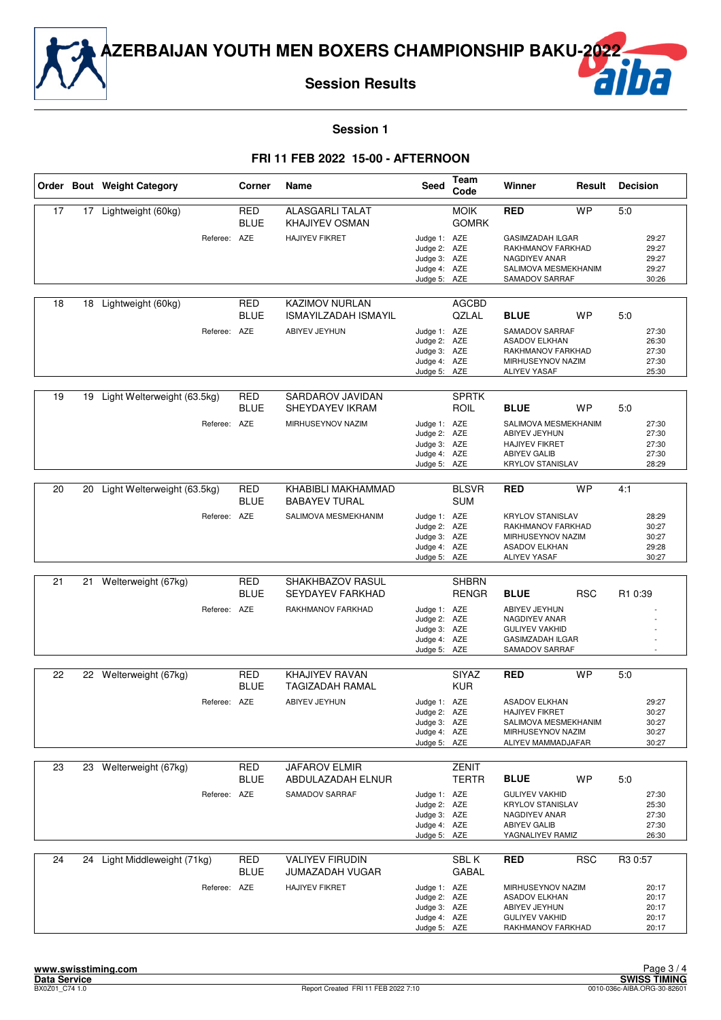

**Session Results**

## ha

**Session 1**

|    |    | Order Bout Weight Category   | Corner                    | Name                                                 | Seed                                                                         | Team<br>Code                 | Winner                                                                                                           | Result     | <b>Decision</b>                           |
|----|----|------------------------------|---------------------------|------------------------------------------------------|------------------------------------------------------------------------------|------------------------------|------------------------------------------------------------------------------------------------------------------|------------|-------------------------------------------|
| 17 | 17 | Lightweight (60kg)           | <b>RED</b><br><b>BLUE</b> | <b>ALASGARLI TALAT</b><br>KHAJIYEV OSMAN             |                                                                              | <b>MOIK</b><br><b>GOMRK</b>  | <b>RED</b>                                                                                                       | <b>WP</b>  | 5:0                                       |
|    |    | Referee: AZE                 |                           | <b>HAJIYEV FIKRET</b>                                | Judge 1: AZE<br>Judge 2: AZE<br>Judge 3: AZE<br>Judge 4: AZE<br>Judge 5: AZE |                              | <b>GASIMZADAH ILGAR</b><br>RAKHMANOV FARKHAD<br><b>NAGDIYEV ANAR</b><br>SALIMOVA MESMEKHANIM<br>SAMADOV SARRAF   |            | 29:27<br>29:27<br>29:27<br>29:27<br>30:26 |
| 18 | 18 | Lightweight (60kg)           | RED<br><b>BLUE</b>        | <b>KAZIMOV NURLAN</b><br><b>ISMAYILZADAH ISMAYIL</b> |                                                                              | <b>AGCBD</b><br><b>QZLAL</b> | <b>BLUE</b>                                                                                                      | <b>WP</b>  | 5:0                                       |
|    |    | Referee: AZE                 |                           | ABIYEV JEYHUN                                        | Judge 1: AZE<br>Judge 2: AZE<br>Judge 3: AZE<br>Judge 4: AZE<br>Judge 5: AZE |                              | SAMADOV SARRAF<br><b>ASADOV ELKHAN</b><br>RAKHMANOV FARKHAD<br>MIRHUSEYNOV NAZIM<br><b>ALIYEV YASAF</b>          |            | 27:30<br>26:30<br>27:30<br>27:30<br>25:30 |
|    |    |                              |                           |                                                      |                                                                              |                              |                                                                                                                  |            |                                           |
| 19 | 19 | Light Welterweight (63.5kg)  | <b>RED</b><br><b>BLUE</b> | <b>SARDAROV JAVIDAN</b><br>SHEYDAYEV IKRAM           |                                                                              | <b>SPRTK</b><br>ROIL         | <b>BLUE</b>                                                                                                      | <b>WP</b>  | 5.0                                       |
|    |    | Referee: AZE                 |                           | MIRHUSEYNOV NAZIM                                    | Judge 1: AZE<br>Judge 2: AZE<br>Judge 3: AZE<br>Judge 4: AZE<br>Judge 5:     | AZE                          | SALIMOVA MESMEKHANIM<br>ABIYEV JEYHUN<br><b>HAJIYEV FIKRET</b><br><b>ABIYEV GALIB</b><br><b>KRYLOV STANISLAV</b> |            | 27:30<br>27:30<br>27:30<br>27:30<br>28:29 |
|    |    |                              |                           |                                                      |                                                                              |                              |                                                                                                                  |            |                                           |
| 20 | 20 | Light Welterweight (63.5kg)  | RED<br><b>BLUE</b>        | KHABIBLI MAKHAMMAD<br><b>BABAYEV TURAL</b>           |                                                                              | <b>BLSVR</b><br><b>SUM</b>   | <b>RED</b>                                                                                                       | <b>WP</b>  | 4:1                                       |
|    |    | Referee: AZE                 |                           | SALIMOVA MESMEKHANIM                                 | Judge 1: AZE<br>Judge 2: AZE<br>Judge 3: AZE<br>Judge 4: AZE<br>Judge 5: AZE |                              | <b>KRYLOV STANISLAV</b><br>RAKHMANOV FARKHAD<br>MIRHUSEYNOV NAZIM<br><b>ASADOV ELKHAN</b><br><b>ALIYEV YASAF</b> |            | 28:29<br>30:27<br>30:27<br>29:28<br>30:27 |
|    |    |                              |                           |                                                      |                                                                              |                              |                                                                                                                  |            |                                           |
| 21 | 21 | Welterweight (67kg)          | <b>RED</b><br><b>BLUE</b> | SHAKHBAZOV RASUL<br>SEYDAYEV FARKHAD                 |                                                                              | <b>SHBRN</b><br><b>RENGR</b> | <b>BLUE</b>                                                                                                      | <b>RSC</b> | R1 0:39                                   |
|    |    | Referee: AZE                 |                           | RAKHMANOV FARKHAD                                    | Judge 1: AZE<br>Judge 2: AZE<br>Judge 3: AZE<br>Judge 4: AZE<br>Judge 5: AZE |                              | ABIYEV JEYHUN<br>NAGDIYEV ANAR<br><b>GULIYEV VAKHID</b><br><b>GASIMZADAH ILGAR</b><br>SAMADOV SARRAF             |            |                                           |
| 22 |    | 22 Welterweight (67kg)       | <b>RED</b>                | <b>KHAJIYEV RAVAN</b>                                |                                                                              | <b>SIYAZ</b>                 | <b>RED</b>                                                                                                       | <b>WP</b>  | 5:0                                       |
|    |    |                              | <b>BLUE</b>               | TAGIZADAH RAMAL                                      |                                                                              | <b>KUR</b>                   |                                                                                                                  |            |                                           |
|    |    | Referee: AZE                 |                           | ABIYEV JEYHUN                                        | Judge 1: AZE<br>Judge 2: AZE<br>Judge 3: AZE<br>Judge 4: AZE<br>Judge 5: AZE |                              | <b>ASADOV ELKHAN</b><br><b>HAJIYEV FIKRET</b><br>SALIMOVA MESMEKHANIM<br>MIRHUSEYNOV NAZIM<br>ALIYEV MAMMADJAFAR |            | 29:27<br>30:27<br>30:27<br>30:27<br>30:27 |
| 23 | 23 | Welterweight (67kg)          | <b>RED</b><br>BLUE        | <b>JAFAROV ELMIR</b><br>ABDULAZADAH ELNUR            |                                                                              | <b>ZENIT</b><br><b>TERTR</b> | <b>BLUE</b>                                                                                                      | WP         | 5.0                                       |
|    |    | Referee: AZE                 |                           | SAMADOV SARRAF                                       | Judge 1: AZE<br>Judge 2: AZE<br>Judge 3: AZE<br>Judge 4: AZE<br>Judge 5: AZE |                              | <b>GULIYEV VAKHID</b><br><b>KRYLOV STANISLAV</b><br>NAGDIYEV ANAR<br><b>ABIYEV GALIB</b><br>YAGNALIYEV RAMIZ     |            | 27:30<br>25:30<br>27:30<br>27:30<br>26:30 |
| 24 |    | 24 Light Middleweight (71kg) | RED<br><b>BLUE</b>        | <b>VALIYEV FIRUDIN</b><br>JUMAZADAH VUGAR            |                                                                              | SBL K<br><b>GABAL</b>        | <b>RED</b>                                                                                                       | <b>RSC</b> | R3 0:57                                   |
|    |    | Referee: AZE                 |                           | <b>HAJIYEV FIKRET</b>                                | Judge 1: AZE<br>Judge 2: AZE<br>Judge 3: AZE<br>Judge 4: AZE<br>Judge 5: AZE |                              | MIRHUSEYNOV NAZIM<br><b>ASADOV ELKHAN</b><br>ABIYEV JEYHUN<br><b>GULIYEV VAKHID</b><br>RAKHMANOV FARKHAD         |            | 20:17<br>20:17<br>20:17<br>20:17<br>20:17 |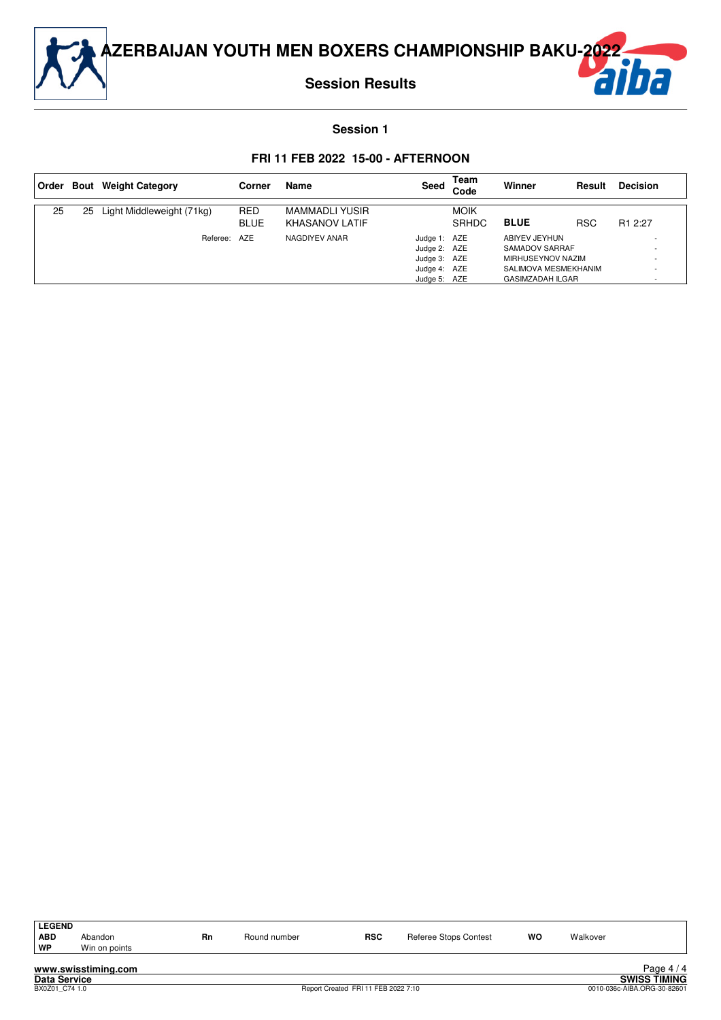

**Session Results**



#### **Session 1**

|    |    | Order Bout Weight Category | Corner                    | <b>Name</b>                                    | Seed                                                                         | Team<br>Code                | Winner                                                                                                  | Result     | <b>Decision</b>     |
|----|----|----------------------------|---------------------------|------------------------------------------------|------------------------------------------------------------------------------|-----------------------------|---------------------------------------------------------------------------------------------------------|------------|---------------------|
| 25 | 25 | Light Middleweight (71kg)  | <b>RED</b><br><b>BLUE</b> | <b>MAMMADLI YUSIR</b><br><b>KHASANOV LATIF</b> |                                                                              | <b>MOIK</b><br><b>SRHDC</b> | <b>BLUE</b>                                                                                             | <b>RSC</b> | R <sub>1</sub> 2:27 |
|    |    | Referee: AZE               |                           | NAGDIYEV ANAR                                  | Judge 1: AZE<br>Judge 2: AZE<br>Judge 3: AZE<br>Judge 4: AZE<br>Judge 5: AZE |                             | ABIYEV JEYHUN<br>SAMADOV SARRAF<br>MIRHUSEYNOV NAZIM<br>SALIMOVA MESMEKHANIM<br><b>GASIMZADAH ILGAR</b> |            |                     |

| <b>LEGEND</b> |                     |    |              |            |                       |    |          |            |
|---------------|---------------------|----|--------------|------------|-----------------------|----|----------|------------|
| <b>ABD</b>    | Abandon             | Rn | Round number | <b>RSC</b> | Referee Stops Contest | WO | Walkover |            |
| WP            | Win on points       |    |              |            |                       |    |          |            |
|               | www.swisstiming.com |    |              |            |                       |    |          | Page $4/4$ |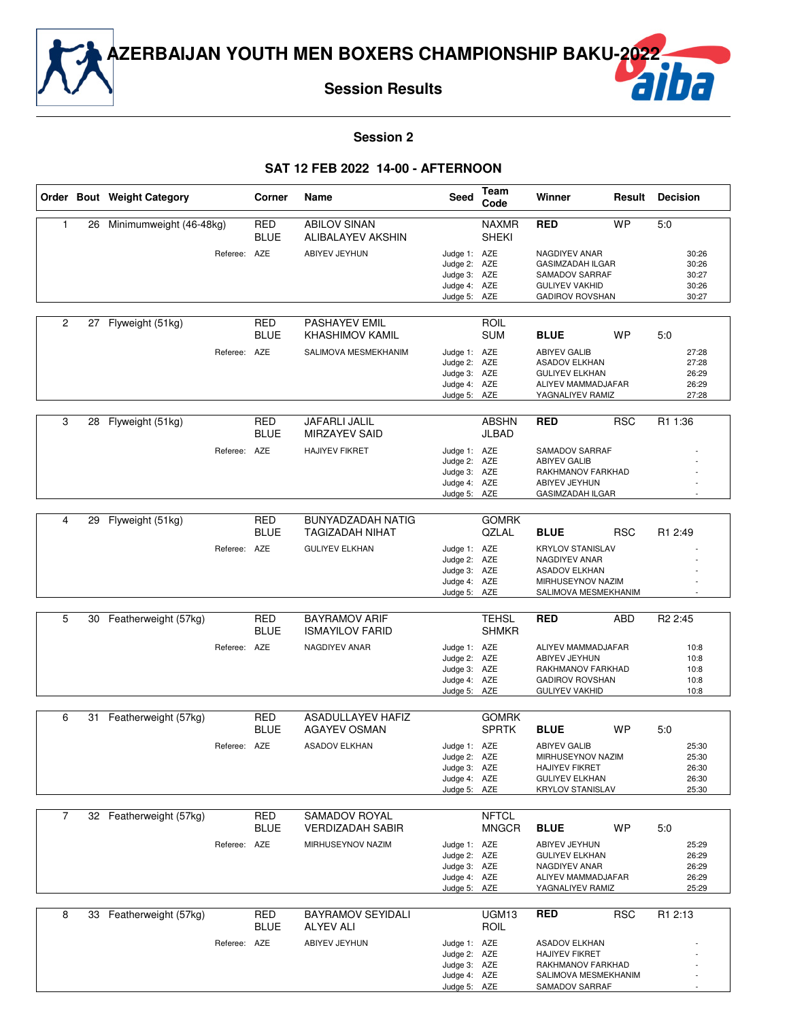

## **Session 2**

#### **SAT 12 FEB 2022 14-00 - AFTERNOON**

|              |    | Order Bout Weight Category |              | Corner                    | Name                                               | <b>Seed</b>                  | Team<br>Code                 | Winner                                          | Result     | <b>Decision</b>     |
|--------------|----|----------------------------|--------------|---------------------------|----------------------------------------------------|------------------------------|------------------------------|-------------------------------------------------|------------|---------------------|
| $\mathbf{1}$ | 26 | Minimumweight (46-48kg)    |              | <b>RED</b><br><b>BLUE</b> | <b>ABILOV SINAN</b><br>ALIBALAYEV AKSHIN           |                              | <b>NAXMR</b><br><b>SHEKI</b> | <b>RED</b>                                      | <b>WP</b>  | 5:0                 |
|              |    |                            | Referee: AZE |                           | <b>ABIYEV JEYHUN</b>                               | Judge 1: AZE                 |                              | NAGDIYEV ANAR                                   |            | 30:26               |
|              |    |                            |              |                           |                                                    | Judge 2: AZE                 |                              | <b>GASIMZADAH ILGAR</b>                         |            | 30:26               |
|              |    |                            |              |                           |                                                    | Judge 3: AZE                 |                              | SAMADOV SARRAF                                  |            | 30:27               |
|              |    |                            |              |                           |                                                    | Judge 4: AZE<br>Judge 5: AZE |                              | <b>GULIYEV VAKHID</b><br><b>GADIROV ROVSHAN</b> |            | 30:26<br>30:27      |
|              |    |                            |              |                           |                                                    |                              |                              |                                                 |            |                     |
| 2            |    | 27 Flyweight (51kg)        |              | <b>RED</b><br><b>BLUE</b> | <b>PASHAYEV EMIL</b><br><b>KHASHIMOV KAMIL</b>     |                              | <b>ROIL</b><br><b>SUM</b>    | <b>BLUE</b>                                     | <b>WP</b>  | 5:0                 |
|              |    |                            | Referee: AZE |                           | SALIMOVA MESMEKHANIM                               | Judge 1: AZE                 |                              | <b>ABIYEV GALIB</b>                             |            | 27:28               |
|              |    |                            |              |                           |                                                    | Judge 2: AZE                 |                              | <b>ASADOV ELKHAN</b>                            |            | 27:28               |
|              |    |                            |              |                           |                                                    | Judge 3: AZE<br>Judge 4: AZE |                              | <b>GULIYEV ELKHAN</b><br>ALIYEV MAMMADJAFAR     |            | 26:29<br>26:29      |
|              |    |                            |              |                           |                                                    | Judge 5: AZE                 |                              | YAGNALIYEV RAMIZ                                |            | 27:28               |
|              |    |                            |              |                           |                                                    |                              |                              |                                                 |            |                     |
| 3            | 28 | Flyweight (51kg)           |              | <b>RED</b><br><b>BLUE</b> | JAFARLI JALIL<br><b>MIRZAYEV SAID</b>              |                              | <b>ABSHN</b><br>JLBAD        | <b>RED</b>                                      | <b>RSC</b> | R1 1:36             |
|              |    |                            | Referee: AZE |                           | <b>HAJIYEV FIKRET</b>                              | Judge 1: AZE                 |                              | SAMADOV SARRAF                                  |            |                     |
|              |    |                            |              |                           |                                                    | Judge 2: AZE                 |                              | <b>ABIYEV GALIB</b>                             |            |                     |
|              |    |                            |              |                           |                                                    | Judge 3: AZE<br>Judge 4: AZE |                              | RAKHMANOV FARKHAD<br>ABIYEV JEYHUN              |            |                     |
|              |    |                            |              |                           |                                                    | Judge 5: AZE                 |                              | GASIMZADAH ILGAR                                |            |                     |
|              |    |                            |              |                           |                                                    |                              |                              |                                                 |            |                     |
| 4            | 29 | Flyweight (51kg)           |              | <b>RED</b><br><b>BLUE</b> | <b>BUNYADZADAH NATIG</b><br><b>TAGIZADAH NIHAT</b> |                              | <b>GOMRK</b><br><b>QZLAL</b> | <b>BLUE</b>                                     | <b>RSC</b> | R <sub>1</sub> 2:49 |
|              |    |                            | Referee: AZE |                           | <b>GULIYEV ELKHAN</b>                              | Judge 1: AZE                 |                              | <b>KRYLOV STANISLAV</b>                         |            |                     |
|              |    |                            |              |                           |                                                    | Judge 2: AZE                 |                              | NAGDIYEV ANAR                                   |            |                     |
|              |    |                            |              |                           |                                                    | Judge 3: AZE<br>Judge 4: AZE |                              | <b>ASADOV ELKHAN</b><br>MIRHUSEYNOV NAZIM       |            |                     |
|              |    |                            |              |                           |                                                    | Judge 5: AZE                 |                              | SALIMOVA MESMEKHANIM                            |            |                     |
|              |    |                            |              |                           |                                                    |                              |                              |                                                 |            |                     |
| 5            | 30 | Featherweight (57kg)       |              | <b>RED</b><br><b>BLUE</b> | <b>BAYRAMOV ARIF</b><br><b>ISMAYILOV FARID</b>     |                              | <b>TEHSL</b><br><b>SHMKR</b> | <b>RED</b>                                      | ABD        | R <sub>2</sub> 2:45 |
|              |    |                            | Referee: AZE |                           | NAGDIYEV ANAR                                      | Judge 1: AZE                 |                              | ALIYEV MAMMADJAFAR                              |            | 10:8                |
|              |    |                            |              |                           |                                                    | Judge 2: AZE                 |                              | ABIYEV JEYHUN                                   |            | 10:8                |
|              |    |                            |              |                           |                                                    | Judge 3: AZE<br>Judge 4: AZE |                              | RAKHMANOV FARKHAD<br><b>GADIROV ROVSHAN</b>     |            | 10:8<br>10:8        |
|              |    |                            |              |                           |                                                    | Judge 5: AZE                 |                              | <b>GULIYEV VAKHID</b>                           |            | 10:8                |
|              |    |                            |              |                           |                                                    |                              |                              |                                                 |            |                     |
| 6            | 31 | Featherweight (57kg)       |              | <b>RED</b>                | <b>ASADULLAYEV HAFIZ</b>                           |                              | <b>GOMRK</b>                 |                                                 |            |                     |
|              |    |                            |              | <b>BLUE</b>               | <b>AGAYEV OSMAN</b>                                |                              | <b>SPRTK</b>                 | <b>BLUE</b>                                     | <b>WP</b>  | 5:0                 |
|              |    |                            | Referee: AZE |                           | <b>ASADOV ELKHAN</b>                               | Judge 1: AZE                 |                              | <b>ABIYEV GALIB</b>                             |            | 25:30               |
|              |    |                            |              |                           |                                                    | Judge 2: AZE                 |                              | MIRHUSEYNOV NAZIM                               |            | 25:30               |
|              |    |                            |              |                           |                                                    | Judge 3: AZE<br>Judge 4: AZE |                              | <b>HAJIYEV FIKRET</b><br><b>GULIYEV ELKHAN</b>  |            | 26:30<br>26:30      |
|              |    |                            |              |                           |                                                    | Judge 5: AZE                 |                              | <b>KRYLOV STANISLAV</b>                         |            | 25:30               |
|              |    |                            |              |                           |                                                    |                              |                              |                                                 |            |                     |
| 7            |    | 32 Featherweight (57kg)    |              | <b>RED</b>                | SAMADOV ROYAL                                      |                              | <b>NFTCL</b>                 |                                                 |            |                     |
|              |    |                            |              | BLUE                      | <b>VERDIZADAH SABIR</b>                            |                              | <b>MNGCR</b>                 | <b>BLUE</b>                                     | WP         | 5.0                 |
|              |    |                            | Referee: AZE |                           | MIRHUSEYNOV NAZIM                                  | Judge 1: AZE                 |                              | ABIYEV JEYHUN                                   |            | 25:29               |
|              |    |                            |              |                           |                                                    | Judge 2: AZE<br>Judge 3: AZE |                              | <b>GULIYEV ELKHAN</b><br>NAGDIYEV ANAR          |            | 26:29<br>26:29      |
|              |    |                            |              |                           |                                                    | Judge 4: AZE                 |                              | ALIYEV MAMMADJAFAR                              |            | 26:29               |
|              |    |                            |              |                           |                                                    | Judge 5: AZE                 |                              | YAGNALIYEV RAMIZ                                |            | 25:29               |
|              |    |                            |              |                           |                                                    |                              |                              |                                                 |            |                     |
| 8            |    | 33 Featherweight (57kg)    |              | <b>RED</b>                | <b>BAYRAMOV SEYIDALI</b>                           |                              | UGM <sub>13</sub>            | RED                                             | <b>RSC</b> | R1 2:13             |
|              |    |                            |              | <b>BLUE</b>               | <b>ALYEV ALI</b>                                   |                              | ROIL                         |                                                 |            |                     |
|              |    |                            | Referee: AZE |                           | ABIYEV JEYHUN                                      | Judge 1: AZE                 |                              | <b>ASADOV ELKHAN</b>                            |            |                     |
|              |    |                            |              |                           |                                                    | Judge 2: AZE<br>Judge 3: AZE |                              | <b>HAJIYEV FIKRET</b><br>RAKHMANOV FARKHAD      |            |                     |
|              |    |                            |              |                           |                                                    | Judge 4: AZE                 |                              | SALIMOVA MESMEKHANIM                            |            |                     |
|              |    |                            |              |                           |                                                    | Judge 5: AZE                 |                              | SAMADOV SARRAF                                  |            |                     |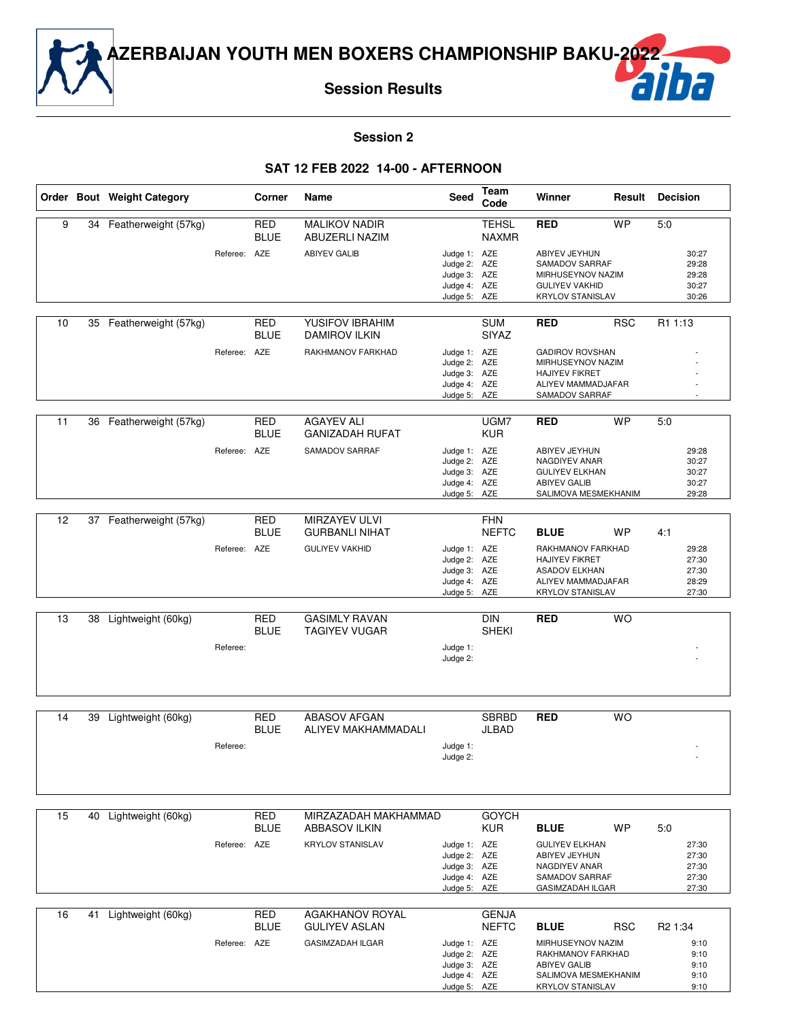

#### **Session 2**

#### **SAT 12 FEB 2022 14-00 - AFTERNOON**

|    |    | Order Bout Weight Category |              | Corner                    | Name                                   | Seed                         | Team<br>Code                 | Winner                                        | Result     | <b>Decision</b>     |
|----|----|----------------------------|--------------|---------------------------|----------------------------------------|------------------------------|------------------------------|-----------------------------------------------|------------|---------------------|
| 9  |    | 34 Featherweight (57kg)    |              | <b>RED</b><br><b>BLUE</b> | <b>MALIKOV NADIR</b><br>ABUZERLI NAZIM |                              | <b>TEHSL</b><br><b>NAXMR</b> | <b>RED</b>                                    | <b>WP</b>  | 5:0                 |
|    |    |                            | Referee: AZE |                           | <b>ABIYEV GALIB</b>                    | Judge 1: AZE                 |                              | ABIYEV JEYHUN                                 |            | 30:27               |
|    |    |                            |              |                           |                                        | Judge 2: AZE<br>Judge 3: AZE |                              | SAMADOV SARRAF<br>MIRHUSEYNOV NAZIM           |            | 29:28<br>29:28      |
|    |    |                            |              |                           |                                        | Judge 4: AZE                 |                              | <b>GULIYEV VAKHID</b>                         |            | 30:27               |
|    |    |                            |              |                           |                                        | Judge 5: AZE                 |                              | <b>KRYLOV STANISLAV</b>                       |            | 30:26               |
| 10 | 35 | Featherweight (57kg)       |              | <b>RED</b>                | YUSIFOV IBRAHIM                        |                              | <b>SUM</b>                   | <b>RED</b>                                    | <b>RSC</b> | R1 1:13             |
|    |    |                            |              | <b>BLUE</b>               | <b>DAMIROV ILKIN</b>                   |                              | <b>SIYAZ</b>                 |                                               |            |                     |
|    |    |                            | Referee: AZE |                           | RAKHMANOV FARKHAD                      | Judge 1: AZE<br>Judge 2: AZE |                              | <b>GADIROV ROVSHAN</b><br>MIRHUSEYNOV NAZIM   |            |                     |
|    |    |                            |              |                           |                                        | Judge 3: AZE                 |                              | <b>HAJIYEV FIKRET</b>                         |            |                     |
|    |    |                            |              |                           |                                        | Judge 4: AZE                 |                              | ALIYEV MAMMADJAFAR                            |            |                     |
|    |    |                            |              |                           |                                        | Judge 5: AZE                 |                              | SAMADOV SARRAF                                |            |                     |
| 11 |    | 36 Featherweight (57kg)    |              | <b>RED</b>                | <b>AGAYEV ALI</b>                      |                              | UGM7                         | <b>RED</b>                                    | <b>WP</b>  | 5:0                 |
|    |    |                            |              | <b>BLUE</b>               | <b>GANIZADAH RUFAT</b>                 |                              | <b>KUR</b>                   |                                               |            |                     |
|    |    |                            | Referee: AZE |                           | SAMADOV SARRAF                         | Judge 1: AZE                 |                              | ABIYEV JEYHUN<br>NAGDIYEV ANAR                |            | 29:28               |
|    |    |                            |              |                           |                                        | Judge 2: AZE<br>Judge 3: AZE |                              | <b>GULIYEV ELKHAN</b>                         |            | 30:27<br>30:27      |
|    |    |                            |              |                           |                                        | Judge 4: AZE                 |                              | <b>ABIYEV GALIB</b>                           |            | 30:27               |
|    |    |                            |              |                           |                                        | Judge 5: AZE                 |                              | SALIMOVA MESMEKHANIM                          |            | 29:28               |
| 12 |    | 37 Featherweight (57kg)    |              | <b>RED</b>                | MIRZAYEV ULVI                          |                              | <b>FHN</b>                   |                                               |            |                     |
|    |    |                            |              | <b>BLUE</b>               | <b>GURBANLI NIHAT</b>                  |                              | <b>NEFTC</b>                 | <b>BLUE</b>                                   | <b>WP</b>  | 4:1                 |
|    |    |                            | Referee: AZE |                           | <b>GULIYEV VAKHID</b>                  | Judge 1: AZE                 |                              | RAKHMANOV FARKHAD                             |            | 29:28               |
|    |    |                            |              |                           |                                        | Judge 2: AZE<br>Judge 3: AZE |                              | <b>HAJIYEV FIKRET</b><br><b>ASADOV ELKHAN</b> |            | 27:30<br>27:30      |
|    |    |                            |              |                           |                                        | Judge 4: AZE                 |                              | ALIYEV MAMMADJAFAR                            |            | 28:29               |
|    |    |                            |              |                           |                                        | Judge 5: AZE                 |                              | <b>KRYLOV STANISLAV</b>                       |            | 27:30               |
| 13 | 38 | Lightweight (60kg)         |              | <b>RED</b>                | <b>GASIMLY RAVAN</b>                   |                              | <b>DIN</b>                   | <b>RED</b>                                    | <b>WO</b>  |                     |
|    |    |                            |              | <b>BLUE</b>               | <b>TAGIYEV VUGAR</b>                   |                              | <b>SHEKI</b>                 |                                               |            |                     |
|    |    |                            | Referee:     |                           |                                        | Judge 1:                     |                              |                                               |            |                     |
|    |    |                            |              |                           |                                        | Judge 2:                     |                              |                                               |            |                     |
|    |    |                            |              |                           |                                        |                              |                              |                                               |            |                     |
|    |    |                            |              |                           |                                        |                              |                              |                                               |            |                     |
| 14 | 39 | Lightweight (60kg)         |              | <b>RED</b>                | <b>ABASOV AFGAN</b>                    |                              | <b>SBRBD</b>                 | <b>RED</b>                                    | <b>WO</b>  |                     |
|    |    |                            |              | <b>BLUE</b>               | ALIYEV MAKHAMMADALI                    |                              | JLBAD                        |                                               |            |                     |
|    |    |                            | Referee:     |                           |                                        | Judge 1:                     |                              |                                               |            |                     |
|    |    |                            |              |                           |                                        | Judge 2:                     |                              |                                               |            |                     |
|    |    |                            |              |                           |                                        |                              |                              |                                               |            |                     |
|    |    |                            |              |                           |                                        |                              |                              |                                               |            |                     |
| 15 | 40 | Lightweight (60kg)         |              | RED                       | MIRZAZADAH MAKHAMMAD                   |                              | <b>GOYCH</b>                 |                                               |            |                     |
|    |    |                            |              | <b>BLUE</b>               | <b>ABBASOV ILKIN</b>                   |                              | <b>KUR</b>                   | <b>BLUE</b>                                   | <b>WP</b>  | 5:0                 |
|    |    |                            | Referee: AZE |                           | <b>KRYLOV STANISLAV</b>                | Judge 1: AZE                 |                              | <b>GULIYEV ELKHAN</b>                         |            | 27:30               |
|    |    |                            |              |                           |                                        | Judge 2: AZE<br>Judge 3: AZE |                              | ABIYEV JEYHUN<br>NAGDIYEV ANAR                |            | 27:30<br>27:30      |
|    |    |                            |              |                           |                                        | Judge 4: AZE                 |                              | SAMADOV SARRAF                                |            | 27:30               |
|    |    |                            |              |                           |                                        | Judge 5: AZE                 |                              | <b>GASIMZADAH ILGAR</b>                       |            | 27:30               |
| 16 | 41 | Lightweight (60kg)         |              | RED                       | <b>AGAKHANOV ROYAL</b>                 |                              | <b>GENJA</b>                 |                                               |            |                     |
|    |    |                            |              | <b>BLUE</b>               | <b>GULIYEV ASLAN</b>                   |                              | <b>NEFTC</b>                 | <b>BLUE</b>                                   | <b>RSC</b> | R <sub>2</sub> 1:34 |
|    |    |                            | Referee: AZE |                           | <b>GASIMZADAH ILGAR</b>                | Judge 1: AZE                 |                              | MIRHUSEYNOV NAZIM                             |            | 9:10                |
|    |    |                            |              |                           |                                        | Judge 2: AZE                 |                              | RAKHMANOV FARKHAD                             |            | 9:10                |
|    |    |                            |              |                           |                                        | Judge 3: AZE                 |                              | <b>ABIYEV GALIB</b>                           |            | 9:10                |

Judge 4: AZE Judge 5: AZE SALIMOVA MESMEKHANIM KRYLOV STANISLAV

9:10 9:10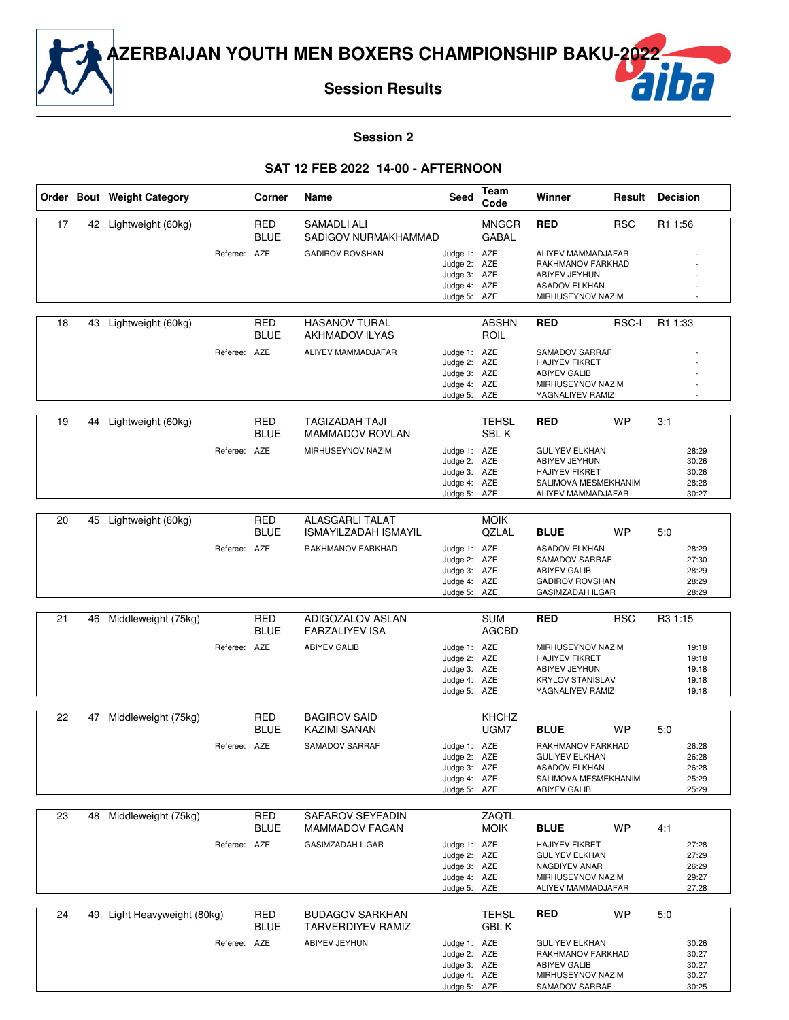

#### **Session 2**

#### **SAT 12 FEB 2022 14-00 - AFTERNOON**

|    |    | Order Bout Weight Category |              | Corner                    | Name                                               | Seed                         | Team<br>Code                 | Winner                                       | Result     | <b>Decision</b> |                |
|----|----|----------------------------|--------------|---------------------------|----------------------------------------------------|------------------------------|------------------------------|----------------------------------------------|------------|-----------------|----------------|
| 17 | 42 | Lightweight (60kg)         |              | <b>RED</b><br><b>BLUE</b> | <b>SAMADLI ALI</b><br>SADIGOV NURMAKHAMMAD         |                              | <b>MNGCR</b><br><b>GABAL</b> | <b>RED</b>                                   | <b>RSC</b> | R1 1:56         |                |
|    |    |                            | Referee:     | AZE                       | <b>GADIROV ROVSHAN</b>                             | Judge 1: AZE                 |                              | ALIYEV MAMMADJAFAR                           |            |                 |                |
|    |    |                            |              |                           |                                                    | Judge 2: AZE                 |                              | RAKHMANOV FARKHAD                            |            |                 |                |
|    |    |                            |              |                           |                                                    | Judge 3: AZE<br>Judge 4: AZE |                              | ABIYEV JEYHUN<br><b>ASADOV ELKHAN</b>        |            |                 |                |
|    |    |                            |              |                           |                                                    | Judge 5: AZE                 |                              | MIRHUSEYNOV NAZIM                            |            |                 |                |
|    |    |                            |              |                           | <b>HASANOV TURAL</b>                               |                              |                              |                                              |            |                 |                |
| 18 | 43 | Lightweight (60kg)         |              | <b>RED</b><br><b>BLUE</b> | <b>AKHMADOV ILYAS</b>                              |                              | <b>ABSHN</b><br>ROIL         | <b>RED</b>                                   | RSC-I      | R1 1:33         |                |
|    |    |                            | Referee: AZE |                           | ALIYEV MAMMADJAFAR                                 | Judge 1: AZE<br>Judge 2: AZE |                              | SAMADOV SARRAF<br><b>HAJIYEV FIKRET</b>      |            |                 |                |
|    |    |                            |              |                           |                                                    | Judge 3: AZE                 |                              | <b>ABIYEV GALIB</b>                          |            |                 |                |
|    |    |                            |              |                           |                                                    | Judge 4: AZE                 |                              | MIRHUSEYNOV NAZIM                            |            |                 |                |
|    |    |                            |              |                           |                                                    | Judge 5: AZE                 |                              | YAGNALIYEV RAMIZ                             |            |                 |                |
| 19 | 44 | Lightweight (60kg)         |              | <b>RED</b><br><b>BLUE</b> | TAGIZADAH TAJI<br><b>MAMMADOV ROVLAN</b>           |                              | <b>TEHSL</b><br>SBL K        | <b>RED</b>                                   | <b>WP</b>  | 3:1             |                |
|    |    |                            | Referee: AZE |                           | MIRHUSEYNOV NAZIM                                  | Judge 1: AZE                 |                              | <b>GULIYEV ELKHAN</b>                        |            |                 | 28:29          |
|    |    |                            |              |                           |                                                    | Judge 2: AZE                 |                              | ABIYEV JEYHUN                                |            |                 | 30:26          |
|    |    |                            |              |                           |                                                    | Judge 3: AZE                 |                              | <b>HAJIYEV FIKRET</b>                        |            |                 | 30:26          |
|    |    |                            |              |                           |                                                    | Judge 4: AZE<br>Judge 5: AZE |                              | SALIMOVA MESMEKHANIM<br>ALIYEV MAMMADJAFAR   |            |                 | 28:28<br>30:27 |
|    |    |                            |              |                           |                                                    |                              |                              |                                              |            |                 |                |
| 20 | 45 | Lightweight (60kg)         |              | <b>RED</b>                | <b>ALASGARLI TALAT</b>                             |                              | <b>MOIK</b>                  |                                              |            |                 |                |
|    |    |                            |              | <b>BLUE</b>               | <b>ISMAYILZADAH ISMAYIL</b>                        |                              | QZLAL                        | <b>BLUE</b>                                  | <b>WP</b>  | 5:0             |                |
|    |    |                            | Referee: AZE |                           | RAKHMANOV FARKHAD                                  | Judge 1: AZE<br>Judge 2: AZE |                              | <b>ASADOV ELKHAN</b><br>SAMADOV SARRAF       |            |                 | 28:29<br>27:30 |
|    |    |                            |              |                           |                                                    | Judge 3: AZE                 |                              | <b>ABIYEV GALIB</b>                          |            |                 | 28:29          |
|    |    |                            |              |                           |                                                    | Judge 4: AZE                 |                              | <b>GADIROV ROVSHAN</b>                       |            |                 | 28:29          |
|    |    |                            |              |                           |                                                    | Judge 5: AZE                 |                              | <b>GASIMZADAH ILGAR</b>                      |            |                 | 28:29          |
| 21 | 46 | Middleweight (75kg)        |              | RED                       | ADIGOZALOV ASLAN                                   |                              | <b>SUM</b>                   | <b>RED</b>                                   | <b>RSC</b> | R3 1:15         |                |
|    |    |                            |              | <b>BLUE</b>               | <b>FARZALIYEV ISA</b>                              |                              | <b>AGCBD</b>                 |                                              |            |                 |                |
|    |    |                            | Referee: AZE |                           | <b>ABIYEV GALIB</b>                                | Judge 1: AZE                 |                              | MIRHUSEYNOV NAZIM                            |            |                 | 19:18          |
|    |    |                            |              |                           |                                                    | Judge 2: AZE<br>Judge 3: AZE |                              | <b>HAJIYEV FIKRET</b><br>ABIYEV JEYHUN       |            |                 | 19:18<br>19:18 |
|    |    |                            |              |                           |                                                    | Judge 4: AZE                 |                              | <b>KRYLOV STANISLAV</b>                      |            |                 | 19:18          |
|    |    |                            |              |                           |                                                    | Judge 5: AZE                 |                              | YAGNALIYEV RAMIZ                             |            |                 | 19:18          |
| 22 | 47 | Middleweight (75kg)        |              | <b>RED</b>                | <b>BAGIROV SAID</b>                                |                              | <b>KHCHZ</b>                 |                                              |            |                 |                |
|    |    |                            |              | <b>BLUE</b>               | KAZIMI SANAN                                       |                              | UGM7                         | <b>BLUE</b>                                  | WP         | 5:0             |                |
|    |    |                            | Referee: AZE |                           | SAMADOV SARRAF                                     | Judge 1: AZE                 |                              | RAKHMANOV FARKHAD                            |            |                 | 26:28          |
|    |    |                            |              |                           |                                                    | Judge 2: AZE                 |                              | <b>GULIYEV ELKHAN</b>                        |            |                 | 26:28          |
|    |    |                            |              |                           |                                                    | Judge 3: AZE<br>Judge 4: AZE |                              | <b>ASADOV ELKHAN</b><br>SALIMOVA MESMEKHANIM |            |                 | 26:28<br>25:29 |
|    |    |                            |              |                           |                                                    | Judge 5: AZE                 |                              | <b>ABIYEV GALIB</b>                          |            |                 | 25:29          |
|    |    |                            |              |                           |                                                    |                              |                              |                                              |            |                 |                |
| 23 | 48 | Middleweight (75kg)        |              | <b>RED</b><br>BLUE        | SAFAROV SEYFADIN<br><b>MAMMADOV FAGAN</b>          |                              | ZAQTL<br><b>MOIK</b>         | <b>BLUE</b>                                  | WP         | 4:1             |                |
|    |    |                            | Referee: AZE |                           | <b>GASIMZADAH ILGAR</b>                            | Judge 1: AZE                 |                              | <b>HAJIYEV FIKRET</b>                        |            |                 | 27:28          |
|    |    |                            |              |                           |                                                    | Judge 2: AZE                 |                              | <b>GULIYEV ELKHAN</b>                        |            |                 | 27:29          |
|    |    |                            |              |                           |                                                    | Judge 3: AZE                 |                              | <b>NAGDIYEV ANAR</b>                         |            |                 | 26:29          |
|    |    |                            |              |                           |                                                    | Judge 4: AZE<br>Judge 5: AZE |                              | MIRHUSEYNOV NAZIM<br>ALIYEV MAMMADJAFAR      |            |                 | 29:27<br>27:28 |
|    |    |                            |              |                           |                                                    |                              |                              |                                              |            |                 |                |
| 24 | 49 | Light Heavyweight (80kg)   |              | <b>RED</b><br><b>BLUE</b> | <b>BUDAGOV SARKHAN</b><br><b>TARVERDIYEV RAMIZ</b> |                              | <b>TEHSL</b><br><b>GBLK</b>  | <b>RED</b>                                   | <b>WP</b>  | 5:0             |                |
|    |    |                            | Referee: AZE |                           | ABIYEV JEYHUN                                      | Judge 1: AZE                 |                              | <b>GULIYEV ELKHAN</b>                        |            |                 | 30:26          |
|    |    |                            |              |                           |                                                    | Judge 2: AZE                 |                              | RAKHMANOV FARKHAD                            |            |                 | 30:27          |
|    |    |                            |              |                           |                                                    | Judge 3: AZE<br>Judge 4: AZE |                              | <b>ABIYEV GALIB</b><br>MIRHUSEYNOV NAZIM     |            |                 | 30:27<br>30:27 |
|    |    |                            |              |                           |                                                    | Judge 5: AZE                 |                              | SAMADOV SARRAF                               |            |                 | 30:25          |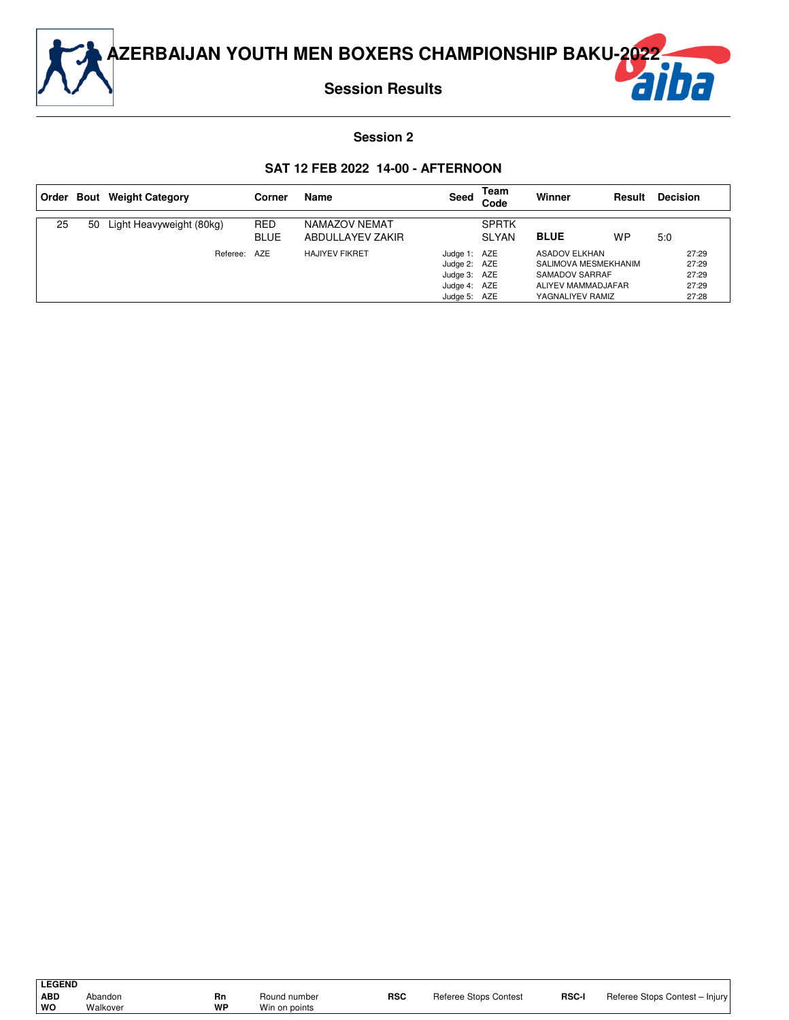

## **Session 2**

#### **SAT 12 FEB 2022 14-00 - AFTERNOON**

|    |    | Order Bout Weight Category | Corner                    | Name                              | Seed                                                                         | Team<br>Code                 | Winner                                                                                                   | Result    | <b>Decision</b>                           |
|----|----|----------------------------|---------------------------|-----------------------------------|------------------------------------------------------------------------------|------------------------------|----------------------------------------------------------------------------------------------------------|-----------|-------------------------------------------|
| 25 | 50 | Light Heavyweight (80kg)   | <b>RED</b><br><b>BLUE</b> | NAMAZOV NEMAT<br>ABDULLAYEV ZAKIR |                                                                              | <b>SPRTK</b><br><b>SLYAN</b> | <b>BLUE</b>                                                                                              | <b>WP</b> | 5:0                                       |
|    |    | Referee: AZE               |                           | <b>HAJIYEV FIKRET</b>             | Judge 1: AZE<br>Judge 2: AZE<br>Judge 3: AZE<br>Judge 4: AZE<br>Judge 5: AZE |                              | <b>ASADOV ELKHAN</b><br>SALIMOVA MESMEKHANIM<br>SAMADOV SARRAF<br>ALIYEV MAMMADJAFAR<br>YAGNALIYEV RAMIZ |           | 27:29<br>27:29<br>27:29<br>27:29<br>27:28 |

| <b>LEGEND</b> |          |    |               |            |                              |       |                                |
|---------------|----------|----|---------------|------------|------------------------------|-------|--------------------------------|
| ABD           | Abandon  | Rn | Round number  | <b>RSC</b> | <b>Referee Stops Contest</b> | RSC-I | Referee Stops Contest - Injury |
| ∣ wo          | Walkover | WP | Win on points |            |                              |       |                                |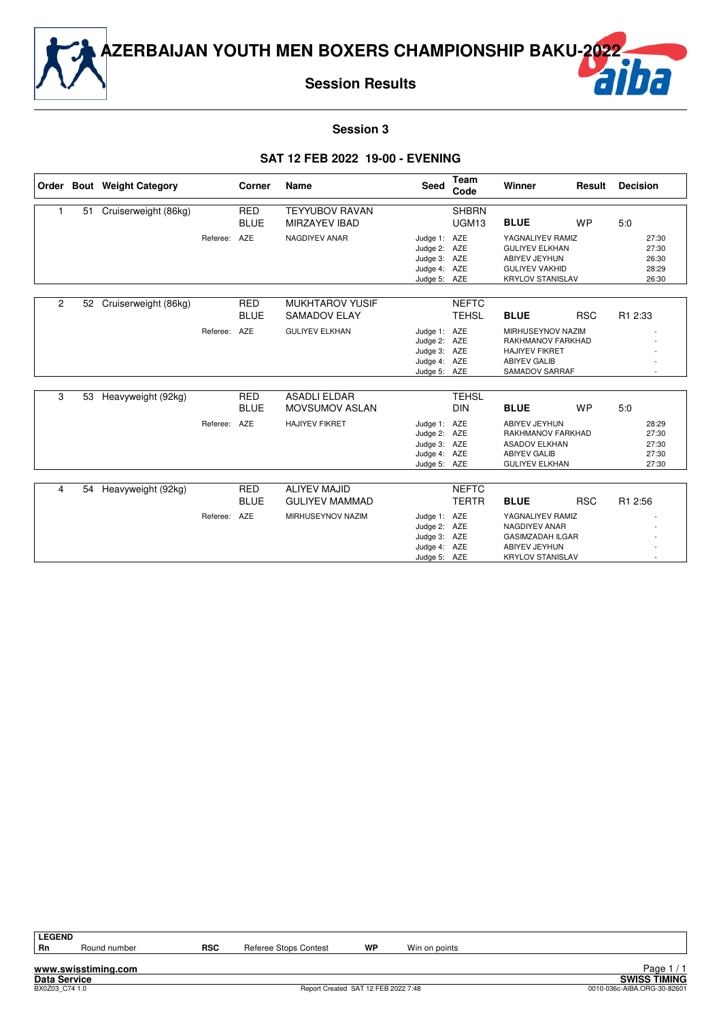

**Session Results**

# ba

#### **Session 3**

#### **SAT 12 FEB 2022 19-00 - EVENING**

|                |    | Order Bout Weight Category |          | Corner                    | Name                                          | <b>Seed</b>                                                                  | Team<br>Code                      | Winner                                                                                                         | Result     | <b>Decision</b>                           |
|----------------|----|----------------------------|----------|---------------------------|-----------------------------------------------|------------------------------------------------------------------------------|-----------------------------------|----------------------------------------------------------------------------------------------------------------|------------|-------------------------------------------|
| 1              | 51 | Cruiserweight (86kg)       |          | <b>RED</b><br><b>BLUE</b> | <b>TEYYUBOV RAVAN</b><br><b>MIRZAYEV IBAD</b> |                                                                              | <b>SHBRN</b><br>UGM <sub>13</sub> | <b>BLUE</b>                                                                                                    | <b>WP</b>  | 5:0                                       |
|                |    |                            | Referee: | AZE                       | NAGDIYEV ANAR                                 | Judge 1:<br>Judge 2: AZE<br>Judge 3: AZE<br>Judge 4: AZE<br>Judge 5: AZE     | AZE                               | YAGNALIYEV RAMIZ<br><b>GULIYEV ELKHAN</b><br>ABIYEV JEYHUN<br><b>GULIYEV VAKHID</b><br><b>KRYLOV STANISLAV</b> |            | 27:30<br>27:30<br>26:30<br>28:29<br>26:30 |
| $\overline{c}$ | 52 | Cruiserweight (86kg)       |          | <b>RED</b><br><b>BLUE</b> | <b>MUKHTAROV YUSIF</b><br><b>SAMADOV ELAY</b> |                                                                              | <b>NEFTC</b><br><b>TEHSL</b>      | <b>BLUE</b>                                                                                                    | <b>RSC</b> | R1 2:33                                   |
|                |    |                            | Referee: | AZE                       | <b>GULIYEV ELKHAN</b>                         | Judge 1: AZE<br>Judge 2: AZE<br>Judge 3: AZE<br>Judge 4: AZE<br>Judge 5: AZE |                                   | MIRHUSEYNOV NAZIM<br>RAKHMANOV FARKHAD<br><b>HAJIYEV FIKRET</b><br><b>ABIYEV GALIB</b><br>SAMADOV SARRAF       |            |                                           |
| 3              | 53 | Heavyweight (92kg)         |          | <b>RED</b><br><b>BLUE</b> | <b>ASADLI ELDAR</b><br><b>MOVSUMOV ASLAN</b>  |                                                                              | <b>TEHSL</b><br><b>DIN</b>        | <b>BLUE</b>                                                                                                    | <b>WP</b>  | 5:0                                       |
|                |    |                            | Referee: | AZE                       | <b>HAJIYEV FIKRET</b>                         | Judge 1: AZE<br>Judge 2: AZE<br>Judge 3: AZE<br>Judge 4: AZE<br>Judge 5: AZE |                                   | ABIYEV JEYHUN<br>RAKHMANOV FARKHAD<br><b>ASADOV ELKHAN</b><br><b>ABIYEV GALIB</b><br><b>GULIYEV ELKHAN</b>     |            | 28:29<br>27:30<br>27:30<br>27:30<br>27:30 |
| 4              | 54 | Heavyweight (92kg)         |          | <b>RED</b>                | <b>ALIYEV MAJID</b>                           |                                                                              | <b>NEFTC</b>                      |                                                                                                                |            |                                           |
|                |    |                            |          | <b>BLUE</b>               | <b>GULIYEV MAMMAD</b>                         |                                                                              | <b>TERTR</b>                      | <b>BLUE</b>                                                                                                    | <b>RSC</b> | R1 2:56                                   |
|                |    |                            | Referee: | <b>AZE</b>                | MIRHUSEYNOV NAZIM                             | Judge 1: AZE<br>Judge 2: AZE<br>Judge 3: AZE<br>Judge 4: AZE<br>Judge 5: AZE |                                   | YAGNALIYEV RAMIZ<br>NAGDIYEV ANAR<br><b>GASIMZADAH ILGAR</b><br>ABIYEV JEYHUN<br><b>KRYLOV STANISLAV</b>       |            |                                           |

| EGEND |
|-------|
|       |

**www.swisstiming.com**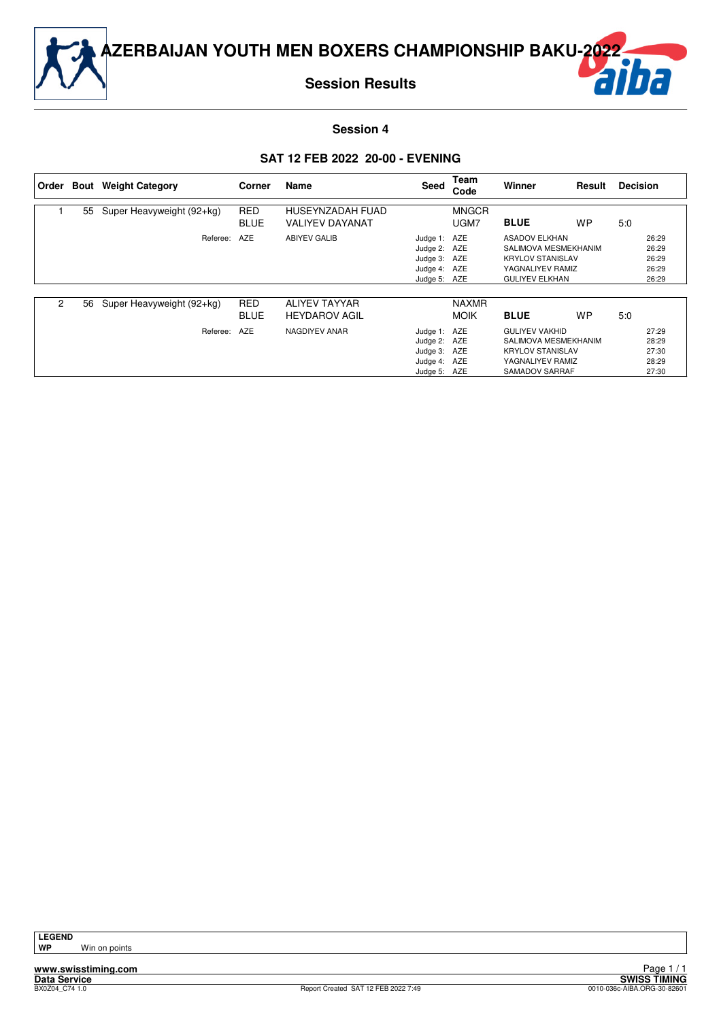

**Session Results**



**Session 4**

#### **SAT 12 FEB 2022 20-00 - EVENING**

| Order          | Bout | <b>Weight Category</b>    | Corner                    | Name                                       | Seed                                                                         | Team<br>Code                | Winner                                                                                                               | Result    | <b>Decision</b> |                                           |
|----------------|------|---------------------------|---------------------------|--------------------------------------------|------------------------------------------------------------------------------|-----------------------------|----------------------------------------------------------------------------------------------------------------------|-----------|-----------------|-------------------------------------------|
|                | 55   | Super Heavyweight (92+kg) | <b>RED</b><br><b>BLUE</b> | HUSEYNZADAH FUAD<br><b>VALIYEV DAYANAT</b> |                                                                              | <b>MNGCR</b><br>UGM7        | <b>BLUE</b>                                                                                                          | <b>WP</b> | 5:0             |                                           |
|                |      | Referee:                  | <b>AZE</b>                | <b>ABIYEV GALIB</b>                        | Judge 1: AZE<br>Judge 2: AZE<br>Judge 3: AZE<br>Judge 4: AZE<br>Judge 5: AZE |                             | <b>ASADOV ELKHAN</b><br>SALIMOVA MESMEKHANIM<br><b>KRYLOV STANISLAV</b><br>YAGNALIYEV RAMIZ<br><b>GULIYEV ELKHAN</b> |           |                 | 26:29<br>26:29<br>26:29<br>26:29<br>26:29 |
| $\overline{c}$ | 56   | Super Heavyweight (92+kg) | <b>RED</b><br><b>BLUE</b> | ALIYEV TAYYAR<br><b>HEYDAROV AGIL</b>      |                                                                              | <b>NAXMR</b><br><b>MOIK</b> | <b>BLUE</b>                                                                                                          | <b>WP</b> | 5:0             |                                           |
|                |      | Referee:                  | AZE                       | NAGDIYEV ANAR                              | Judge 1: AZE<br>Judge 2: AZE<br>Judge 3: AZE<br>Judge 4: AZE<br>Judge 5: AZE |                             | <b>GULIYEV VAKHID</b><br>SALIMOVA MESMEKHANIM<br><b>KRYLOV STANISLAV</b><br>YAGNALIYEV RAMIZ<br>SAMADOV SARRAF       |           |                 | 27:29<br>28:29<br>27:30<br>28:29<br>27:30 |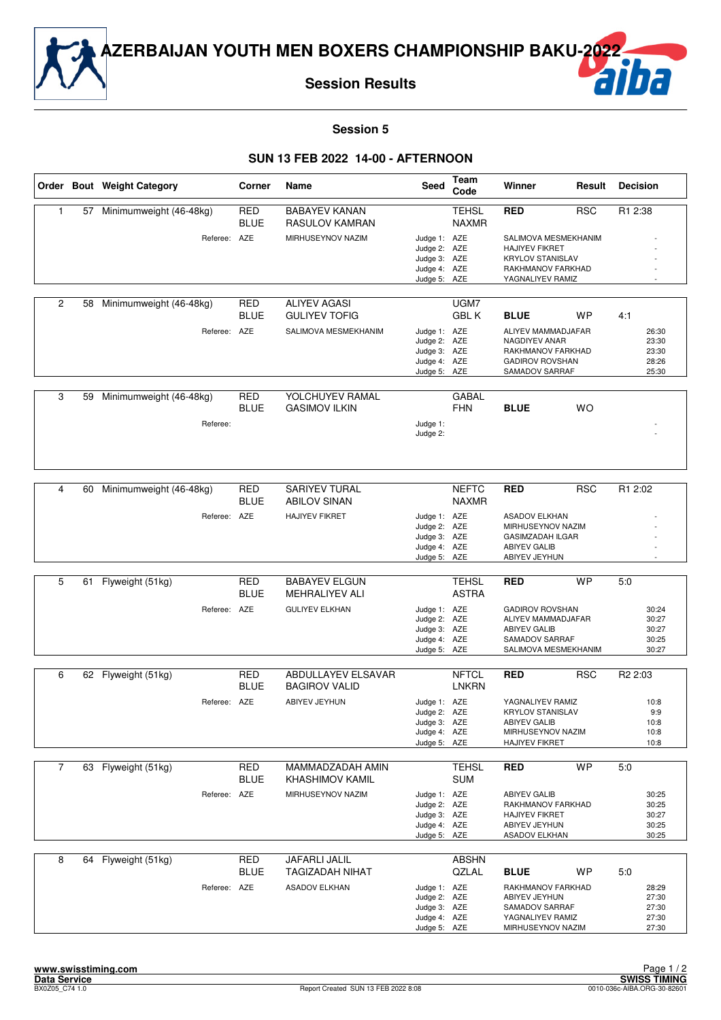

**Session Results**

# ba

#### **Session 5**

|                |    | Order Bout Weight Category | Corner                    | Name                                        | <b>Seed</b>                                                                  | Team<br>Code                 | Winner                                                                                                            | Result     | <b>Decision</b>                           |
|----------------|----|----------------------------|---------------------------|---------------------------------------------|------------------------------------------------------------------------------|------------------------------|-------------------------------------------------------------------------------------------------------------------|------------|-------------------------------------------|
| 1              |    | 57 Minimumweight (46-48kg) | <b>RED</b><br><b>BLUE</b> | <b>BABAYEV KANAN</b><br>RASULOV KAMRAN      |                                                                              | <b>TEHSL</b><br><b>NAXMR</b> | <b>RED</b>                                                                                                        | <b>RSC</b> | R1 2:38                                   |
|                |    | Referee: AZE               |                           | MIRHUSEYNOV NAZIM                           | Judge 1: AZE<br>Judge 2: AZE<br>Judge 3: AZE<br>Judge 4: AZE<br>Judge 5: AZE |                              | SALIMOVA MESMEKHANIM<br><b>HAJIYEV FIKRET</b><br><b>KRYLOV STANISLAV</b><br>RAKHMANOV FARKHAD<br>YAGNALIYEV RAMIZ |            |                                           |
| 2              | 58 | Minimumweight (46-48kg)    | <b>RED</b><br><b>BLUE</b> | <b>ALIYEV AGASI</b><br><b>GULIYEV TOFIG</b> |                                                                              | UGM7<br><b>GBLK</b>          | <b>BLUE</b>                                                                                                       | WP         | 4:1                                       |
|                |    | Referee: AZE               |                           | SALIMOVA MESMEKHANIM                        | Judge 1: AZE<br>Judge 2: AZE<br>Judge 3: AZE<br>Judge 4: AZE<br>Judge 5: AZE |                              | ALIYEV MAMMADJAFAR<br>NAGDIYEV ANAR<br>RAKHMANOV FARKHAD<br><b>GADIROV ROVSHAN</b><br>SAMADOV SARRAF              |            | 26:30<br>23:30<br>23:30<br>28:26<br>25:30 |
|                |    |                            |                           | YOLCHUYEV RAMAL                             |                                                                              |                              |                                                                                                                   |            |                                           |
| 3              | 59 | Minimumweight (46-48kg)    | <b>RED</b><br><b>BLUE</b> | <b>GASIMOV ILKIN</b>                        |                                                                              | <b>GABAL</b><br><b>FHN</b>   | <b>BLUE</b>                                                                                                       | <b>WO</b>  |                                           |
|                |    | Referee:                   |                           |                                             | Judge 1:<br>Judge 2:                                                         |                              |                                                                                                                   |            |                                           |
|                |    |                            |                           |                                             |                                                                              |                              |                                                                                                                   |            |                                           |
| 4              | 60 | Minimumweight (46-48kg)    | <b>RED</b><br><b>BLUE</b> | <b>SARIYEV TURAL</b><br><b>ABILOV SINAN</b> |                                                                              | <b>NEFTC</b><br><b>NAXMR</b> | <b>RED</b>                                                                                                        | <b>RSC</b> | R1 2:02                                   |
|                |    | Referee: AZE               |                           | <b>HAJIYEV FIKRET</b>                       | Judge 1: AZE<br>Judge 2: AZE                                                 |                              | <b>ASADOV ELKHAN</b><br>MIRHUSEYNOV NAZIM                                                                         |            |                                           |
|                |    |                            |                           |                                             | Judge 3: AZE                                                                 |                              | <b>GASIMZADAH ILGAR</b>                                                                                           |            |                                           |
|                |    |                            |                           |                                             | Judge 4: AZE<br>Judge 5: AZE                                                 |                              | <b>ABIYEV GALIB</b><br>ABIYEV JEYHUN                                                                              |            |                                           |
| 5              | 61 | Flyweight (51kg)           | <b>RED</b>                | <b>BABAYEV ELGUN</b>                        |                                                                              | <b>TEHSL</b>                 | <b>RED</b>                                                                                                        | <b>WP</b>  | 5:0                                       |
|                |    |                            | <b>BLUE</b>               | <b>MEHRALIYEV ALI</b>                       |                                                                              | <b>ASTRA</b>                 |                                                                                                                   |            |                                           |
|                |    | Referee: AZE               |                           | <b>GULIYEV ELKHAN</b>                       | Judge 1: AZE<br>Judge 2: AZE                                                 |                              | <b>GADIROV ROVSHAN</b><br>ALIYEV MAMMADJAFAR                                                                      |            | 30:24<br>30:27                            |
|                |    |                            |                           |                                             | Judge 3: AZE<br>Judge 4: AZE                                                 |                              | <b>ABIYEV GALIB</b><br>SAMADOV SARRAF                                                                             |            | 30:27<br>30:25                            |
|                |    |                            |                           |                                             | Judge 5: AZE                                                                 |                              | SALIMOVA MESMEKHANIM                                                                                              |            | 30:27                                     |
| 6              |    | 62 Flyweight (51kg)        | <b>RED</b>                | ABDULLAYEV ELSAVAR                          |                                                                              | <b>NFTCL</b>                 | <b>RED</b>                                                                                                        | <b>RSC</b> | R <sub>2</sub> 2:03                       |
|                |    |                            | <b>BLUE</b>               | <b>BAGIROV VALID</b>                        |                                                                              | <b>LNKRN</b>                 |                                                                                                                   |            |                                           |
|                |    | Referee: AZE               |                           | <b>ABIYEV JEYHUN</b>                        | Judge 1: AZE<br>Judge 2: AZE                                                 |                              | YAGNALIYEV RAMIZ<br><b>KRYLOV STANISLAV</b>                                                                       |            | 10:8<br>9:9                               |
|                |    |                            |                           |                                             | Judge 3: AZE<br>Judge 4: AZE                                                 |                              | <b>ABIYEV GALIB</b><br>MIRHUSEYNOV NAZIM                                                                          |            | 10:8<br>10:8                              |
|                |    |                            |                           |                                             | Judge 5: AZE                                                                 |                              | <b>HAJIYEV FIKRET</b>                                                                                             |            | 10:8                                      |
| $\overline{7}$ |    | 63 Flyweight (51kg)        | <b>RED</b><br><b>BLUE</b> | MAMMADZADAH AMIN<br>KHASHIMOV KAMIL         |                                                                              | <b>TEHSL</b><br><b>SUM</b>   | <b>RED</b>                                                                                                        | <b>WP</b>  | 5.0                                       |
|                |    | Referee: AZE               |                           | MIRHUSEYNOV NAZIM                           | Judge 1: AZE                                                                 |                              | ABIYEV GALIB                                                                                                      |            | 30:25                                     |
|                |    |                            |                           |                                             | Judge 2: AZE<br>Judge 3: AZE                                                 |                              | RAKHMANOV FARKHAD<br>HAJIYEV FIKRET                                                                               |            | 30:25<br>30:27                            |
|                |    |                            |                           |                                             | Judge 4: AZE<br>Judge 5: AZE                                                 |                              | ABIYEV JEYHUN<br>ASADOV ELKHAN                                                                                    |            | 30:25<br>30:25                            |
| 8              |    | 64 Flyweight (51kg)        | RED                       | JAFARLI JALIL                               |                                                                              | <b>ABSHN</b>                 |                                                                                                                   |            |                                           |
|                |    |                            | <b>BLUE</b>               | <b>TAGIZADAH NIHAT</b>                      |                                                                              | QZLAL                        | <b>BLUE</b>                                                                                                       | WP         | 5:0                                       |
|                |    | Referee: AZE               |                           | <b>ASADOV ELKHAN</b>                        | Judge 1: AZE<br>Judge 2: AZE                                                 |                              | RAKHMANOV FARKHAD<br>ABIYEV JEYHUN                                                                                |            | 28:29<br>27:30                            |
|                |    |                            |                           |                                             | Judge 3: AZE                                                                 |                              | SAMADOV SARRAF                                                                                                    |            | 27:30                                     |
|                |    |                            |                           |                                             | Judge 4: AZE<br>Judge 5: AZE                                                 |                              | YAGNALIYEV RAMIZ<br>MIRHUSEYNOV NAZIM                                                                             |            | 27:30<br>27:30                            |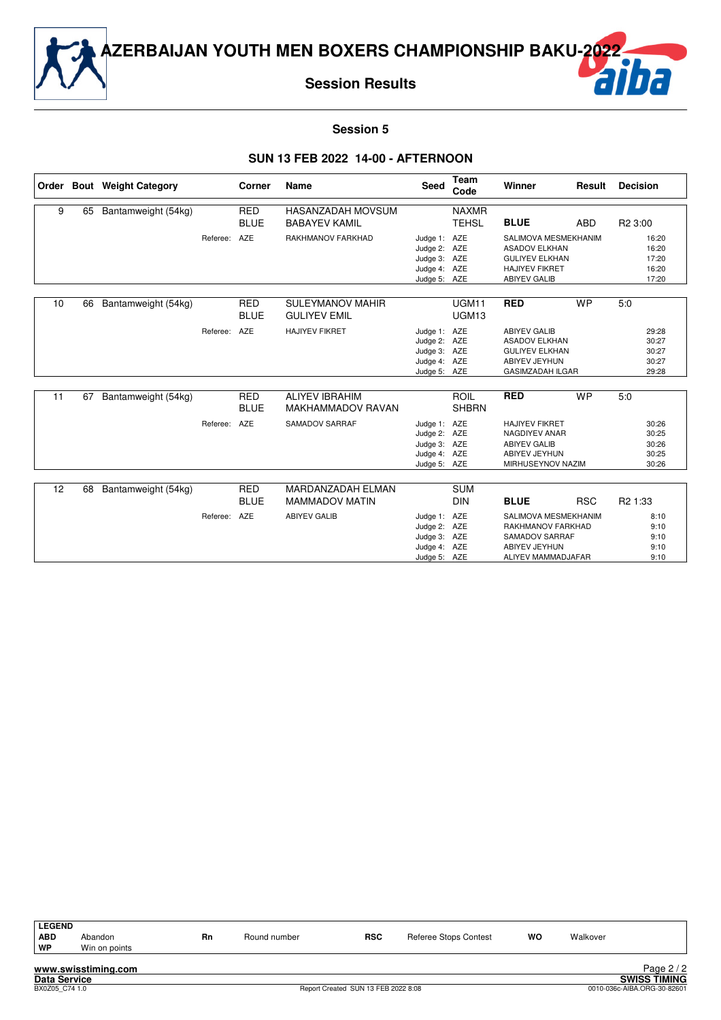

**Session Results**



#### **Session 5**

|    |    | Order Bout Weight Category |          | Corner                    | <b>Name</b>                                       | <b>Seed</b>                                                                  | <b>Team</b><br>Code          | Winner                                                                                                                | Result     | <b>Decision</b>                           |
|----|----|----------------------------|----------|---------------------------|---------------------------------------------------|------------------------------------------------------------------------------|------------------------------|-----------------------------------------------------------------------------------------------------------------------|------------|-------------------------------------------|
| 9  | 65 | Bantamweight (54kg)        |          | <b>RED</b><br><b>BLUE</b> | HASANZADAH MOVSUM<br><b>BABAYEV KAMIL</b>         |                                                                              | <b>NAXMR</b><br><b>TEHSL</b> | <b>BLUE</b>                                                                                                           | <b>ABD</b> | R <sub>2</sub> 3:00                       |
|    |    |                            | Referee: | AZE                       | RAKHMANOV FARKHAD                                 | Judge 1: AZE<br>Judge 2: AZE<br>Judge 3: AZE<br>Judge 4: AZE<br>Judge 5: AZE |                              | SALIMOVA MESMEKHANIM<br><b>ASADOV ELKHAN</b><br><b>GULIYEV ELKHAN</b><br><b>HAJIYEV FIKRET</b><br><b>ABIYEV GALIB</b> |            | 16:20<br>16:20<br>17:20<br>16:20<br>17:20 |
| 10 | 66 | Bantamweight (54kg)        |          | <b>RED</b><br><b>BLUE</b> | <b>SULEYMANOV MAHIR</b><br><b>GULIYEV EMIL</b>    |                                                                              | UGM11<br>UGM13               | <b>RED</b>                                                                                                            | <b>WP</b>  | 5:0                                       |
|    |    |                            | Referee: | AZE                       | <b>HAJIYEV FIKRET</b>                             | Judge 1:<br>Judge 2: AZE<br>Judge 3: AZE<br>Judge 4: AZE<br>Judge 5: AZE     | AZE                          | <b>ABIYEV GALIB</b><br><b>ASADOV ELKHAN</b><br><b>GULIYEV ELKHAN</b><br>ABIYEV JEYHUN<br><b>GASIMZADAH ILGAR</b>      |            | 29:28<br>30:27<br>30:27<br>30:27<br>29:28 |
| 11 | 67 | Bantamweight (54kg)        |          | <b>RED</b><br><b>BLUE</b> | <b>ALIYEV IBRAHIM</b><br><b>MAKHAMMADOV RAVAN</b> |                                                                              | <b>ROIL</b><br><b>SHBRN</b>  | <b>RED</b>                                                                                                            | <b>WP</b>  | 5:0                                       |
|    |    |                            | Referee: | AZE                       | SAMADOV SARRAF                                    | Judge 1: AZE<br>Judge 2: AZE<br>Judge 3: AZE<br>Judge 4: AZE<br>Judge 5: AZE |                              | <b>HAJIYEV FIKRET</b><br>NAGDIYEV ANAR<br><b>ABIYEV GALIB</b><br>ABIYEV JEYHUN<br>MIRHUSEYNOV NAZIM                   |            | 30:26<br>30:25<br>30:26<br>30:25<br>30:26 |
| 12 | 68 | Bantamweight (54kg)        |          | <b>RED</b>                | MARDANZADAH ELMAN                                 |                                                                              | <b>SUM</b>                   |                                                                                                                       |            |                                           |
|    |    |                            |          | <b>BLUE</b>               | <b>MAMMADOV MATIN</b>                             |                                                                              | <b>DIN</b>                   | <b>BLUE</b>                                                                                                           | <b>RSC</b> | R <sub>2</sub> 1:33                       |
|    |    |                            | Referee: | <b>AZE</b>                | <b>ABIYEV GALIB</b>                               | Judge 1:<br>Judge 2: AZE<br>Judge 3: AZE<br>Judge 4: AZE<br>Judge 5: AZE     | AZE                          | SALIMOVA MESMEKHANIM<br>RAKHMANOV FARKHAD<br>SAMADOV SARRAF<br>ABIYEV JEYHUN<br>ALIYEV MAMMADJAFAR                    |            | 8:10<br>9:10<br>9:10<br>9:10<br>9:10      |

| <b>LEGEND</b> |               |    |              |            |                       |           |          |
|---------------|---------------|----|--------------|------------|-----------------------|-----------|----------|
| <b>ABD</b>    | Abandon       | Rn | Round number | <b>RSC</b> | Referee Stops Contest | <b>WO</b> | Walkover |
| WP            | Win on points |    |              |            |                       |           |          |
|               |               |    |              |            |                       |           |          |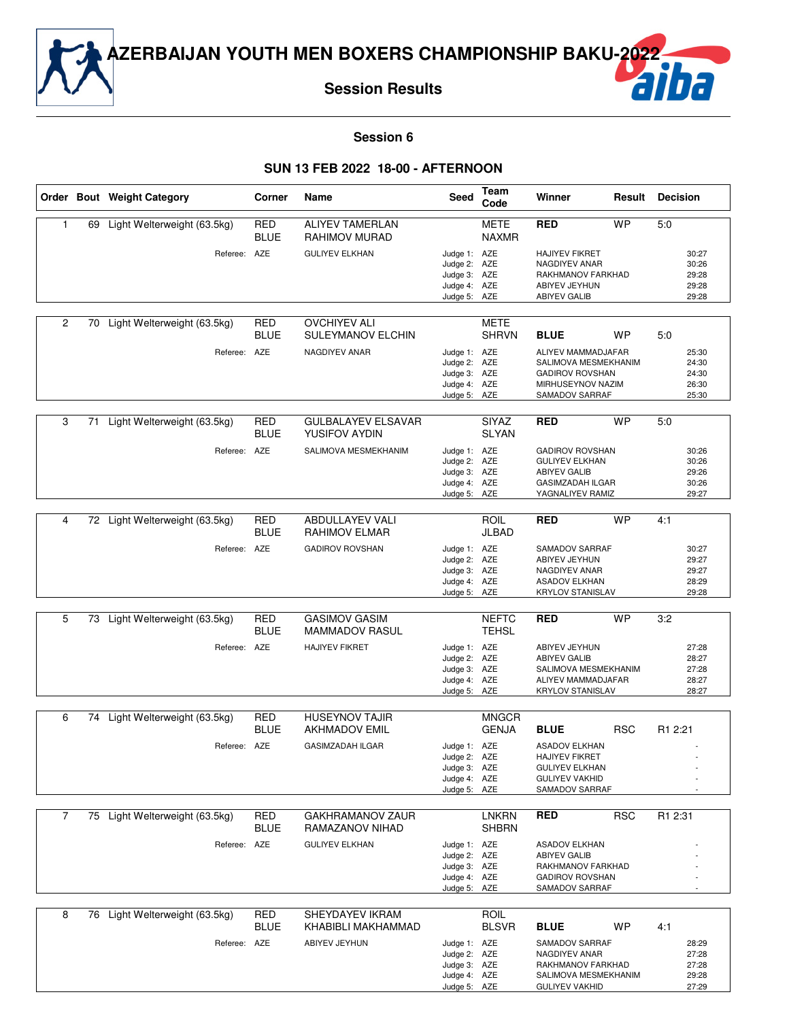**Session Results**

#### **Session 6**

#### **SUN 13 FEB 2022 18-00 - AFTERNOON**

|              |    | Order Bout Weight Category     | Corner                    | Name                                              | Seed                                                                         | Team<br>Code                 | Winner                                                                                                                | Result     | <b>Decision</b>                           |
|--------------|----|--------------------------------|---------------------------|---------------------------------------------------|------------------------------------------------------------------------------|------------------------------|-----------------------------------------------------------------------------------------------------------------------|------------|-------------------------------------------|
| $\mathbf{1}$ | 69 | Light Welterweight (63.5kg)    | RED<br><b>BLUE</b>        | <b>ALIYEV TAMERLAN</b><br>RAHIMOV MURAD           |                                                                              | <b>METE</b><br><b>NAXMR</b>  | <b>RED</b>                                                                                                            | <b>WP</b>  | 5:0                                       |
|              |    | Referee: AZE                   |                           | <b>GULIYEV ELKHAN</b>                             | Judge 1: AZE<br>Judge 2: AZE<br>Judge 3: AZE<br>Judge 4: AZE<br>Judge 5: AZE |                              | <b>HAJIYEV FIKRET</b><br>NAGDIYEV ANAR<br>RAKHMANOV FARKHAD<br>ABIYEV JEYHUN<br><b>ABIYEV GALIB</b>                   |            | 30:27<br>30:26<br>29:28<br>29:28<br>29:28 |
| 2            | 70 | Light Welterweight (63.5kg)    | RED<br><b>BLUE</b>        | <b>OVCHIYEV ALI</b><br>SULEYMANOV ELCHIN          |                                                                              | <b>METE</b><br><b>SHRVN</b>  | <b>BLUE</b>                                                                                                           | WP         | 5:0                                       |
|              |    | Referee: AZE                   |                           | NAGDIYEV ANAR                                     | Judge 1: AZE<br>Judge 2: AZE<br>Judge 3: AZE<br>Judge 4: AZE<br>Judge 5: AZE |                              | ALIYEV MAMMADJAFAR<br>SALIMOVA MESMEKHANIM<br><b>GADIROV ROVSHAN</b><br>MIRHUSEYNOV NAZIM<br>SAMADOV SARRAF           |            | 25:30<br>24:30<br>24:30<br>26:30<br>25:30 |
| 3            | 71 | Light Welterweight (63.5kg)    | RED<br><b>BLUE</b>        | <b>GULBALAYEV ELSAVAR</b><br><b>YUSIFOV AYDIN</b> |                                                                              | SIYAZ<br>SLYAN               | <b>RED</b>                                                                                                            | <b>WP</b>  | 5:0                                       |
|              |    | Referee: AZE                   |                           | SALIMOVA MESMEKHANIM                              | Judge 1: AZE<br>Judge 2: AZE<br>Judge 3: AZE<br>Judge 4: AZE<br>Judge 5: AZE |                              | <b>GADIROV ROVSHAN</b><br><b>GULIYEV ELKHAN</b><br><b>ABIYEV GALIB</b><br><b>GASIMZADAH ILGAR</b><br>YAGNALIYEV RAMIZ |            | 30:26<br>30:26<br>29:26<br>30:26<br>29:27 |
| 4            |    | 72 Light Welterweight (63.5kg) | <b>RED</b><br><b>BLUE</b> | <b>ABDULLAYEV VALI</b><br><b>RAHIMOV ELMAR</b>    |                                                                              | <b>ROIL</b><br>JLBAD         | <b>RED</b>                                                                                                            | <b>WP</b>  | 4:1                                       |
|              |    | Referee: AZE                   |                           | <b>GADIROV ROVSHAN</b>                            | Judge 1: AZE<br>Judge 2: AZE<br>Judge 3: AZE<br>Judge 4: AZE<br>Judge 5: AZE |                              | SAMADOV SARRAF<br>ABIYEV JEYHUN<br>NAGDIYEV ANAR<br><b>ASADOV ELKHAN</b><br><b>KRYLOV STANISLAV</b>                   |            | 30:27<br>29:27<br>29:27<br>28:29<br>29:28 |
| 5            |    | 73 Light Welterweight (63.5kg) | <b>RED</b><br><b>BLUE</b> | <b>GASIMOV GASIM</b><br>MAMMADOV RASUL            |                                                                              | <b>NEFTC</b><br><b>TEHSL</b> | <b>RED</b>                                                                                                            | <b>WP</b>  | 3:2                                       |
|              |    | Referee: AZE                   |                           | <b>HAJIYEV FIKRET</b>                             | Judge 1: AZE<br>Judge 2: AZE<br>Judge 3: AZE<br>Judge 4: AZE<br>Judge 5: AZE |                              | ABIYEV JEYHUN<br><b>ABIYEV GALIB</b><br>SALIMOVA MESMEKHANIM<br>ALIYEV MAMMADJAFAR<br><b>KRYLOV STANISLAV</b>         |            | 27:28<br>28:27<br>27:28<br>28:27<br>28:27 |
| 6            |    | 74 Light Welterweight (63.5kg) | RED                       | <b>HUSEYNOV TAJIR</b>                             |                                                                              | <b>MNGCR</b>                 |                                                                                                                       |            |                                           |
|              |    |                                | <b>BLUE</b>               | <b>AKHMADOV EMIL</b>                              |                                                                              | <b>GENJA</b>                 | <b>BLUE</b>                                                                                                           | <b>RSC</b> | R <sub>1</sub> 2:21                       |
|              |    | Referee: AZE                   |                           | <b>GASIMZADAH ILGAR</b>                           | Judge 1: AZE<br>Judge 2: AZE<br>Judge 3: AZE<br>Judge 4: AZE<br>Judge 5: AZE |                              | <b>ASADOV ELKHAN</b><br><b>HAJIYEV FIKRET</b><br><b>GULIYEV ELKHAN</b><br><b>GULIYEV VAKHID</b><br>SAMADOV SARRAF     |            |                                           |
| 7            |    | 75 Light Welterweight (63.5kg) | <b>RED</b><br><b>BLUE</b> | <b>GAKHRAMANOV ZAUR</b><br>RAMAZANOV NIHAD        |                                                                              | <b>LNKRN</b><br><b>SHBRN</b> | <b>RED</b>                                                                                                            | <b>RSC</b> | R1 2:31                                   |
|              |    | Referee: AZE                   |                           | <b>GULIYEV ELKHAN</b>                             | Judge 1: AZE<br>Judge 2: AZE<br>Judge 3: AZE<br>Judge 4: AZE<br>Judge 5: AZE |                              | <b>ASADOV ELKHAN</b><br><b>ABIYEV GALIB</b><br>RAKHMANOV FARKHAD<br><b>GADIROV ROVSHAN</b><br>SAMADOV SARRAF          |            |                                           |
| 8            |    | 76 Light Welterweight (63.5kg) | <b>RED</b>                | SHEYDAYEV IKRAM                                   |                                                                              | ROIL                         |                                                                                                                       |            |                                           |
|              |    |                                | <b>BLUE</b>               | KHABIBLI MAKHAMMAD                                |                                                                              | <b>BLSVR</b>                 | <b>BLUE</b>                                                                                                           | WP         | 4:1                                       |
|              |    | Referee: AZE                   |                           | ABIYEV JEYHUN                                     | Judge 1: AZE<br>Judge 2: AZE<br>Judge 3: AZE<br>Judge 4: AZE<br>Judge 5: AZE |                              | SAMADOV SARRAF<br>NAGDIYEV ANAR<br>RAKHMANOV FARKHAD<br>SALIMOVA MESMEKHANIM<br><b>GULIYEV VAKHID</b>                 |            | 28:29<br>27:28<br>27:28<br>29:28<br>27:29 |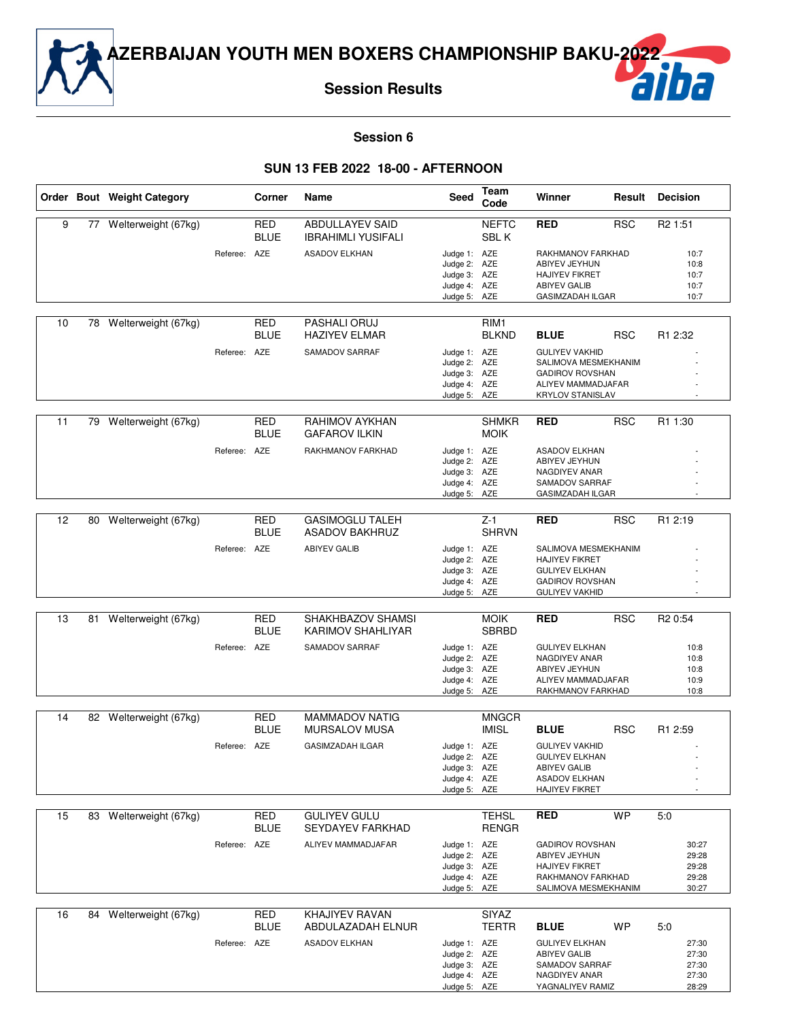**Session Results**

#### **Session 6**

#### **SUN 13 FEB 2022 18-00 - AFTERNOON**

|    |    | Order Bout Weight Category |              | Corner                    | Name                                                | Seed                                                                         | Team<br>Code                     | Winner                                                                                                                                |            | <b>Result Decision</b>                    |
|----|----|----------------------------|--------------|---------------------------|-----------------------------------------------------|------------------------------------------------------------------------------|----------------------------------|---------------------------------------------------------------------------------------------------------------------------------------|------------|-------------------------------------------|
| 9  |    | 77 Welterweight (67kg)     |              | <b>RED</b><br><b>BLUE</b> | <b>ABDULLAYEV SAID</b><br><b>IBRAHIMLI YUSIFALI</b> |                                                                              | <b>NEFTC</b><br>SBL K            | RED                                                                                                                                   | <b>RSC</b> | R <sub>2</sub> 1:51                       |
|    |    |                            | Referee: AZE |                           | <b>ASADOV ELKHAN</b>                                | Judge 1: AZE<br>Judge 2: AZE<br>Judge 3: AZE<br>Judge 4: AZE<br>Judge 5: AZE |                                  | RAKHMANOV FARKHAD<br>ABIYEV JEYHUN<br><b>HAJIYEV FIKRET</b><br><b>ABIYEV GALIB</b><br>GASIMZADAH ILGAR                                |            | 10:7<br>10:8<br>10:7<br>10:7<br>10:7      |
| 10 | 78 | Welterweight (67kg)        |              | <b>RED</b><br><b>BLUE</b> | PASHALI ORUJ<br><b>HAZIYEV ELMAR</b>                |                                                                              | RIM <sub>1</sub><br><b>BLKND</b> | <b>BLUE</b>                                                                                                                           | <b>RSC</b> | R1 2:32                                   |
|    |    |                            | Referee: AZE |                           | SAMADOV SARRAF                                      | Judge 1: AZE<br>Judge 2: AZE<br>Judge 3: AZE<br>Judge 4: AZE<br>Judge 5: AZE |                                  | <b>GULIYEV VAKHID</b><br>SALIMOVA MESMEKHANIM<br><b>GADIROV ROVSHAN</b><br>ALIYEV MAMMADJAFAR<br><b>KRYLOV STANISLAV</b>              |            |                                           |
| 11 |    | 79 Welterweight (67kg)     |              | <b>RED</b><br><b>BLUE</b> | RAHIMOV AYKHAN<br><b>GAFAROV ILKIN</b>              |                                                                              | <b>SHMKR</b><br><b>MOIK</b>      | <b>RED</b>                                                                                                                            | <b>RSC</b> | R1 1:30                                   |
|    |    |                            | Referee:     | AZE                       | RAKHMANOV FARKHAD                                   | Judge 1: AZE<br>Judge 2: AZE<br>Judge 3: AZE<br>Judge 4: AZE<br>Judge 5: AZE |                                  | <b>ASADOV ELKHAN</b><br>ABIYEV JEYHUN<br>NAGDIYEV ANAR<br>SAMADOV SARRAF<br><b>GASIMZADAH ILGAR</b>                                   |            |                                           |
| 12 | 80 | Welterweight (67kg)        |              | <b>RED</b>                | <b>GASIMOGLU TALEH</b>                              |                                                                              | $Z-1$<br><b>SHRVN</b>            | <b>RED</b>                                                                                                                            | <b>RSC</b> | R1 2:19                                   |
|    |    |                            | Referee: AZE | <b>BLUE</b>               | <b>ASADOV BAKHRUZ</b><br><b>ABIYEV GALIB</b>        | Judge 1: AZE<br>Judge 2: AZE<br>Judge 3: AZE<br>Judge 4: AZE<br>Judge 5: AZE |                                  | SALIMOVA MESMEKHANIM<br><b>HAJIYEV FIKRET</b><br><b>GULIYEV ELKHAN</b><br><b>GADIROV ROVSHAN</b><br><b>GULIYEV VAKHID</b>             |            |                                           |
| 13 | 81 | Welterweight (67kg)        |              | <b>RED</b>                | SHAKHBAZOV SHAMSI                                   |                                                                              | <b>MOIK</b>                      | RED                                                                                                                                   | <b>RSC</b> | R <sub>2</sub> 0:54                       |
|    |    |                            | Referee: AZE | <b>BLUE</b>               | KARIMOV SHAHLIYAR<br>SAMADOV SARRAF                 | Judge 1: AZE<br>Judge 2: AZE<br>Judge 3: AZE<br>Judge 4: AZE<br>Judge 5: AZE | <b>SBRBD</b>                     | <b>GULIYEV ELKHAN</b><br>NAGDIYEV ANAR<br>ABIYEV JEYHUN<br>ALIYEV MAMMADJAFAR<br>RAKHMANOV FARKHAD                                    |            | 10:8<br>10:8<br>10:8<br>10:9<br>10:8      |
| 14 |    | 82 Welterweight (67kg)     |              | <b>RED</b>                | <b>MAMMADOV NATIG</b>                               |                                                                              | <b>MNGCR</b>                     |                                                                                                                                       |            |                                           |
|    |    |                            | Referee: AZE | <b>BLUE</b>               | <b>MURSALOV MUSA</b><br><b>GASIMZADAH ILGAR</b>     | Judge 1: AZE<br>Judge 2: AZE<br>Judge 3: AZE<br>Judge 4: AZE<br>Judge 5: AZE | <b>IMISL</b>                     | <b>BLUE</b><br><b>GULIYEV VAKHID</b><br><b>GULIYEV ELKHAN</b><br><b>ABIYEV GALIB</b><br><b>ASADOV ELKHAN</b><br><b>HAJIYEV FIKRET</b> | <b>RSC</b> | R1 2:59                                   |
| 15 | 83 | Welterweight (67kg)        |              | RED                       | <b>GULIYEV GULU</b>                                 |                                                                              | <b>TEHSL</b>                     | <b>RED</b>                                                                                                                            | <b>WP</b>  | 5:0                                       |
|    |    |                            | Referee: AZE | <b>BLUE</b>               | <b>SEYDAYEV FARKHAD</b><br>ALIYEV MAMMADJAFAR       | Judge 1: AZE<br>Judge 2: AZE<br>Judge 3: AZE<br>Judge 4: AZE<br>Judge 5: AZE | <b>RENGR</b>                     | <b>GADIROV ROVSHAN</b><br>ABIYEV JEYHUN<br><b>HAJIYEV FIKRET</b><br>RAKHMANOV FARKHAD<br>SALIMOVA MESMEKHANIM                         |            | 30:27<br>29:28<br>29:28<br>29:28<br>30:27 |
| 16 | 84 | Welterweight (67kg)        |              | RED<br><b>BLUE</b>        | KHAJIYEV RAVAN<br>ABDULAZADAH ELNUR                 |                                                                              | <b>SIYAZ</b><br><b>TERTR</b>     | <b>BLUE</b>                                                                                                                           | WP         | 5:0                                       |
|    |    |                            | Referee: AZE |                           | <b>ASADOV ELKHAN</b>                                | Judge 1: AZE<br>Judge 2: AZE<br>Judge 3: AZE<br>Judge 4: AZE<br>Judge 5: AZE |                                  | <b>GULIYEV ELKHAN</b><br><b>ABIYEV GALIB</b><br>SAMADOV SARRAF<br>NAGDIYEV ANAR<br>YAGNALIYEV RAMIZ                                   |            | 27:30<br>27:30<br>27:30<br>27:30<br>28:29 |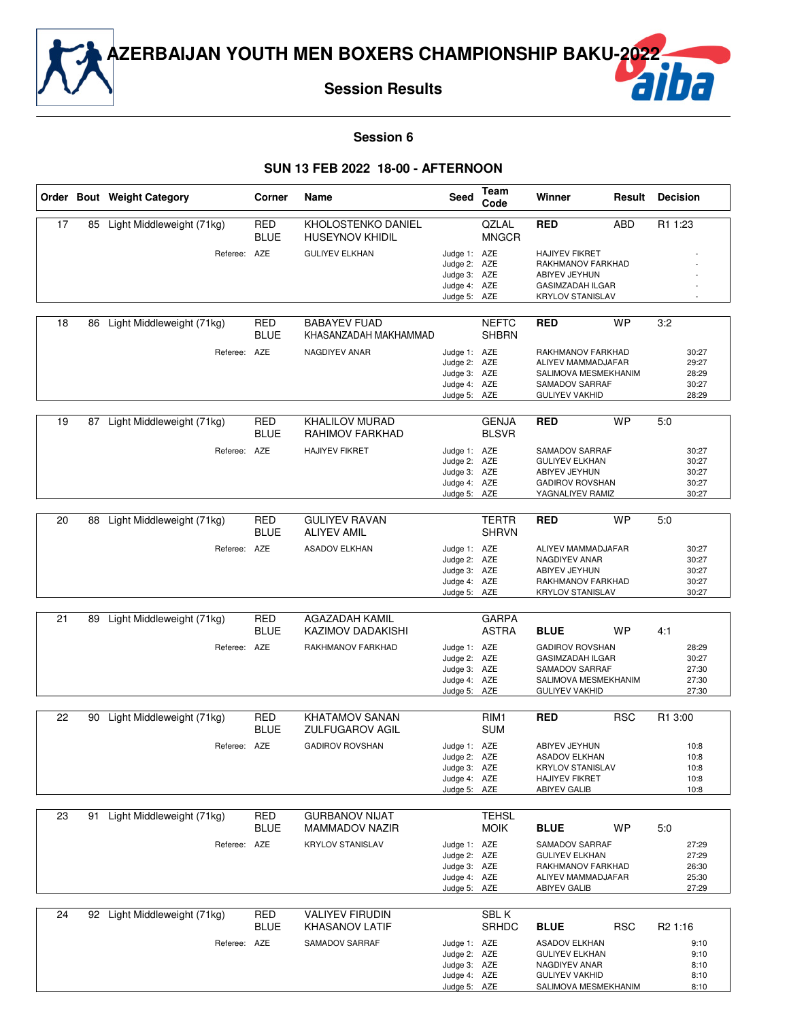

### **Session 6**

#### **SUN 13 FEB 2022 18-00 - AFTERNOON**

|    |    | Order Bout Weight Category   | Corner                    | Name                                            | Seed                         | Team<br>Code                   | Winner                                       | Result     | <b>Decision</b>     |
|----|----|------------------------------|---------------------------|-------------------------------------------------|------------------------------|--------------------------------|----------------------------------------------|------------|---------------------|
| 17 | 85 | Light Middleweight (71kg)    | <b>RED</b><br><b>BLUE</b> | KHOLOSTENKO DANIEL<br><b>HUSEYNOV KHIDIL</b>    |                              | QZLAL<br><b>MNGCR</b>          | <b>RED</b>                                   | <b>ABD</b> | R1 1:23             |
|    |    | Referee:                     | AZE                       | <b>GULIYEV ELKHAN</b>                           | Judge 1: AZE                 |                                | <b>HAJIYEV FIKRET</b>                        |            |                     |
|    |    |                              |                           |                                                 | Judge 2: AZE                 |                                | RAKHMANOV FARKHAD                            |            |                     |
|    |    |                              |                           |                                                 | Judge 3: AZE<br>Judge 4: AZE |                                | ABIYEV JEYHUN<br><b>GASIMZADAH ILGAR</b>     |            |                     |
|    |    |                              |                           |                                                 | Judge 5: AZE                 |                                | <b>KRYLOV STANISLAV</b>                      |            |                     |
|    |    |                              |                           | <b>BABAYEV FUAD</b>                             |                              |                                |                                              |            |                     |
| 18 | 86 | Light Middleweight (71kg)    | <b>RED</b><br><b>BLUE</b> | KHASANZADAH MAKHAMMAD                           |                              | <b>NEFTC</b><br><b>SHBRN</b>   | <b>RED</b>                                   | <b>WP</b>  | 3:2                 |
|    |    | Referee: AZE                 |                           | NAGDIYEV ANAR                                   | Judge 1: AZE<br>Judge 2: AZE |                                | RAKHMANOV FARKHAD<br>ALIYEV MAMMADJAFAR      |            | 30:27<br>29:27      |
|    |    |                              |                           |                                                 | Judge 3: AZE                 |                                | SALIMOVA MESMEKHANIM                         |            | 28:29               |
|    |    |                              |                           |                                                 | Judge 4: AZE                 |                                | SAMADOV SARRAF                               |            | 30:27               |
|    |    |                              |                           |                                                 | Judge 5: AZE                 |                                | <b>GULIYEV VAKHID</b>                        |            | 28:29               |
| 19 | 87 | Light Middleweight (71kg)    | <b>RED</b><br><b>BLUE</b> | <b>KHALILOV MURAD</b><br>RAHIMOV FARKHAD        |                              | <b>GENJA</b><br><b>BLSVR</b>   | <b>RED</b>                                   | <b>WP</b>  | 5:0                 |
|    |    | Referee: AZE                 |                           | <b>HAJIYEV FIKRET</b>                           | Judge 1: AZE                 |                                | SAMADOV SARRAF                               |            | 30:27               |
|    |    |                              |                           |                                                 | Judge 2: AZE                 |                                | <b>GULIYEV ELKHAN</b>                        |            | 30:27               |
|    |    |                              |                           |                                                 | Judge 3: AZE                 |                                | ABIYEV JEYHUN                                |            | 30:27               |
|    |    |                              |                           |                                                 | Judge 4: AZE<br>Judge 5: AZE |                                | <b>GADIROV ROVSHAN</b><br>YAGNALIYEV RAMIZ   |            | 30:27<br>30:27      |
|    |    |                              |                           |                                                 |                              |                                |                                              |            |                     |
| 20 | 88 | Light Middleweight (71kg)    | <b>RED</b><br><b>BLUE</b> | <b>GULIYEV RAVAN</b><br><b>ALIYEV AMIL</b>      |                              | <b>TERTR</b><br><b>SHRVN</b>   | <b>RED</b>                                   | <b>WP</b>  | 5:0                 |
|    |    | Referee: AZE                 |                           | <b>ASADOV ELKHAN</b>                            | Judge 1: AZE                 |                                | ALIYEV MAMMADJAFAR                           |            | 30:27               |
|    |    |                              |                           |                                                 | Judge 2: AZE                 |                                | NAGDIYEV ANAR                                |            | 30:27               |
|    |    |                              |                           |                                                 | Judge 3: AZE<br>Judge 4: AZE |                                | ABIYEV JEYHUN<br>RAKHMANOV FARKHAD           |            | 30:27<br>30:27      |
|    |    |                              |                           |                                                 | Judge 5: AZE                 |                                | <b>KRYLOV STANISLAV</b>                      |            | 30:27               |
|    |    |                              |                           |                                                 |                              |                                |                                              |            |                     |
| 21 | 89 | Light Middleweight (71kg)    | <b>RED</b><br><b>BLUE</b> | AGAZADAH KAMIL<br>KAZIMOV DADAKISHI             |                              | <b>GARPA</b><br>ASTRA          | <b>BLUE</b>                                  | <b>WP</b>  | 4:1                 |
|    |    | Referee: AZE                 |                           | RAKHMANOV FARKHAD                               | Judge 1: AZE                 |                                | <b>GADIROV ROVSHAN</b>                       |            | 28:29               |
|    |    |                              |                           |                                                 | Judge 2: AZE                 |                                | GASIMZADAH ILGAR                             |            | 30:27               |
|    |    |                              |                           |                                                 | Judge 3: AZE<br>Judge 4: AZE |                                | SAMADOV SARRAF<br>SALIMOVA MESMEKHANIM       |            | 27:30<br>27:30      |
|    |    |                              |                           |                                                 | Judge 5: AZE                 |                                | <b>GULIYEV VAKHID</b>                        |            | 27:30               |
|    |    |                              |                           |                                                 |                              |                                |                                              |            | R1 3:00             |
| 22 | 90 | Light Middleweight (71kg)    | <b>RED</b><br><b>BLUE</b> | <b>KHATAMOV SANAN</b><br><b>ZULFUGAROV AGIL</b> |                              | RIM <sub>1</sub><br><b>SUM</b> | <b>RED</b>                                   | <b>RSC</b> |                     |
|    |    | Referee:                     | AZE                       | <b>GADIROV ROVSHAN</b>                          | Judge 1: AZE                 |                                | ABIYEV JEYHUN                                |            | 10:8                |
|    |    |                              |                           |                                                 | Judge 2: AZE                 |                                | <b>ASADOV ELKHAN</b>                         |            | 10:8                |
|    |    |                              |                           |                                                 | Judge 3: AZE                 |                                | <b>KRYLOV STANISLAV</b>                      |            | 10:8                |
|    |    |                              |                           |                                                 | Judge 4: AZE<br>Judge 5: AZE |                                | <b>HAJIYEV FIKRET</b><br><b>ABIYEV GALIB</b> |            | 10:8<br>10:8        |
|    |    |                              |                           |                                                 |                              |                                |                                              |            |                     |
| 23 | 91 | Light Middleweight (71kg)    | <b>RED</b><br><b>BLUE</b> | <b>GURBANOV NIJAT</b><br><b>MAMMADOV NAZIR</b>  |                              | <b>TEHSL</b><br><b>MOIK</b>    | <b>BLUE</b>                                  | WP         | 5.0                 |
|    |    | Referee: AZE                 |                           | <b>KRYLOV STANISLAV</b>                         | Judge 1: AZE                 |                                | SAMADOV SARRAF                               |            | 27:29               |
|    |    |                              |                           |                                                 | Judge 2: AZE                 |                                | <b>GULIYEV ELKHAN</b>                        |            | 27:29               |
|    |    |                              |                           |                                                 | Judge 3: AZE                 |                                | RAKHMANOV FARKHAD                            |            | 26:30               |
|    |    |                              |                           |                                                 | Judge 4: AZE<br>Judge 5: AZE |                                | ALIYEV MAMMADJAFAR<br><b>ABIYEV GALIB</b>    |            | 25:30<br>27:29      |
|    |    |                              |                           |                                                 |                              |                                |                                              |            |                     |
| 24 |    | 92 Light Middleweight (71kg) | <b>RED</b><br><b>BLUE</b> | <b>VALIYEV FIRUDIN</b><br><b>KHASANOV LATIF</b> |                              | SBL K<br>SRHDC                 | <b>BLUE</b>                                  | <b>RSC</b> | R <sub>2</sub> 1:16 |
|    |    | Referee: AZE                 |                           | SAMADOV SARRAF                                  | Judge 1: AZE                 |                                | <b>ASADOV ELKHAN</b>                         |            | 9:10                |
|    |    |                              |                           |                                                 | Judge 2: AZE                 |                                | <b>GULIYEV ELKHAN</b>                        |            | 9:10                |
|    |    |                              |                           |                                                 | Judge 3: AZE<br>Judge 4: AZE |                                | NAGDIYEV ANAR<br><b>GULIYEV VAKHID</b>       |            | 8:10<br>8:10        |
|    |    |                              |                           |                                                 | Judge 5: AZE                 |                                | SALIMOVA MESMEKHANIM                         |            | 8:10                |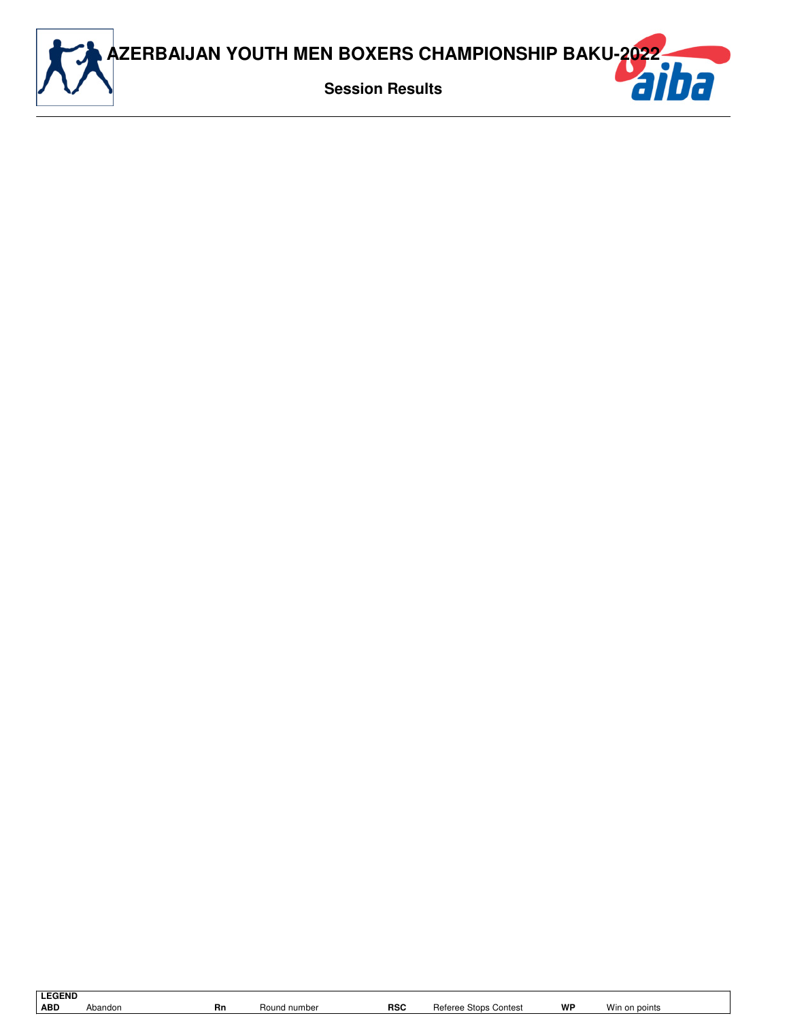

| <b>LEGEND</b> |         |
|---------------|---------|
| ARD.          | Abandor |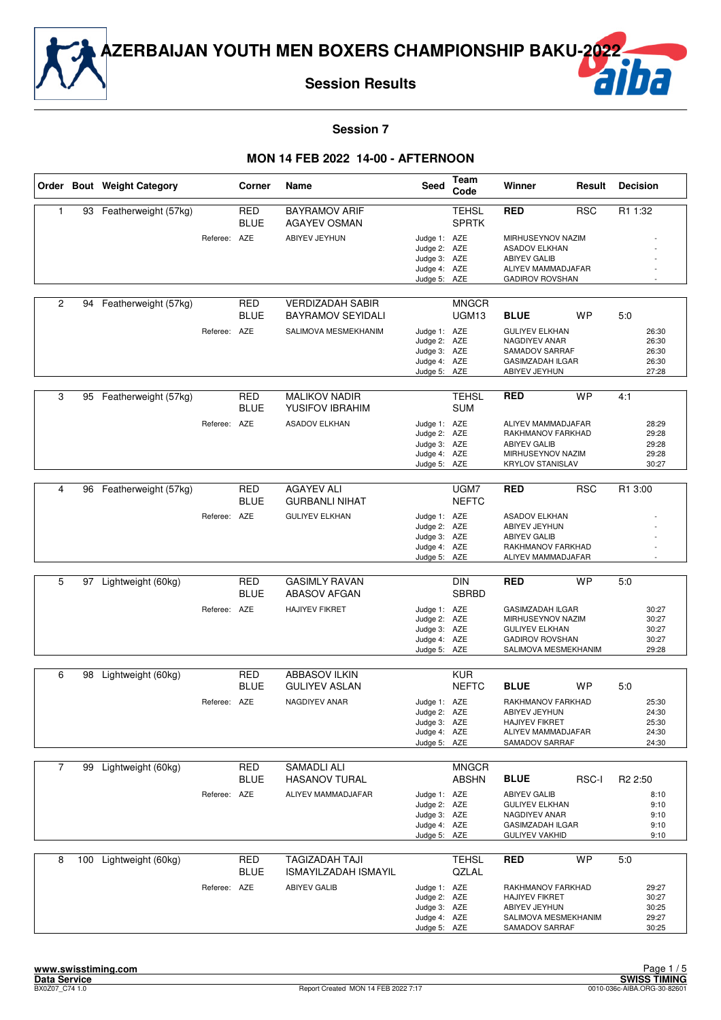

**Session Results**

# ha

#### **Session 7**

|                |     | Order Bout Weight Category |              | Corner                    | Name                                                 | Seed                                                                         | Team<br>Code                      | Winner                                                                                                                  | Result     | <b>Decision</b>                           |
|----------------|-----|----------------------------|--------------|---------------------------|------------------------------------------------------|------------------------------------------------------------------------------|-----------------------------------|-------------------------------------------------------------------------------------------------------------------------|------------|-------------------------------------------|
| 1              | 93  | Featherweight (57kg)       |              | <b>RED</b><br><b>BLUE</b> | <b>BAYRAMOV ARIF</b><br><b>AGAYEV OSMAN</b>          |                                                                              | <b>TEHSL</b><br><b>SPRTK</b>      | <b>RED</b>                                                                                                              | <b>RSC</b> | R1 1:32                                   |
|                |     |                            | Referee: AZE |                           | ABIYEV JEYHUN                                        | Judge 1: AZE<br>Judge 2: AZE<br>Judge 3: AZE<br>Judge 4: AZE<br>Judge 5: AZE |                                   | MIRHUSEYNOV NAZIM<br><b>ASADOV ELKHAN</b><br><b>ABIYEV GALIB</b><br>ALIYEV MAMMADJAFAR<br><b>GADIROV ROVSHAN</b>        |            |                                           |
| $\overline{c}$ | 94  | Featherweight (57kg)       |              | RED<br><b>BLUE</b>        | <b>VERDIZADAH SABIR</b><br><b>BAYRAMOV SEYIDALI</b>  |                                                                              | <b>MNGCR</b><br>UGM <sub>13</sub> | <b>BLUE</b>                                                                                                             | <b>WP</b>  | 5:0                                       |
|                |     |                            | Referee: AZE |                           | SALIMOVA MESMEKHANIM                                 | Judge 1: AZE<br>Judge 2: AZE<br>Judge 3: AZE<br>Judge 4: AZE<br>Judge 5: AZE |                                   | <b>GULIYEV ELKHAN</b><br>NAGDIYEV ANAR<br>SAMADOV SARRAF<br><b>GASIMZADAH ILGAR</b><br>ABIYEV JEYHUN                    |            | 26:30<br>26:30<br>26:30<br>26:30<br>27:28 |
| 3              | 95  | Featherweight (57kg)       |              | <b>RED</b><br><b>BLUE</b> | <b>MALIKOV NADIR</b><br>YUSIFOV IBRAHIM              |                                                                              | <b>TEHSL</b><br><b>SUM</b>        | <b>RED</b>                                                                                                              | <b>WP</b>  | 4:1                                       |
|                |     |                            | Referee: AZE |                           | <b>ASADOV ELKHAN</b>                                 | Judge 1: AZE<br>Judge 2: AZE<br>Judge 3: AZE<br>Judge 4: AZE<br>Judge 5: AZE |                                   | ALIYEV MAMMADJAFAR<br>RAKHMANOV FARKHAD<br><b>ABIYEV GALIB</b><br>MIRHUSEYNOV NAZIM<br><b>KRYLOV STANISLAV</b>          |            | 28:29<br>29:28<br>29:28<br>29:28<br>30:27 |
|                |     |                            |              |                           |                                                      |                                                                              |                                   |                                                                                                                         |            |                                           |
| 4              | 96  | Featherweight (57kg)       |              | <b>RED</b><br><b>BLUE</b> | <b>AGAYEV ALI</b><br><b>GURBANLI NIHAT</b>           |                                                                              | UGM7<br><b>NEFTC</b>              | <b>RED</b>                                                                                                              | <b>RSC</b> | R1 3:00                                   |
|                |     |                            | Referee: AZE |                           | <b>GULIYEV ELKHAN</b>                                | Judge 1: AZE<br>Judge 2: AZE<br>Judge 3: AZE<br>Judge 4: AZE                 |                                   | <b>ASADOV ELKHAN</b><br>ABIYEV JEYHUN<br><b>ABIYEV GALIB</b><br>RAKHMANOV FARKHAD                                       |            |                                           |
|                |     |                            |              |                           |                                                      | Judge 5: AZE                                                                 |                                   | ALIYEV MAMMADJAFAR                                                                                                      |            |                                           |
| 5              | 97  | Lightweight (60kg)         |              | <b>RED</b><br><b>BLUE</b> | <b>GASIMLY RAVAN</b><br><b>ABASOV AFGAN</b>          |                                                                              | <b>DIN</b><br><b>SBRBD</b>        | <b>RED</b>                                                                                                              | <b>WP</b>  | 5:0                                       |
|                |     |                            | Referee: AZE |                           | <b>HAJIYEV FIKRET</b>                                | Judge 1: AZE<br>Judge 2: AZE<br>Judge 3: AZE<br>Judge 4: AZE<br>Judge 5: AZE |                                   | <b>GASIMZADAH ILGAR</b><br>MIRHUSEYNOV NAZIM<br><b>GULIYEV ELKHAN</b><br><b>GADIROV ROVSHAN</b><br>SALIMOVA MESMEKHANIM |            | 30:27<br>30:27<br>30:27<br>30:27<br>29:28 |
| 6              | 98  | Lightweight (60kg)         |              | <b>RED</b>                | <b>ABBASOV ILKIN</b>                                 |                                                                              | <b>KUR</b>                        |                                                                                                                         |            |                                           |
|                |     |                            |              | <b>BLUE</b>               | <b>GULIYEV ASLAN</b>                                 |                                                                              | <b>NEFTC</b>                      | <b>BLUE</b>                                                                                                             | <b>WP</b>  | 5:0                                       |
|                |     |                            | Referee: AZE |                           | NAGDIYEV ANAR                                        | Judge 1: AZE<br>Judge 2: AZE<br>Judge 3: AZE<br>Judge 4: AZE<br>Judge 5: AZE |                                   | RAKHMANOV FARKHAD<br>ABIYEV JEYHUN<br>HAJIYEV FIKRET<br>ALIYEV MAMMADJAFAR<br>SAMADOV SARRAF                            |            | 25:30<br>24:30<br>25:30<br>24:30<br>24:30 |
| $\overline{7}$ | 99  | Lightweight (60kg)         |              | <b>RED</b>                | <b>SAMADLI ALI</b>                                   |                                                                              | <b>MNGCR</b>                      |                                                                                                                         |            |                                           |
|                |     |                            |              | <b>BLUE</b>               | <b>HASANOV TURAL</b>                                 |                                                                              | <b>ABSHN</b>                      | <b>BLUE</b>                                                                                                             | RSC-I      | R <sub>2</sub> 2:50                       |
|                |     |                            | Referee:     | AZE                       | ALIYEV MAMMADJAFAR                                   | Judge 1: AZE<br>Judge 2: AZE<br>Judge 3: AZE<br>Judge 4: AZE<br>Judge 5: AZE |                                   | <b>ABIYEV GALIB</b><br><b>GULIYEV ELKHAN</b><br>NAGDIYEV ANAR<br><b>GASIMZADAH ILGAR</b><br><b>GULIYEV VAKHID</b>       |            | 8:10<br>9:10<br>9:10<br>9:10<br>9:10      |
| 8              | 100 | Lightweight (60kg)         |              | <b>RED</b><br><b>BLUE</b> | <b>TAGIZADAH TAJI</b><br><b>ISMAYILZADAH ISMAYIL</b> |                                                                              | <b>TEHSL</b><br>QZLAL             | <b>RED</b>                                                                                                              | <b>WP</b>  | 5:0                                       |
|                |     |                            | Referee: AZE |                           | <b>ABIYEV GALIB</b>                                  | Judge 1: AZE<br>Judge 2: AZE<br>Judge 3: AZE<br>Judge 4: AZE<br>Judge 5: AZE |                                   | RAKHMANOV FARKHAD<br>HAJIYEV FIKRET<br>ABIYEV JEYHUN<br>SALIMOVA MESMEKHANIM<br>SAMADOV SARRAF                          |            | 29:27<br>30:27<br>30:25<br>29:27<br>30:25 |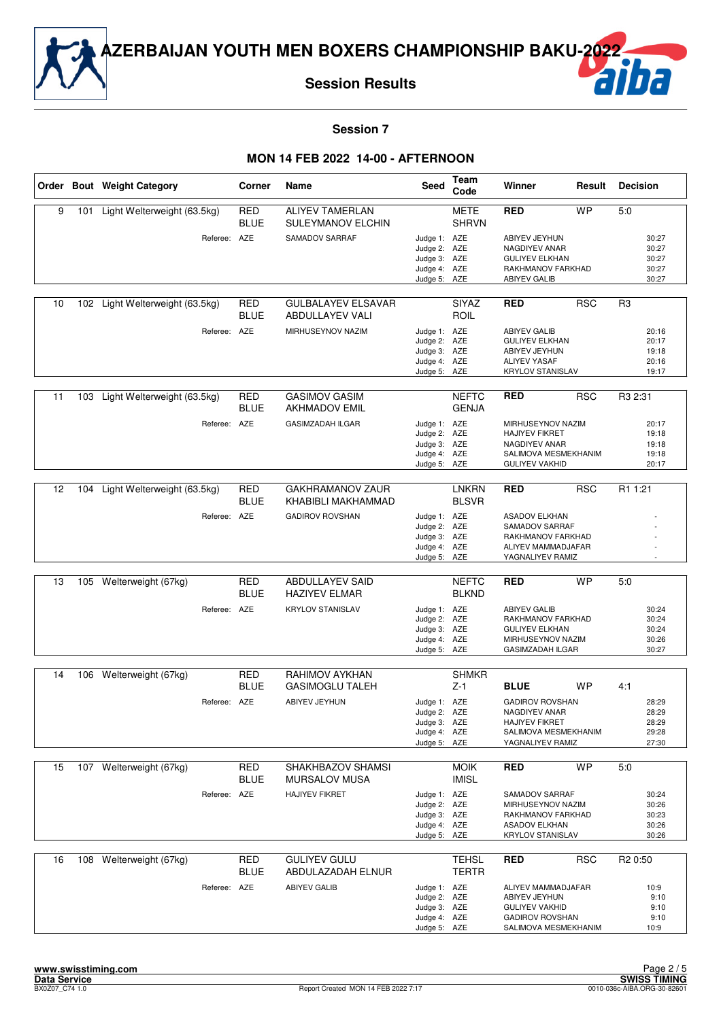

**Session Results**



**Session 7**

|    |     | Order Bout Weight Category                  | Corner                    | Name                                                          | <b>Seed</b>                                                                  | Team<br>Code                 | Winner                                                                                                                      | Result     | <b>Decision</b>                                  |
|----|-----|---------------------------------------------|---------------------------|---------------------------------------------------------------|------------------------------------------------------------------------------|------------------------------|-----------------------------------------------------------------------------------------------------------------------------|------------|--------------------------------------------------|
| 9  | 101 | Light Welterweight (63.5kg)<br>Referee: AZE | RED<br><b>BLUE</b>        | <b>ALIYEV TAMERLAN</b><br>SULEYMANOV ELCHIN<br>SAMADOV SARRAF | Judge 1: AZE<br>Judge 2: AZE<br>Judge 3: AZE                                 | <b>METE</b><br><b>SHRVN</b>  | <b>RED</b><br>ABIYEV JEYHUN<br>NAGDIYEV ANAR<br><b>GULIYEV ELKHAN</b>                                                       | <b>WP</b>  | 5.0<br>30:27<br>30:27<br>30:27                   |
|    |     |                                             |                           |                                                               | Judge 4: AZE<br>Judge 5: AZE                                                 |                              | RAKHMANOV FARKHAD<br><b>ABIYEV GALIB</b>                                                                                    |            | 30:27<br>30:27                                   |
| 10 | 102 | Light Welterweight (63.5kg)                 | RED<br><b>BLUE</b>        | <b>GULBALAYEV ELSAVAR</b><br>ABDULLAYEV VALI                  |                                                                              | <b>SIYAZ</b><br>ROIL         | <b>RED</b>                                                                                                                  | <b>RSC</b> | R <sub>3</sub>                                   |
|    |     | Referee: AZE                                |                           | MIRHUSEYNOV NAZIM                                             | Judge 1: AZE<br>Judge 2: AZE<br>Judge 3: AZE<br>Judge 4: AZE<br>Judge 5: AZE |                              | <b>ABIYEV GALIB</b><br><b>GULIYEV ELKHAN</b><br>ABIYEV JEYHUN<br><b>ALIYEV YASAF</b><br><b>KRYLOV STANISLAV</b>             |            | 20:16<br>20:17<br>19:18<br>20:16<br>19:17        |
| 11 | 103 | Light Welterweight (63.5kg)                 | RED<br><b>BLUE</b>        | <b>GASIMOV GASIM</b><br><b>AKHMADOV EMIL</b>                  |                                                                              | <b>NEFTC</b><br><b>GENJA</b> | RED                                                                                                                         | <b>RSC</b> | R3 2:31                                          |
|    |     | Referee: AZE                                |                           | <b>GASIMZADAH ILGAR</b>                                       | Judge 1: AZE<br>Judge 2: AZE<br>Judge 3: AZE<br>Judge 4: AZE<br>Judge 5: AZE |                              | MIRHUSEYNOV NAZIM<br><b>HAJIYEV FIKRET</b><br>NAGDIYEV ANAR<br>SALIMOVA MESMEKHANIM<br><b>GULIYEV VAKHID</b>                |            | 20:17<br>19:18<br>19:18<br>19:18<br>20:17        |
| 12 | 104 | Light Welterweight (63.5kg)                 | <b>RED</b>                | <b>GAKHRAMANOV ZAUR</b>                                       |                                                                              | <b>LNKRN</b>                 | <b>RED</b>                                                                                                                  | <b>RSC</b> | R1 1:21                                          |
|    |     | Referee: AZE                                | <b>BLUE</b>               | KHABIBLI MAKHAMMAD<br><b>GADIROV ROVSHAN</b>                  | Judge 1: AZE<br>Judge 2: AZE<br>Judge 3: AZE<br>Judge 4: AZE                 | <b>BLSVR</b>                 | <b>ASADOV ELKHAN</b><br>SAMADOV SARRAF<br>RAKHMANOV FARKHAD<br>ALIYEV MAMMADJAFAR                                           |            |                                                  |
|    |     |                                             |                           |                                                               | Judge 5: AZE                                                                 |                              | YAGNALIYEV RAMIZ                                                                                                            |            |                                                  |
| 13 | 105 | Welterweight (67kg)                         | <b>RED</b><br><b>BLUE</b> | <b>ABDULLAYEV SAID</b><br><b>HAZIYEV ELMAR</b>                |                                                                              | <b>NEFTC</b><br><b>BLKND</b> | <b>RED</b>                                                                                                                  | <b>WP</b>  | 5.0                                              |
|    |     | Referee: AZE                                |                           | <b>KRYLOV STANISLAV</b>                                       | Judge 1: AZE<br>Judge 2: AZE<br>Judge 3: AZE<br>Judge 4: AZE<br>Judge 5: AZE |                              | <b>ABIYEV GALIB</b><br>RAKHMANOV FARKHAD<br><b>GULIYEV ELKHAN</b><br>MIRHUSEYNOV NAZIM<br><b>GASIMZADAH ILGAR</b>           |            | 30:24<br>30:24<br>30:24<br>30:26<br>30:27        |
| 14 |     | 106 Welterweight (67kg)                     | <b>RED</b>                | RAHIMOV AYKHAN                                                |                                                                              | <b>SHMKR</b>                 |                                                                                                                             |            |                                                  |
|    |     | Referee: AZE                                | <b>BLUE</b>               | <b>GASIMOGLU TALEH</b><br>ABIYEV JEYHUN                       | Judge 1: AZE<br>Judge 2: AZE<br>Judge 3: AZE<br>Judge 4: AZE<br>Judge 5: AZE | $Z-1$                        | <b>BLUE</b><br><b>GADIROV ROVSHAN</b><br>NAGDIYEV ANAR<br><b>HAJIYEV FIKRET</b><br>SALIMOVA MESMEKHANIM<br>YAGNALIYEV RAMIZ | WP         | 4:1<br>28:29<br>28:29<br>28:29<br>29:28<br>27:30 |
| 15 |     | 107 Welterweight (67kg)                     | RED<br><b>BLUE</b>        | SHAKHBAZOV SHAMSI<br><b>MURSALOV MUSA</b>                     |                                                                              | <b>MOIK</b><br><b>IMISL</b>  | <b>RED</b>                                                                                                                  | <b>WP</b>  | 5:0                                              |
|    |     | Referee: AZE                                |                           | <b>HAJIYEV FIKRET</b>                                         | Judge 1: AZE<br>Judge 2: AZE<br>Judge 3: AZE<br>Judge 4: AZE<br>Judge 5: AZE |                              | SAMADOV SARRAF<br>MIRHUSEYNOV NAZIM<br>RAKHMANOV FARKHAD<br><b>ASADOV ELKHAN</b><br><b>KRYLOV STANISLAV</b>                 |            | 30:24<br>30:26<br>30:23<br>30:26<br>30:26        |
| 16 |     | 108 Welterweight (67kg)                     | <b>RED</b><br><b>BLUE</b> | <b>GULIYEV GULU</b><br>ABDULAZADAH ELNUR                      |                                                                              | <b>TEHSL</b><br><b>TERTR</b> | <b>RED</b>                                                                                                                  | <b>RSC</b> | R <sub>2</sub> 0:50                              |
|    |     | Referee: AZE                                |                           | <b>ABIYEV GALIB</b>                                           | Judge 1: AZE<br>Judge 2: AZE<br>Judge 3: AZE<br>Judge 4: AZE<br>Judge 5: AZE |                              | ALIYEV MAMMADJAFAR<br>ABIYEV JEYHUN<br><b>GULIYEV VAKHID</b><br><b>GADIROV ROVSHAN</b><br>SALIMOVA MESMEKHANIM              |            | 10:9<br>9:10<br>9:10<br>9:10<br>10:9             |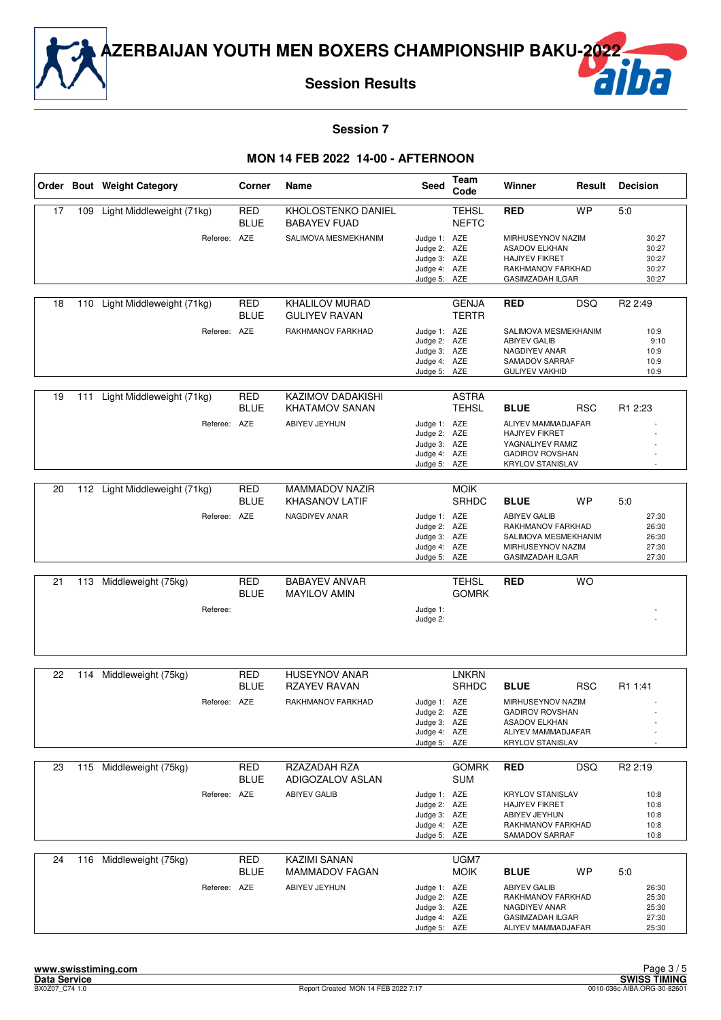

**Session Results**



**Session 7**

|    |     | Order Bout Weight Category | Corner                    | Name                                              | Seed                                                                         | Team<br>Code                 | Winner                                                                                                                    | Result     | <b>Decision</b>                                  |
|----|-----|----------------------------|---------------------------|---------------------------------------------------|------------------------------------------------------------------------------|------------------------------|---------------------------------------------------------------------------------------------------------------------------|------------|--------------------------------------------------|
| 17 | 109 | Light Middleweight (71kg)  | <b>RED</b><br><b>BLUE</b> | KHOLOSTENKO DANIEL<br><b>BABAYEV FUAD</b>         |                                                                              | <b>TEHSL</b><br><b>NEFTC</b> | <b>RED</b>                                                                                                                | <b>WP</b>  | 5:0                                              |
|    |     | Referee: AZE               |                           | SALIMOVA MESMEKHANIM                              | Judge 1: AZE<br>Judge 2: AZE<br>Judge 3: AZE<br>Judge 4: AZE<br>Judge 5: AZE |                              | MIRHUSEYNOV NAZIM<br><b>ASADOV ELKHAN</b><br><b>HAJIYEV FIKRET</b><br>RAKHMANOV FARKHAD<br><b>GASIMZADAH ILGAR</b>        |            | 30:27<br>30:27<br>30:27<br>30:27<br>30:27        |
| 18 | 110 | Light Middleweight (71kg)  | RED<br><b>BLUE</b>        | <b>KHALILOV MURAD</b><br><b>GULIYEV RAVAN</b>     |                                                                              | <b>GENJA</b><br><b>TERTR</b> | <b>RED</b>                                                                                                                | <b>DSQ</b> | R <sub>2</sub> 2:49                              |
|    |     | Referee: AZE               |                           | RAKHMANOV FARKHAD                                 | Judge 1: AZE<br>Judge 2: AZE<br>Judge 3: AZE<br>Judge 4: AZE<br>Judge 5: AZE |                              | SALIMOVA MESMEKHANIM<br><b>ABIYEV GALIB</b><br>NAGDIYEV ANAR<br>SAMADOV SARRAF<br><b>GULIYEV VAKHID</b>                   |            | 10:9<br>9:10<br>10:9<br>10:9<br>10:9             |
| 19 | 111 | Light Middleweight (71kg)  | <b>RED</b><br><b>BLUE</b> | <b>KAZIMOV DADAKISHI</b><br><b>KHATAMOV SANAN</b> |                                                                              | <b>ASTRA</b><br><b>TEHSL</b> | <b>BLUE</b>                                                                                                               | <b>RSC</b> | R <sub>1</sub> 2:23                              |
|    |     | Referee:                   | AZE                       | ABIYEV JEYHUN                                     | Judge 1: AZE<br>Judge 2: AZE<br>Judge 3: AZE<br>Judge 4: AZE<br>Judge 5: AZE |                              | ALIYEV MAMMADJAFAR<br><b>HAJIYEV FIKRET</b><br>YAGNALIYEV RAMIZ<br><b>GADIROV ROVSHAN</b><br><b>KRYLOV STANISLAV</b>      |            |                                                  |
| 20 | 112 | Light Middleweight (71kg)  | <b>RED</b>                | MAMMADOV NAZIR                                    |                                                                              | <b>MOIK</b>                  |                                                                                                                           |            |                                                  |
|    |     |                            | <b>BLUE</b>               | <b>KHASANOV LATIF</b>                             |                                                                              | <b>SRHDC</b>                 | <b>BLUE</b>                                                                                                               | WP         | 5:0                                              |
|    |     | Referee: AZE               |                           | NAGDIYEV ANAR                                     | Judge 1: AZE<br>Judge 2: AZE<br>Judge 3: AZE<br>Judge 4: AZE<br>Judge 5: AZE |                              | <b>ABIYEV GALIB</b><br>RAKHMANOV FARKHAD<br>SALIMOVA MESMEKHANIM<br>MIRHUSEYNOV NAZIM<br><b>GASIMZADAH ILGAR</b>          |            | 27:30<br>26:30<br>26:30<br>27:30<br>27:30        |
|    |     |                            |                           |                                                   |                                                                              |                              |                                                                                                                           |            |                                                  |
| 21 | 113 | Middleweight (75kg)        | <b>RED</b><br><b>BLUE</b> | <b>BABAYEV ANVAR</b><br><b>MAYILOV AMIN</b>       | Judge 1:                                                                     | <b>TEHSL</b><br><b>GOMRK</b> | <b>RED</b>                                                                                                                | <b>WO</b>  |                                                  |
|    |     | Referee:                   |                           |                                                   | Judge 2:                                                                     |                              |                                                                                                                           |            |                                                  |
| 22 | 114 | Middleweight (75kg)        | RED                       | <b>HUSEYNOV ANAR</b>                              |                                                                              | LNKRN                        |                                                                                                                           |            |                                                  |
|    |     |                            | <b>BLUE</b>               | <b>RZAYEV RAVAN</b>                               |                                                                              | <b>SRHDC</b>                 | <b>BLUE</b>                                                                                                               | <b>RSC</b> | R1 1:41                                          |
|    |     | Referee: AZE               |                           | RAKHMANOV FARKHAD                                 | Judge 1: AZE<br>Judge 2: AZE<br>Judge 3: AZE<br>Judge 4: AZE<br>Judge 5: AZE |                              | MIRHUSEYNOV NAZIM<br><b>GADIROV ROVSHAN</b><br><b>ASADOV ELKHAN</b><br>ALIYEV MAMMADJAFAR<br><b>KRYLOV STANISLAV</b>      |            |                                                  |
| 23 |     | 115 Middleweight (75kg)    | <b>RED</b><br><b>BLUE</b> | RZAZADAH RZA<br>ADIGOZALOV ASLAN                  |                                                                              | <b>GOMRK</b><br><b>SUM</b>   | <b>RED</b>                                                                                                                | <b>DSQ</b> | R <sub>2</sub> 2:19                              |
|    |     | Referee: AZE               |                           | <b>ABIYEV GALIB</b>                               | Judge 1: AZE<br>Judge 2: AZE<br>Judge 3: AZE<br>Judge 4: AZE<br>Judge 5: AZE |                              | <b>KRYLOV STANISLAV</b><br><b>HAJIYEV FIKRET</b><br>ABIYEV JEYHUN<br>RAKHMANOV FARKHAD<br>SAMADOV SARRAF                  |            | 10:8<br>10:8<br>10:8<br>10:8<br>10:8             |
| 24 | 116 | Middleweight (75kg)        | <b>RED</b>                | <b>KAZIMI SANAN</b>                               |                                                                              | UGM7                         |                                                                                                                           |            |                                                  |
|    |     | Referee: AZE               | <b>BLUE</b>               | <b>MAMMADOV FAGAN</b><br>ABIYEV JEYHUN            | Judge 1: AZE<br>Judge 2: AZE<br>Judge 3: AZE<br>Judge 4: AZE<br>Judge 5: AZE | <b>MOIK</b>                  | <b>BLUE</b><br><b>ABIYEV GALIB</b><br>RAKHMANOV FARKHAD<br>NAGDIYEV ANAR<br><b>GASIMZADAH ILGAR</b><br>ALIYEV MAMMADJAFAR | WP         | 5:0<br>26:30<br>25:30<br>25:30<br>27:30<br>25:30 |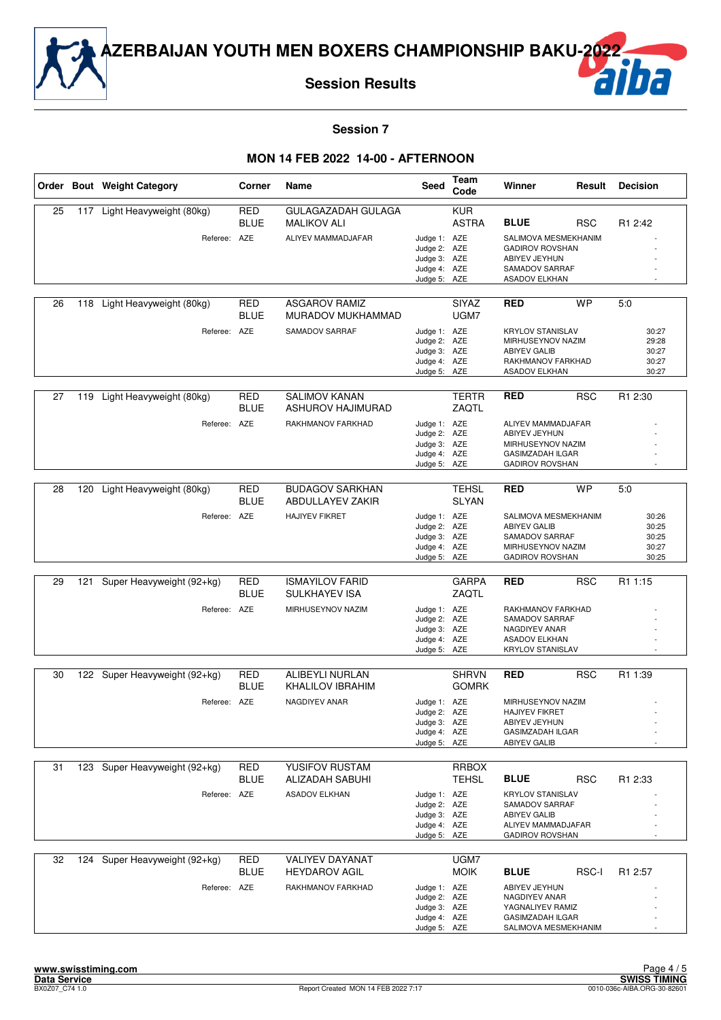

**Session Results**



#### **Session 7**

|    |     | Order Bout Weight Category                    | Corner                    | Name                                                                | Seed                                                                         | Team<br>Code                 | Winner                                                                                                                         | Result     | <b>Decision</b>                                  |
|----|-----|-----------------------------------------------|---------------------------|---------------------------------------------------------------------|------------------------------------------------------------------------------|------------------------------|--------------------------------------------------------------------------------------------------------------------------------|------------|--------------------------------------------------|
| 25 | 117 | Light Heavyweight (80kg)<br>Referee: AZE      | RED<br><b>BLUE</b>        | GULAGAZADAH GULAGA<br><b>MALIKOV ALI</b><br>ALIYEV MAMMADJAFAR      | Judge 1: AZE<br>Judge 2: AZE<br>Judge 3: AZE<br>Judge 4: AZE<br>Judge 5: AZE | <b>KUR</b><br><b>ASTRA</b>   | <b>BLUE</b><br>SALIMOVA MESMEKHANIM<br><b>GADIROV ROVSHAN</b><br>ABIYEV JEYHUN<br>SAMADOV SARRAF<br><b>ASADOV ELKHAN</b>       | <b>RSC</b> | R1 2:42                                          |
| 26 | 118 | Light Heavyweight (80kg)<br>Referee: AZE      | RED<br><b>BLUE</b>        | <b>ASGAROV RAMIZ</b><br>MURADOV MUKHAMMAD<br>SAMADOV SARRAF         | Judge 1: AZE<br>Judge 2: AZE<br>Judge 3: AZE<br>Judge 4: AZE<br>Judge 5: AZE | <b>SIYAZ</b><br>UGM7         | <b>RED</b><br><b>KRYLOV STANISLAV</b><br>MIRHUSEYNOV NAZIM<br><b>ABIYEV GALIB</b><br>RAKHMANOV FARKHAD<br><b>ASADOV ELKHAN</b> | <b>WP</b>  | 5.0<br>30:27<br>29:28<br>30:27<br>30:27<br>30:27 |
| 27 | 119 | Light Heavyweight (80kg)<br>Referee: AZE      | RED<br><b>BLUE</b>        | <b>SALIMOV KANAN</b><br>ASHUROV HAJIMURAD<br>RAKHMANOV FARKHAD      | Judge 1: AZE<br>Judge 2: AZE<br>Judge 3: AZE<br>Judge 4: AZE<br>Judge 5: AZE | <b>TERTR</b><br>ZAQTL        | <b>RED</b><br>ALIYEV MAMMADJAFAR<br>ABIYEV JEYHUN<br>MIRHUSEYNOV NAZIM<br><b>GASIMZADAH ILGAR</b><br><b>GADIROV ROVSHAN</b>    | <b>RSC</b> | R1 2:30                                          |
| 28 | 120 | Light Heavyweight (80kg)<br>Referee: AZE      | <b>RED</b><br><b>BLUE</b> | <b>BUDAGOV SARKHAN</b><br>ABDULLAYEV ZAKIR<br><b>HAJIYEV FIKRET</b> | Judge 1: AZE<br>Judge 2: AZE<br>Judge 3: AZE<br>Judge 4: AZE<br>Judge 5: AZE | <b>TEHSL</b><br><b>SLYAN</b> | <b>RED</b><br>SALIMOVA MESMEKHANIM<br><b>ABIYEV GALIB</b><br>SAMADOV SARRAF<br>MIRHUSEYNOV NAZIM<br><b>GADIROV ROVSHAN</b>     | <b>WP</b>  | 5:0<br>30:26<br>30:25<br>30:25<br>30:27<br>30:25 |
| 29 | 121 | Super Heavyweight (92+kg)<br>Referee: AZE     | <b>RED</b><br><b>BLUE</b> | <b>ISMAYILOV FARID</b><br>SULKHAYEV ISA<br>MIRHUSEYNOV NAZIM        | Judge 1: AZE<br>Judge 2: AZE<br>Judge 3: AZE<br>Judge 4: AZE<br>Judge 5: AZE | <b>GARPA</b><br>ZAQTL        | <b>RED</b><br>RAKHMANOV FARKHAD<br>SAMADOV SARRAF<br>NAGDIYEV ANAR<br><b>ASADOV ELKHAN</b><br><b>KRYLOV STANISLAV</b>          | <b>RSC</b> | R1 1:15                                          |
| 30 |     | 122 Super Heavyweight (92+kg)<br>Referee: AZE | RED<br><b>BLUE</b>        | ALIBEYLI NURLAN<br><b>KHALILOV IBRAHIM</b><br>NAGDIYEV ANAR         | Judge 1: AZE<br>Judge 2: AZE<br>Judge 3: AZE<br>Judge 4: AZE<br>Judge 5: AZE | <b>SHRVN</b><br><b>GOMRK</b> | <b>RED</b><br>MIRHUSEYNOV NAZIM<br><b>HAJIYEV FIKRET</b><br>ABIYEV JEYHUN<br>GASIMZADAH ILGAR<br><b>ABIYEV GALIB</b>           | <b>RSC</b> | R1 1:39                                          |
| 31 |     | 123 Super Heavyweight (92+kg)<br>Referee: AZE | RED<br><b>BLUE</b>        | YUSIFOV RUSTAM<br>ALIZADAH SABUHI<br><b>ASADOV ELKHAN</b>           | Judge 1: AZE<br>Judge 2: AZE<br>Judge 3: AZE<br>Judge 4: AZE<br>Judge 5: AZE | <b>RRBOX</b><br><b>TEHSL</b> | <b>BLUE</b><br><b>KRYLOV STANISLAV</b><br>SAMADOV SARRAF<br>ABIYEV GALIB<br>ALIYEV MAMMADJAFAR<br><b>GADIROV ROVSHAN</b>       | <b>RSC</b> | R1 2:33                                          |
| 32 |     | 124 Super Heavyweight (92+kg)<br>Referee: AZE | <b>RED</b><br><b>BLUE</b> | <b>VALIYEV DAYANAT</b><br><b>HEYDAROV AGIL</b><br>RAKHMANOV FARKHAD | Judge 1: AZE<br>Judge 2: AZE<br>Judge 3: AZE<br>Judge 4: AZE<br>Judge 5: AZE | UGM7<br><b>MOIK</b>          | <b>BLUE</b><br>ABIYEV JEYHUN<br>NAGDIYEV ANAR<br>YAGNALIYEV RAMIZ<br><b>GASIMZADAH ILGAR</b><br>SALIMOVA MESMEKHANIM           | RSC-I      | R <sub>1</sub> 2:57                              |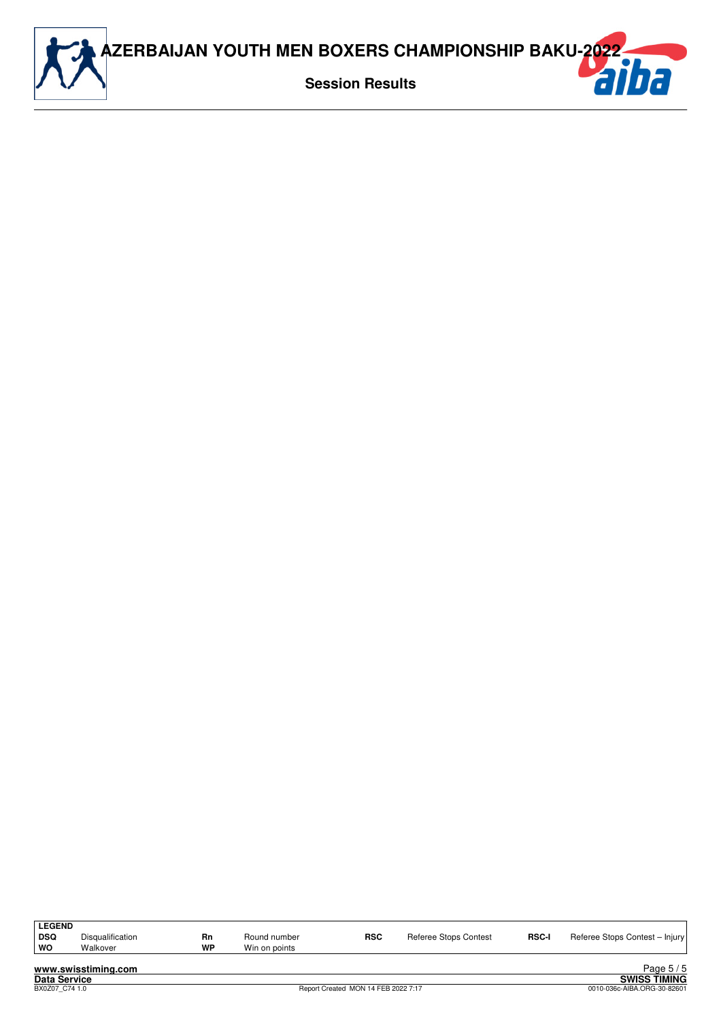

| <b>LEGEND</b><br><b>DSQ</b><br>WO | Disqualification<br>Walkover | Rn<br>WP | Round number<br>Win on points | <b>RSC</b> | Referee Stops Contest | <b>RSC-I</b> | Referee Stops Contest - Injury |
|-----------------------------------|------------------------------|----------|-------------------------------|------------|-----------------------|--------------|--------------------------------|
|                                   | www.swisstiming.com          |          |                               |            |                       |              | Page $5/5$                     |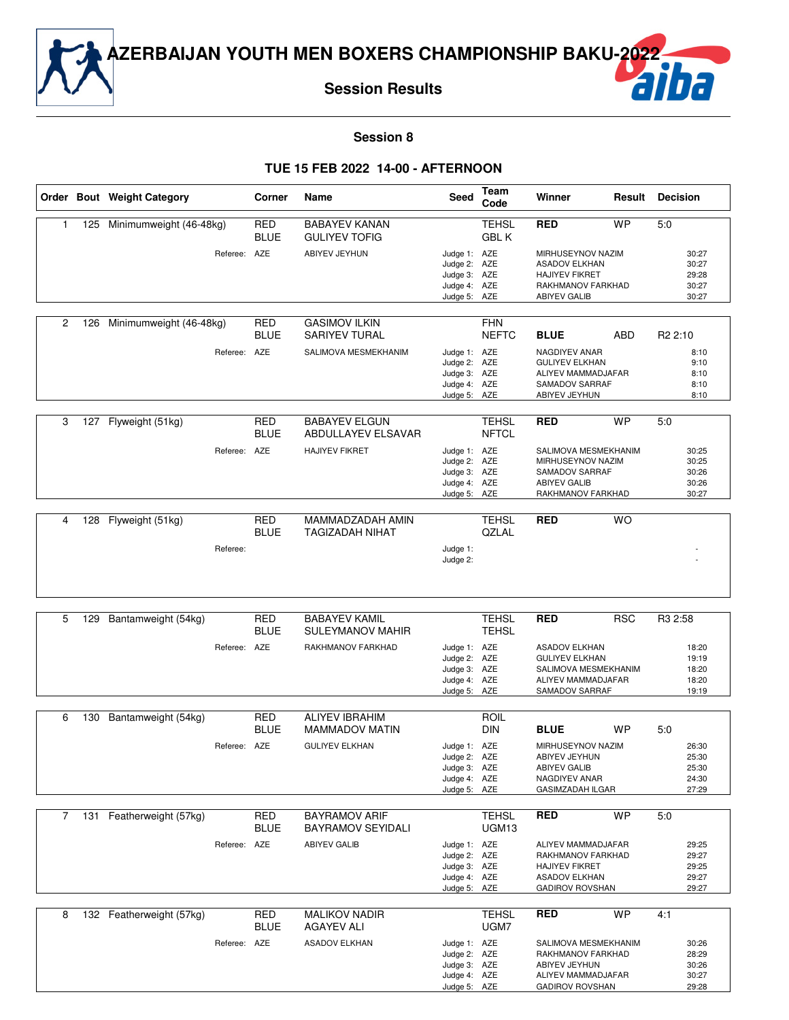

#### **Session 8**

#### **TUE 15 FEB 2022 14-00 - AFTERNOON**

|                |     | Order Bout Weight Category | Corner                    | Name                                             | <b>Seed</b>                                                                  | Team<br>Code                 | Winner                                                                                                             | Result     | <b>Decision</b>                                  |
|----------------|-----|----------------------------|---------------------------|--------------------------------------------------|------------------------------------------------------------------------------|------------------------------|--------------------------------------------------------------------------------------------------------------------|------------|--------------------------------------------------|
| 1              | 125 | Minimumweight (46-48kg)    | <b>RED</b><br><b>BLUE</b> | <b>BABAYEV KANAN</b><br><b>GULIYEV TOFIG</b>     |                                                                              | <b>TEHSL</b><br><b>GBLK</b>  | <b>RED</b>                                                                                                         | <b>WP</b>  | 5:0                                              |
|                |     | Referee: AZE               |                           | ABIYEV JEYHUN                                    | Judge 1: AZE<br>Judge 2: AZE<br>Judge 3: AZE<br>Judge 4: AZE<br>Judge 5: AZE |                              | MIRHUSEYNOV NAZIM<br><b>ASADOV ELKHAN</b><br><b>HAJIYEV FIKRET</b><br>RAKHMANOV FARKHAD<br><b>ABIYEV GALIB</b>     |            | 30:27<br>30:27<br>29:28<br>30:27<br>30:27        |
| 2              | 126 | Minimumweight (46-48kg)    | <b>RED</b><br><b>BLUE</b> | <b>GASIMOV ILKIN</b><br>SARIYEV TURAL            |                                                                              | <b>FHN</b><br><b>NEFTC</b>   | <b>BLUE</b>                                                                                                        | ABD        | R <sub>2</sub> 2:10                              |
|                |     | Referee: AZE               |                           | SALIMOVA MESMEKHANIM                             | Judge 1: AZE<br>Judge 2: AZE<br>Judge 3: AZE<br>Judge 4: AZE<br>Judge 5: AZE |                              | NAGDIYEV ANAR<br><b>GULIYEV ELKHAN</b><br>ALIYEV MAMMADJAFAR<br>SAMADOV SARRAF<br>ABIYEV JEYHUN                    |            | 8:10<br>9:10<br>8:10<br>8:10<br>8:10             |
| 3              |     | 127 Flyweight (51kg)       | <b>RED</b><br><b>BLUE</b> | <b>BABAYEV ELGUN</b><br>ABDULLAYEV ELSAVAR       |                                                                              | <b>TEHSL</b><br><b>NFTCL</b> | <b>RED</b>                                                                                                         | <b>WP</b>  | 5:0                                              |
|                |     | Referee: AZE               |                           | <b>HAJIYEV FIKRET</b>                            | Judge 1: AZE<br>Judge 2: AZE<br>Judge 3: AZE<br>Judge 4: AZE<br>Judge 5: AZE |                              | SALIMOVA MESMEKHANIM<br>MIRHUSEYNOV NAZIM<br>SAMADOV SARRAF<br><b>ABIYEV GALIB</b><br>RAKHMANOV FARKHAD            |            | 30:25<br>30:25<br>30:26<br>30:26<br>30:27        |
| 4              | 128 | Flyweight (51kg)           | <b>RED</b>                | MAMMADZADAH AMIN                                 |                                                                              | <b>TEHSL</b>                 | <b>RED</b>                                                                                                         | <b>WO</b>  |                                                  |
|                |     | Referee:                   | <b>BLUE</b>               | <b>TAGIZADAH NIHAT</b>                           | Judge 1:<br>Judge 2:                                                         | QZLAL                        |                                                                                                                    |            |                                                  |
|                |     |                            |                           |                                                  |                                                                              |                              |                                                                                                                    |            |                                                  |
| 5              | 129 | Bantamweight (54kg)        | <b>RED</b><br><b>BLUE</b> | <b>BABAYEV KAMIL</b><br><b>SULEYMANOV MAHIR</b>  |                                                                              | <b>TEHSL</b><br><b>TEHSL</b> | <b>RED</b>                                                                                                         | <b>RSC</b> | R3 2:58                                          |
|                |     | Referee: AZE               |                           | RAKHMANOV FARKHAD                                | Judge 1: AZE<br>Judge 2: AZE<br>Judge 3: AZE<br>Judge 4: AZE<br>Judge 5: AZE |                              | <b>ASADOV ELKHAN</b><br><b>GULIYEV ELKHAN</b><br>SALIMOVA MESMEKHANIM<br>ALIYEV MAMMADJAFAR<br>SAMADOV SARRAF      |            | 18:20<br>19:19<br>18:20<br>18:20<br>19:19        |
| 6              | 130 | Bantamweight (54kg)        | <b>RED</b>                | <b>ALIYEV IBRAHIM</b>                            |                                                                              | <b>ROIL</b>                  |                                                                                                                    |            |                                                  |
|                |     | Referee: AZE               | <b>BLUE</b>               | MAMMADOV MATIN<br><b>GULIYEV ELKHAN</b>          | Judge 1: AZE<br>Judge 2: AZE<br>Judge 3: AZE<br>Judge 4: AZE<br>Judge 5: AZE | <b>DIN</b>                   | <b>BLUE</b><br>MIRHUSEYNOV NAZIM<br>ABIYEV JEYHUN<br><b>ABIYEV GALIB</b><br>NAGDIYEV ANAR<br>GASIMZADAH ILGAR      | <b>WP</b>  | 5:0<br>26:30<br>25:30<br>25:30<br>24:30<br>27:29 |
| $\overline{7}$ |     | 131 Featherweight (57kg)   | <b>RED</b><br><b>BLUE</b> | <b>BAYRAMOV ARIF</b><br><b>BAYRAMOV SEYIDALI</b> |                                                                              | <b>TEHSL</b><br>UGM13        | <b>RED</b>                                                                                                         | <b>WP</b>  | 5:0                                              |
|                |     | Referee: AZE               |                           | <b>ABIYEV GALIB</b>                              | Judge 1: AZE<br>Judge 2: AZE<br>Judge 3: AZE<br>Judge 4: AZE<br>Judge 5: AZE |                              | ALIYEV MAMMADJAFAR<br>RAKHMANOV FARKHAD<br><b>HAJIYEV FIKRET</b><br><b>ASADOV ELKHAN</b><br><b>GADIROV ROVSHAN</b> |            | 29:25<br>29:27<br>29:25<br>29:27<br>29:27        |
| 8              |     | 132 Featherweight (57kg)   | <b>RED</b><br><b>BLUE</b> | <b>MALIKOV NADIR</b><br><b>AGAYEV ALI</b>        |                                                                              | <b>TEHSL</b><br>UGM7         | <b>RED</b>                                                                                                         | <b>WP</b>  | 4:1                                              |
|                |     | Referee: AZE               |                           | <b>ASADOV ELKHAN</b>                             | Judge 1: AZE<br>Judge 2: AZE<br>Judge 3: AZE<br>Judge 4: AZE<br>Judge 5: AZE |                              | SALIMOVA MESMEKHANIM<br>RAKHMANOV FARKHAD<br>ABIYEV JEYHUN<br>ALIYEV MAMMADJAFAR<br><b>GADIROV ROVSHAN</b>         |            | 30:26<br>28:29<br>30:26<br>30:27<br>29:28        |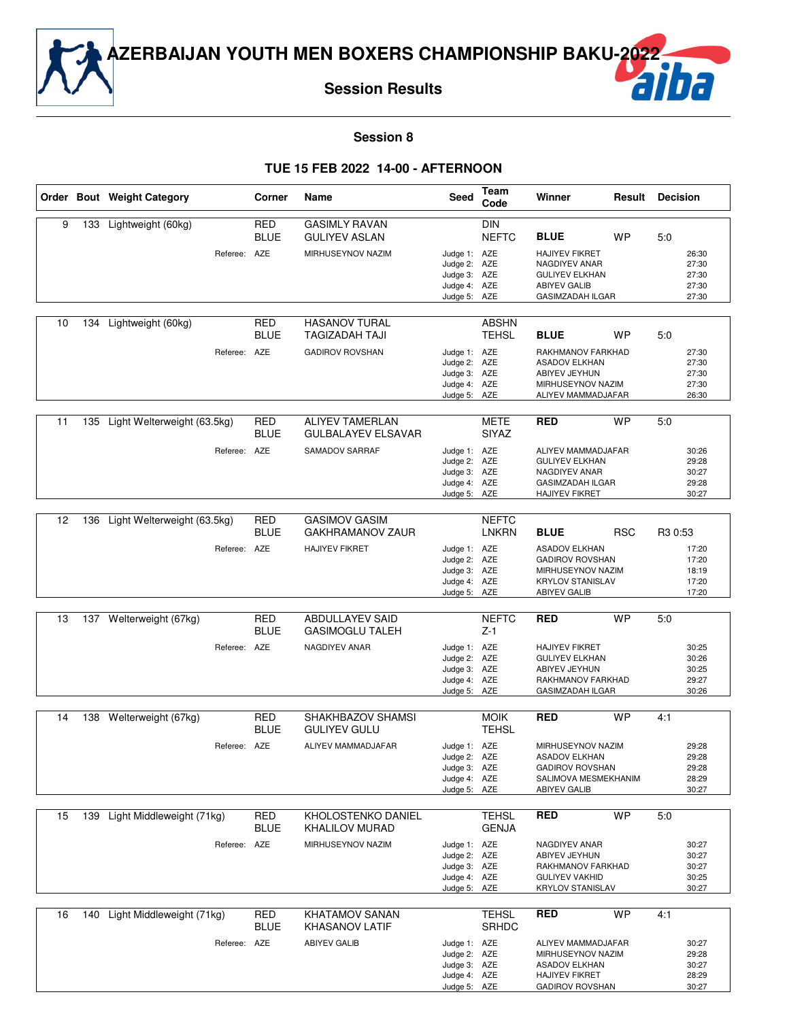**Session Results**

#### **Session 8**

#### **TUE 15 FEB 2022 14-00 - AFTERNOON**

|    |     | Order Bout Weight Category                      | Corner                    | Name                                                                  | Seed                                                                         | Team<br>Code                 | Winner                                                                                                                               |            | <b>Result Decision</b>                                           |
|----|-----|-------------------------------------------------|---------------------------|-----------------------------------------------------------------------|------------------------------------------------------------------------------|------------------------------|--------------------------------------------------------------------------------------------------------------------------------------|------------|------------------------------------------------------------------|
| 9  |     | 133 Lightweight (60kg)<br>Referee: AZE          | <b>RED</b><br><b>BLUE</b> | <b>GASIMLY RAVAN</b><br><b>GULIYEV ASLAN</b><br>MIRHUSEYNOV NAZIM     | Judge 1: AZE<br>Judge 2: AZE<br>Judge 3: AZE<br>Judge 4: AZE<br>Judge 5: AZE | <b>DIN</b><br><b>NEFTC</b>   | <b>BLUE</b><br><b>HAJIYEV FIKRET</b><br>NAGDIYEV ANAR<br><b>GULIYEV ELKHAN</b><br><b>ABIYEV GALIB</b><br><b>GASIMZADAH ILGAR</b>     | WP         | 5:0<br>26:30<br>27:30<br>27:30<br>27:30<br>27:30                 |
| 10 | 134 | Lightweight (60kg)<br>Referee: AZE              | <b>RED</b><br><b>BLUE</b> | <b>HASANOV TURAL</b><br>TAGIZADAH TAJI<br><b>GADIROV ROVSHAN</b>      | Judge 1: AZE<br>Judge 2: AZE<br>Judge 3: AZE<br>Judge 4: AZE<br>Judge 5: AZE | <b>ABSHN</b><br>TEHSL        | <b>BLUE</b><br>RAKHMANOV FARKHAD<br><b>ASADOV ELKHAN</b><br>ABIYEV JEYHUN<br>MIRHUSEYNOV NAZIM<br>ALIYEV MAMMADJAFAR                 | WP         | 5:0<br>27:30<br>27:30<br>27:30<br>27:30<br>26:30                 |
| 11 |     | 135 Light Welterweight (63.5kg)<br>Referee: AZE | <b>RED</b><br><b>BLUE</b> | <b>ALIYEV TAMERLAN</b><br><b>GULBALAYEV ELSAVAR</b><br>SAMADOV SARRAF | Judge 1: AZE<br>Judge 2: AZE<br>Judge 3: AZE<br>Judge 4: AZE<br>Judge 5: AZE | <b>METE</b><br><b>SIYAZ</b>  | <b>RED</b><br>ALIYEV MAMMADJAFAR<br><b>GULIYEV ELKHAN</b><br>NAGDIYEV ANAR<br><b>GASIMZADAH ILGAR</b><br><b>HAJIYEV FIKRET</b>       | <b>WP</b>  | 5:0<br>30:26<br>29:28<br>30:27<br>29:28<br>30:27                 |
| 12 | 136 | Light Welterweight (63.5kg)<br>Referee: AZE     | <b>RED</b><br><b>BLUE</b> | <b>GASIMOV GASIM</b><br>GAKHRAMANOV ZAUR<br><b>HAJIYEV FIKRET</b>     | Judge 1: AZE<br>Judge 2: AZE<br>Judge 3: AZE<br>Judge 4: AZE<br>Judge 5: AZE | <b>NEFTC</b><br>LNKRN        | <b>BLUE</b><br><b>ASADOV ELKHAN</b><br><b>GADIROV ROVSHAN</b><br>MIRHUSEYNOV NAZIM<br><b>KRYLOV STANISLAV</b><br><b>ABIYEV GALIB</b> | <b>RSC</b> | R <sub>3</sub> 0:53<br>17:20<br>17:20<br>18:19<br>17:20<br>17:20 |
| 13 |     | 137 Welterweight (67kg)<br>Referee: AZE         | <b>RED</b><br><b>BLUE</b> | ABDULLAYEV SAID<br><b>GASIMOGLU TALEH</b><br>NAGDIYEV ANAR            | Judge 1: AZE<br>Judge 2: AZE<br>Judge 3: AZE<br>Judge 4: AZE<br>Judge 5: AZE | <b>NEFTC</b><br>$Z-1$        | <b>RED</b><br><b>HAJIYEV FIKRET</b><br><b>GULIYEV ELKHAN</b><br>ABIYEV JEYHUN<br>RAKHMANOV FARKHAD<br><b>GASIMZADAH ILGAR</b>        | <b>WP</b>  | 5:0<br>30:25<br>30:26<br>30:25<br>29:27<br>30:26                 |
| 14 |     | 138 Welterweight (67kg)<br>Referee: AZE         | <b>RED</b><br><b>BLUE</b> | SHAKHBAZOV SHAMSI<br><b>GULIYEV GULU</b><br>ALIYEV MAMMADJAFAR        | Judge 1: AZE<br>Judge 2: AZE<br>Judge 3: AZE<br>Judge 4: AZE<br>Judge 5: AZE | <b>MOIK</b><br><b>TEHSL</b>  | <b>RED</b><br>MIRHUSEYNOV NAZIM<br><b>ASADOV ELKHAN</b><br><b>GADIROV ROVSHAN</b><br>SALIMOVA MESMEKHANIM<br><b>ABIYEV GALIB</b>     | <b>WP</b>  | 4:1<br>29:28<br>29:28<br>29:28<br>28:29<br>30:27                 |
| 15 | 139 | Light Middleweight (71kg)<br>Referee: AZE       | <b>RED</b><br><b>BLUE</b> | KHOLOSTENKO DANIEL<br><b>KHALILOV MURAD</b><br>MIRHUSEYNOV NAZIM      | Judge 1: AZE<br>Judge 2: AZE<br>Judge 3: AZE<br>Judge 4: AZE<br>Judge 5: AZE | <b>TEHSL</b><br><b>GENJA</b> | <b>RED</b><br>NAGDIYEV ANAR<br>ABIYEV JEYHUN<br>RAKHMANOV FARKHAD<br><b>GULIYEV VAKHID</b><br><b>KRYLOV STANISLAV</b>                | <b>WP</b>  | 5:0<br>30:27<br>30:27<br>30:27<br>30:25<br>30:27                 |
| 16 | 140 | Light Middleweight (71kg)<br>Referee: AZE       | RED<br><b>BLUE</b>        | KHATAMOV SANAN<br><b>KHASANOV LATIF</b><br><b>ABIYEV GALIB</b>        | Judge 1: AZE<br>Judge 2: AZE<br>Judge 3: AZE<br>Judge 4: AZE<br>Judge 5: AZE | TEHSL<br><b>SRHDC</b>        | <b>RED</b><br>ALIYEV MAMMADJAFAR<br>MIRHUSEYNOV NAZIM<br><b>ASADOV ELKHAN</b><br><b>HAJIYEV FIKRET</b><br><b>GADIROV ROVSHAN</b>     | <b>WP</b>  | 4:1<br>30:27<br>29:28<br>30:27<br>28:29<br>30:27                 |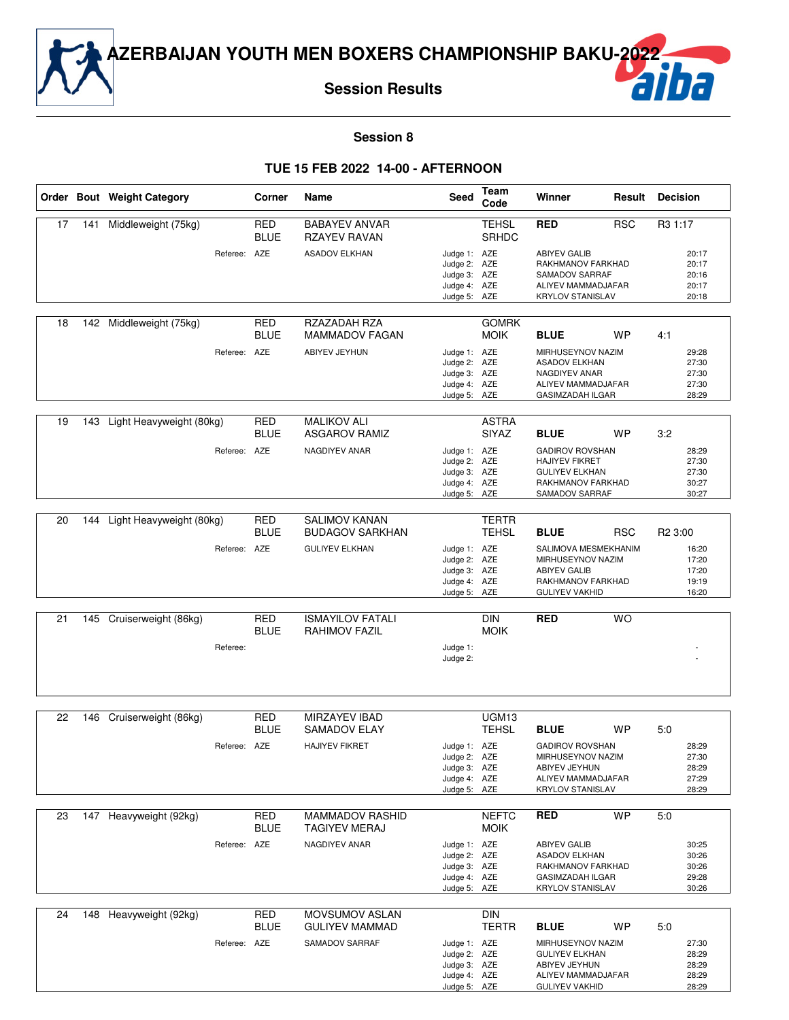

#### **Session 8**

#### **TUE 15 FEB 2022 14-00 - AFTERNOON**

|    |     | Order Bout Weight Category | Corner                    | Name                                           | Seed                                                                         | Team<br>Code                 | Winner                                                                                                                 | Result     | <b>Decision</b>                           |
|----|-----|----------------------------|---------------------------|------------------------------------------------|------------------------------------------------------------------------------|------------------------------|------------------------------------------------------------------------------------------------------------------------|------------|-------------------------------------------|
| 17 | 141 | Middleweight (75kg)        | <b>RED</b><br><b>BLUE</b> | <b>BABAYEV ANVAR</b><br><b>RZAYEV RAVAN</b>    |                                                                              | <b>TEHSL</b><br><b>SRHDC</b> | <b>RED</b>                                                                                                             | <b>RSC</b> | R3 1:17                                   |
|    |     | Referee: AZE               |                           | <b>ASADOV ELKHAN</b>                           | Judge 1: AZE<br>Judge 2: AZE<br>Judge 3: AZE<br>Judge 4: AZE<br>Judge 5: AZE |                              | <b>ABIYEV GALIB</b><br>RAKHMANOV FARKHAD<br>SAMADOV SARRAF<br>ALIYEV MAMMADJAFAR<br><b>KRYLOV STANISLAV</b>            |            | 20:17<br>20:17<br>20:16<br>20:17<br>20:18 |
| 18 |     | 142 Middleweight (75kg)    | <b>RED</b><br><b>BLUE</b> | RZAZADAH RZA<br><b>MAMMADOV FAGAN</b>          |                                                                              | <b>GOMRK</b><br><b>MOIK</b>  | <b>BLUE</b>                                                                                                            | WP         | 4:1                                       |
|    |     | Referee: AZE               |                           | ABIYEV JEYHUN                                  | Judge 1: AZE<br>Judge 2: AZE<br>Judge 3: AZE<br>Judge 4: AZE<br>Judge 5: AZE |                              | MIRHUSEYNOV NAZIM<br><b>ASADOV ELKHAN</b><br>NAGDIYEV ANAR<br>ALIYEV MAMMADJAFAR<br><b>GASIMZADAH ILGAR</b>            |            | 29:28<br>27:30<br>27:30<br>27:30<br>28:29 |
| 19 | 143 | Light Heavyweight (80kg)   | <b>RED</b><br><b>BLUE</b> | <b>MALIKOV ALI</b><br><b>ASGAROV RAMIZ</b>     |                                                                              | <b>ASTRA</b><br>SIYAZ        | <b>BLUE</b>                                                                                                            | <b>WP</b>  | 3:2                                       |
|    |     | Referee: AZE               |                           | NAGDIYEV ANAR                                  | Judge 1: AZE<br>Judge 2: AZE<br>Judge 3: AZE<br>Judge 4: AZE<br>Judge 5: AZE |                              | <b>GADIROV ROVSHAN</b><br><b>HAJIYEV FIKRET</b><br><b>GULIYEV ELKHAN</b><br>RAKHMANOV FARKHAD<br>SAMADOV SARRAF        |            | 28:29<br>27:30<br>27:30<br>30:27<br>30:27 |
| 20 | 144 | Light Heavyweight (80kg)   | RED<br><b>BLUE</b>        | <b>SALIMOV KANAN</b><br><b>BUDAGOV SARKHAN</b> |                                                                              | TERTR<br><b>TEHSL</b>        | <b>BLUE</b>                                                                                                            | <b>RSC</b> | R <sub>2</sub> 3:00                       |
|    |     | Referee: AZE               |                           | <b>GULIYEV ELKHAN</b>                          | Judge 1: AZE<br>Judge 2: AZE<br>Judge 3: AZE<br>Judge 4: AZE<br>Judge 5: AZE |                              | SALIMOVA MESMEKHANIM<br>MIRHUSEYNOV NAZIM<br><b>ABIYEV GALIB</b><br>RAKHMANOV FARKHAD<br><b>GULIYEV VAKHID</b>         |            | 16:20<br>17:20<br>17:20<br>19:19<br>16:20 |
| 21 | 145 | Cruiserweight (86kg)       | <b>RED</b>                | <b>ISMAYILOV FATALI</b>                        |                                                                              | <b>DIN</b>                   | <b>RED</b>                                                                                                             | <b>WO</b>  |                                           |
|    |     | Referee:                   | <b>BLUE</b>               | <b>RAHIMOV FAZIL</b>                           | Judge 1:                                                                     | <b>MOIK</b>                  |                                                                                                                        |            |                                           |
|    |     |                            |                           |                                                | Judge 2:                                                                     |                              |                                                                                                                        |            |                                           |
| 22 | 146 | Cruiserweight (86kg)       | <b>RED</b>                | <b>MIRZAYEV IBAD</b>                           |                                                                              | UGM13                        |                                                                                                                        |            |                                           |
|    |     | Referee: AZE               | <b>BLUE</b>               | SAMADOV ELAY<br><b>HAJIYEV FIKRET</b>          | Judge 1: AZE                                                                 | <b>TEHSL</b>                 | <b>BLUE</b><br><b>GADIROV ROVSHAN</b>                                                                                  | <b>WP</b>  | 5:0<br>28:29                              |
|    |     |                            |                           |                                                | Judge 2: AZE<br>Judge 3: AZE                                                 |                              | MIRHUSEYNOV NAZIM<br>ABIYEV JEYHUN                                                                                     |            | 27:30<br>28:29                            |
|    |     |                            |                           |                                                | Judge 4: AZE<br>Judge 5: AZE                                                 |                              | ALIYEV MAMMADJAFAR<br><b>KRYLOV STANISLAV</b>                                                                          |            | 27:29<br>28:29                            |
| 23 | 147 | Heavyweight (92kg)         | <b>RED</b>                | MAMMADOV RASHID                                |                                                                              | <b>NEFTC</b>                 | RED                                                                                                                    | <b>WP</b>  | 5:0                                       |
|    |     |                            | <b>BLUE</b>               | <b>TAGIYEV MERAJ</b>                           |                                                                              | <b>MOIK</b>                  |                                                                                                                        |            |                                           |
|    |     | Referee: AZE               |                           | NAGDIYEV ANAR                                  | Judge 1: AZE<br>Judge 2: AZE<br>Judge 3: AZE<br>Judge 4: AZE<br>Judge 5: AZE |                              | <b>ABIYEV GALIB</b><br><b>ASADOV ELKHAN</b><br>RAKHMANOV FARKHAD<br><b>GASIMZADAH ILGAR</b><br><b>KRYLOV STANISLAV</b> |            | 30:25<br>30:26<br>30:26<br>29:28<br>30:26 |
| 24 |     | 148 Heavyweight (92kg)     | RED<br><b>BLUE</b>        | MOVSUMOV ASLAN<br><b>GULIYEV MAMMAD</b>        |                                                                              | <b>DIN</b><br><b>TERTR</b>   | <b>BLUE</b>                                                                                                            | WP         | 5:0                                       |
|    |     | Referee: AZE               |                           | SAMADOV SARRAF                                 | Judge 1: AZE<br>Judge 2: AZE<br>Judge 3: AZE<br>Judge 4: AZE<br>Judge 5: AZE |                              | MIRHUSEYNOV NAZIM<br><b>GULIYEV ELKHAN</b><br>ABIYEV JEYHUN<br>ALIYEV MAMMADJAFAR<br><b>GULIYEV VAKHID</b>             |            | 27:30<br>28:29<br>28:29<br>28:29<br>28:29 |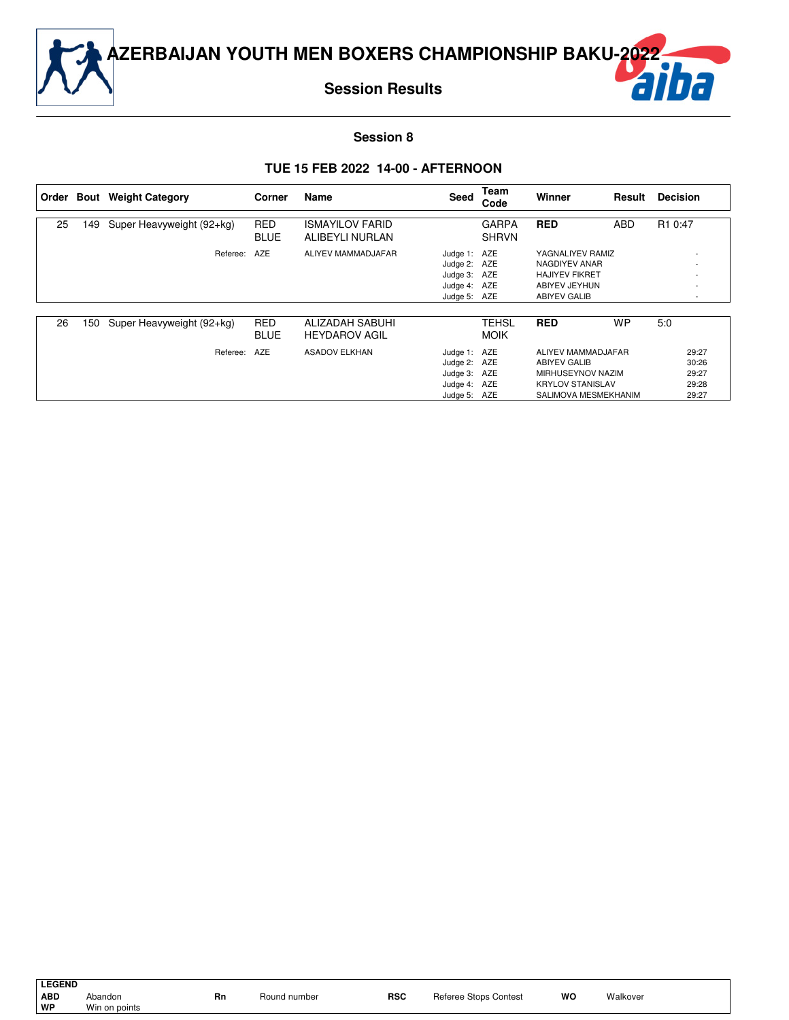

#### **Session 8**

#### **TUE 15 FEB 2022 14-00 - AFTERNOON**

|    |     | Order Bout Weight Category | Corner                    | Name                                      | Seed                                                                         | Team<br>Code                 | Winner                                                                                                     | Result     | <b>Decision</b>                           |
|----|-----|----------------------------|---------------------------|-------------------------------------------|------------------------------------------------------------------------------|------------------------------|------------------------------------------------------------------------------------------------------------|------------|-------------------------------------------|
| 25 | 149 | Super Heavyweight (92+kg)  | <b>RED</b><br><b>BLUE</b> | <b>ISMAYILOV FARID</b><br>ALIBEYLI NURLAN |                                                                              | <b>GARPA</b><br><b>SHRVN</b> | <b>RED</b>                                                                                                 | <b>ABD</b> | R <sub>1</sub> 0:47                       |
|    |     | Referee:                   | AZE                       | ALIYEV MAMMADJAFAR                        | Judge 1: AZE<br>Judge 2: AZE<br>Judge 3: AZE<br>Judge 4: AZE<br>Judge 5: AZE |                              | YAGNALIYEV RAMIZ<br>NAGDIYEV ANAR<br><b>HAJIYEV FIKRET</b><br>ABIYEV JEYHUN<br><b>ABIYEV GALIB</b>         |            |                                           |
| 26 | 150 | Super Heavyweight (92+kg)  | <b>RED</b><br><b>BLUE</b> | ALIZADAH SABUHI<br><b>HEYDAROV AGIL</b>   |                                                                              | TEHSL<br><b>MOIK</b>         | <b>RED</b>                                                                                                 | <b>WP</b>  | 5:0                                       |
|    |     | Referee:                   | AZE                       | <b>ASADOV ELKHAN</b>                      | Judge 1: AZE<br>Judge 2: AZE<br>Judge 3: AZE<br>Judge 4: AZE<br>Judge 5: AZE |                              | ALIYEV MAMMADJAFAR<br>ABIYEV GALIB<br>MIRHUSEYNOV NAZIM<br><b>KRYLOV STANISLAV</b><br>SALIMOVA MESMEKHANIM |            | 29:27<br>30:26<br>29:27<br>29:28<br>29:27 |

**LEGEND**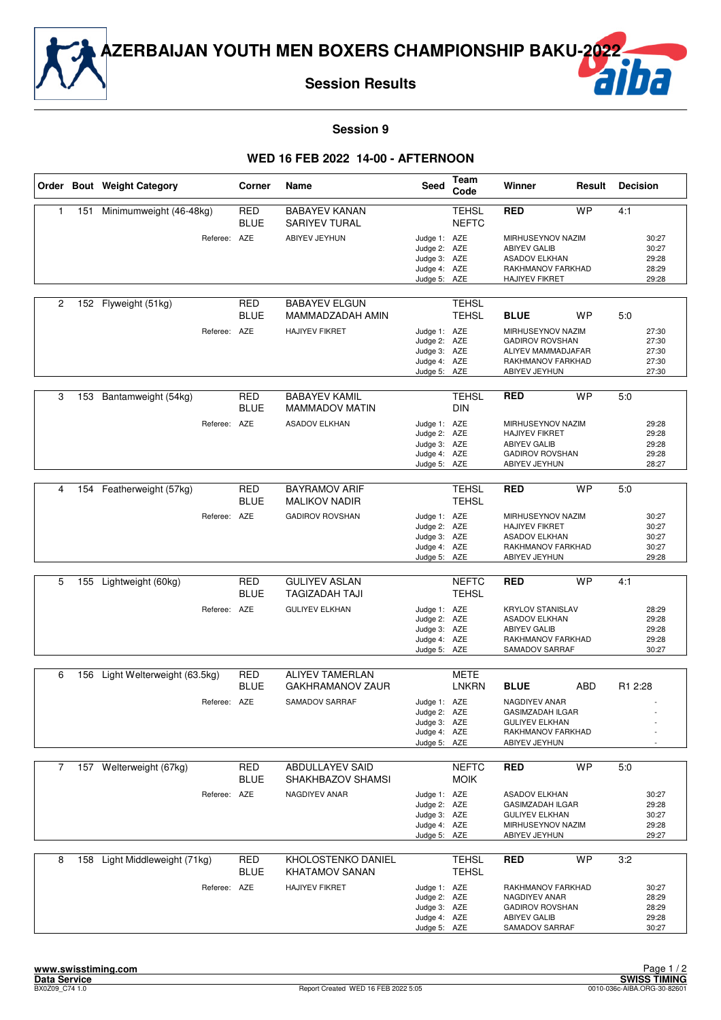

**Session Results**



#### **Session 9**

#### **WED 16 FEB 2022 14-00 - AFTERNOON**

|                |     | Order Bout Weight Category  | Corner                    | Name                                          | <b>Seed</b>                                                                  | Team<br>Code                 | Winner                                                                                                         | Result     | <b>Decision</b>                           |
|----------------|-----|-----------------------------|---------------------------|-----------------------------------------------|------------------------------------------------------------------------------|------------------------------|----------------------------------------------------------------------------------------------------------------|------------|-------------------------------------------|
| 1              | 151 | Minimumweight (46-48kg)     | RED<br><b>BLUE</b>        | <b>BABAYEV KANAN</b><br>SARIYEV TURAL         |                                                                              | <b>TEHSL</b><br><b>NEFTC</b> | <b>RED</b>                                                                                                     | <b>WP</b>  | 4:1                                       |
|                |     | Referee: AZE                |                           | ABIYEV JEYHUN                                 | Judge 1: AZE<br>Judge 2: AZE<br>Judge 3: AZE<br>Judge 4: AZE<br>Judge 5: AZE |                              | MIRHUSEYNOV NAZIM<br><b>ABIYEV GALIB</b><br><b>ASADOV ELKHAN</b><br>RAKHMANOV FARKHAD<br><b>HAJIYEV FIKRET</b> |            | 30:27<br>30:27<br>29:28<br>28:29<br>29:28 |
| $\overline{c}$ |     | 152 Flyweight (51kg)        | RED<br><b>BLUE</b>        | <b>BABAYEV ELGUN</b><br>MAMMADZADAH AMIN      |                                                                              | <b>TEHSL</b><br><b>TEHSL</b> | <b>BLUE</b>                                                                                                    | <b>WP</b>  | 5:0                                       |
|                |     | Referee: AZE                |                           | <b>HAJIYEV FIKRET</b>                         | Judge 1: AZE<br>Judge 2: AZE<br>Judge 3: AZE<br>Judge 4: AZE<br>Judge 5: AZE |                              | MIRHUSEYNOV NAZIM<br><b>GADIROV ROVSHAN</b><br>ALIYEV MAMMADJAFAR<br>RAKHMANOV FARKHAD<br>ABIYEV JEYHUN        |            | 27:30<br>27:30<br>27:30<br>27:30<br>27:30 |
| 3              | 153 | Bantamweight (54kg)         | <b>RED</b><br><b>BLUE</b> | <b>BABAYEV KAMIL</b><br><b>MAMMADOV MATIN</b> |                                                                              | <b>TEHSL</b><br><b>DIN</b>   | <b>RED</b>                                                                                                     | <b>WP</b>  | 5:0                                       |
|                |     | Referee: AZE                |                           | <b>ASADOV ELKHAN</b>                          | Judge 1: AZE<br>Judge 2: AZE<br>Judge 3: AZE<br>Judge 4: AZE<br>Judge 5: AZE |                              | MIRHUSEYNOV NAZIM<br><b>HAJIYEV FIKRET</b><br><b>ABIYEV GALIB</b><br><b>GADIROV ROVSHAN</b><br>ABIYEV JEYHUN   |            | 29:28<br>29:28<br>29:28<br>29:28<br>28:27 |
|                |     |                             |                           |                                               |                                                                              |                              |                                                                                                                |            |                                           |
| 4              | 154 | Featherweight (57kg)        | <b>RED</b><br><b>BLUE</b> | <b>BAYRAMOV ARIF</b><br><b>MALIKOV NADIR</b>  |                                                                              | <b>TEHSL</b><br><b>TEHSL</b> | <b>RED</b>                                                                                                     | <b>WP</b>  | 5:0                                       |
|                |     | Referee: AZE                |                           | <b>GADIROV ROVSHAN</b>                        | Judge 1: AZE<br>Judge 2: AZE<br>Judge 3: AZE<br>Judge 4: AZE<br>Judge 5: AZE |                              | MIRHUSEYNOV NAZIM<br><b>HAJIYEV FIKRET</b><br><b>ASADOV ELKHAN</b><br>RAKHMANOV FARKHAD<br>ABIYEV JEYHUN       |            | 30:27<br>30:27<br>30:27<br>30:27<br>29:28 |
|                |     |                             |                           |                                               |                                                                              |                              |                                                                                                                |            |                                           |
| 5              | 155 | Lightweight (60kg)          | <b>RED</b><br><b>BLUE</b> | <b>GULIYEV ASLAN</b><br><b>TAGIZADAH TAJI</b> |                                                                              | <b>NEFTC</b><br><b>TEHSL</b> | <b>RED</b>                                                                                                     | <b>WP</b>  | 4:1                                       |
|                |     | Referee: AZE                |                           | <b>GULIYEV ELKHAN</b>                         | Judge 1: AZE<br>Judge 2: AZE<br>Judge 3: AZE<br>Judge 4: AZE<br>Judge 5: AZE |                              | <b>KRYLOV STANISLAV</b><br><b>ASADOV ELKHAN</b><br><b>ABIYEV GALIB</b><br>RAKHMANOV FARKHAD<br>SAMADOV SARRAF  |            | 28:29<br>29:28<br>29:28<br>29:28<br>30:27 |
| 6              | 156 | Light Welterweight (63.5kg) | RED                       | <b>ALIYEV TAMERLAN</b>                        |                                                                              | METE                         |                                                                                                                |            |                                           |
|                |     |                             | <b>BLUE</b>               | <b>GAKHRAMANOV ZAUR</b>                       |                                                                              | <b>LNKRN</b>                 | <b>BLUE</b>                                                                                                    | <b>ABD</b> | R1 2:28                                   |
|                |     | Referee: AZE                |                           | SAMADOV SARRAF                                | Judge 1: AZE<br>Judge 2: AZE<br>Judge 3: AZE<br>Judge 4: AZE<br>Judge 5: AZE |                              | NAGDIYEV ANAR<br><b>GASIMZADAH ILGAR</b><br><b>GULIYEV ELKHAN</b><br>RAKHMANOV FARKHAD<br>ABIYEV JEYHUN        |            |                                           |
| 7              |     | 157 Welterweight (67kg)     | <b>RED</b><br><b>BLUE</b> | <b>ABDULLAYEV SAID</b><br>SHAKHBAZOV SHAMSI   |                                                                              | <b>NEFTC</b><br><b>MOIK</b>  | <b>RED</b>                                                                                                     | <b>WP</b>  | 5:0                                       |
|                |     | Referee: AZE                |                           | NAGDIYEV ANAR                                 | Judge 1: AZE<br>Judge 2: AZE<br>Judge 3: AZE<br>Judge 4: AZE<br>Judge 5: AZE |                              | <b>ASADOV ELKHAN</b><br><b>GASIMZADAH ILGAR</b><br><b>GULIYEV ELKHAN</b><br>MIRHUSEYNOV NAZIM<br>ABIYEV JEYHUN |            | 30:27<br>29:28<br>30:27<br>29:28<br>29:27 |
| 8              | 158 | Light Middleweight (71kg)   | RED<br><b>BLUE</b>        | KHOLOSTENKO DANIEL<br><b>KHATAMOV SANAN</b>   |                                                                              | <b>TEHSL</b><br><b>TEHSL</b> | <b>RED</b>                                                                                                     | <b>WP</b>  | 3:2                                       |
|                |     | Referee: AZE                |                           | <b>HAJIYEV FIKRET</b>                         | Judge 1: AZE<br>Judge 2: AZE<br>Judge 3: AZE<br>Judge 4: AZE<br>Judge 5: AZE |                              | RAKHMANOV FARKHAD<br>NAGDIYEV ANAR<br><b>GADIROV ROVSHAN</b><br><b>ABIYEV GALIB</b><br>SAMADOV SARRAF          |            | 30:27<br>28:29<br>28:29<br>29:28<br>30:27 |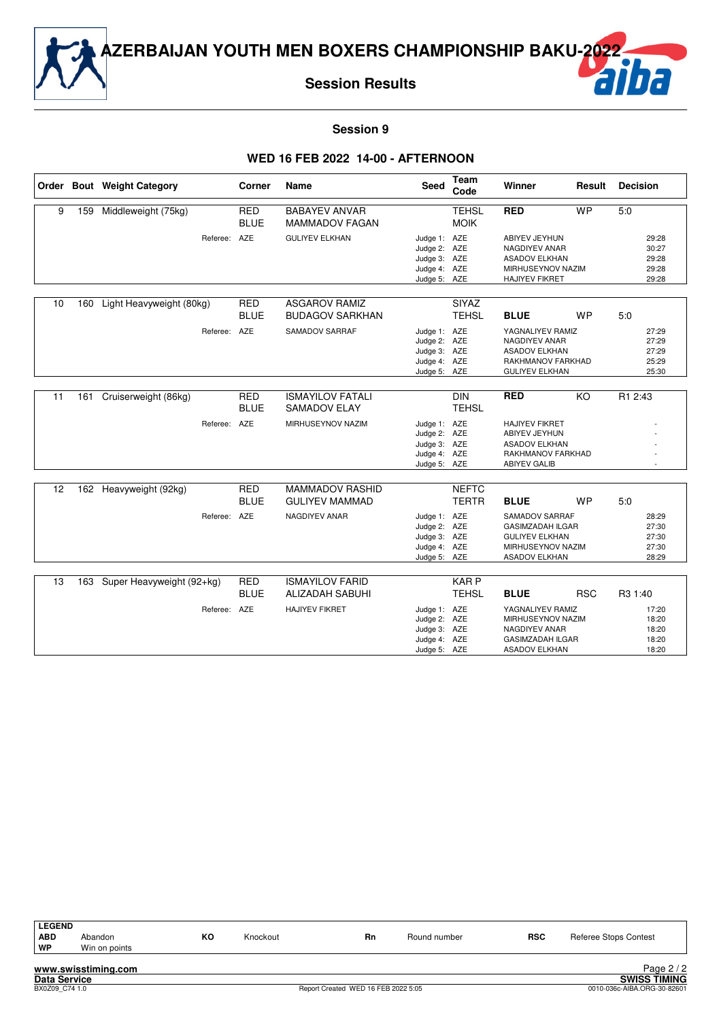

**Session Results**

#### **Session 9**

#### **WED 16 FEB 2022 14-00 - AFTERNOON**

|    |     | Order Bout Weight Category | Corner                    | Name                                             | Seed                                                                         | <b>Team</b><br>Code          | Winner                                                                                                           | Result     | <b>Decision</b>                           |
|----|-----|----------------------------|---------------------------|--------------------------------------------------|------------------------------------------------------------------------------|------------------------------|------------------------------------------------------------------------------------------------------------------|------------|-------------------------------------------|
| 9  | 159 | Middleweight (75kg)        | <b>RED</b><br><b>BLUE</b> | <b>BABAYEV ANVAR</b><br><b>MAMMADOV FAGAN</b>    |                                                                              | <b>TEHSL</b><br><b>MOIK</b>  | <b>RED</b>                                                                                                       | <b>WP</b>  | 5:0                                       |
|    |     | Referee: AZE               |                           | <b>GULIYEV ELKHAN</b>                            | Judge 1: AZE<br>Judge 2: AZE<br>Judge 3: AZE<br>Judge 4: AZE<br>Judge 5: AZE |                              | ABIYEV JEYHUN<br>NAGDIYEV ANAR<br><b>ASADOV ELKHAN</b><br>MIRHUSEYNOV NAZIM<br><b>HAJIYEV FIKRET</b>             |            | 29:28<br>30:27<br>29:28<br>29:28<br>29:28 |
| 10 | 160 | Light Heavyweight (80kg)   | <b>RED</b><br><b>BLUE</b> | <b>ASGAROV RAMIZ</b><br><b>BUDAGOV SARKHAN</b>   |                                                                              | <b>SIYAZ</b><br><b>TEHSL</b> | <b>BLUE</b>                                                                                                      | <b>WP</b>  | 5:0                                       |
|    |     | Referee:                   | AZE                       | SAMADOV SARRAF                                   | Judge 1: AZE<br>Judge 2: AZE<br>Judge 3: AZE<br>Judge 4: AZE<br>Judge 5: AZE |                              | YAGNALIYEV RAMIZ<br>NAGDIYEV ANAR<br><b>ASADOV ELKHAN</b><br>RAKHMANOV FARKHAD<br><b>GULIYEV ELKHAN</b>          |            | 27:29<br>27:29<br>27:29<br>25:29<br>25:30 |
| 11 | 161 | Cruiserweight (86kg)       | <b>RED</b><br><b>BLUE</b> | <b>ISMAYILOV FATALI</b><br><b>SAMADOV ELAY</b>   |                                                                              | <b>DIN</b><br><b>TEHSL</b>   | <b>RED</b>                                                                                                       | KO         | R1 2:43                                   |
|    |     | Referee: AZE               |                           | MIRHUSEYNOV NAZIM                                | Judge 1: AZE<br>Judge 2: AZE<br>Judge 3: AZE<br>Judge 4: AZE<br>Judge 5: AZE |                              | <b>HAJIYEV FIKRET</b><br>ABIYEV JEYHUN<br><b>ASADOV ELKHAN</b><br>RAKHMANOV FARKHAD<br><b>ABIYEV GALIB</b>       |            |                                           |
| 12 |     | 162 Heavyweight (92kg)     | <b>RED</b><br><b>BLUE</b> | <b>MAMMADOV RASHID</b><br><b>GULIYEV MAMMAD</b>  |                                                                              | <b>NEFTC</b><br><b>TERTR</b> | <b>BLUE</b>                                                                                                      | <b>WP</b>  | 5:0                                       |
|    |     | Referee: AZE               |                           | NAGDIYEV ANAR                                    | Judge 1: AZE<br>Judge 2: AZE<br>Judge 3: AZE<br>Judge 4: AZE<br>Judge 5: AZE |                              | SAMADOV SARRAF<br><b>GASIMZADAH ILGAR</b><br><b>GULIYEV ELKHAN</b><br>MIRHUSEYNOV NAZIM<br><b>ASADOV ELKHAN</b>  |            | 28:29<br>27:30<br>27:30<br>27:30<br>28:29 |
| 13 | 163 | Super Heavyweight (92+kg)  | <b>RED</b><br><b>BLUE</b> | <b>ISMAYILOV FARID</b><br><b>ALIZADAH SABUHI</b> |                                                                              | KAR P<br><b>TEHSL</b>        | <b>BLUE</b>                                                                                                      | <b>RSC</b> | R3 1:40                                   |
|    |     | Referee:                   | AZE                       | <b>HAJIYEV FIKRET</b>                            | Judge 1: AZE<br>Judge 2: AZE<br>Judge 3: AZE<br>Judge 4: AZE<br>Judge 5: AZE |                              | YAGNALIYEV RAMIZ<br>MIRHUSEYNOV NAZIM<br><b>NAGDIYEV ANAR</b><br><b>GASIMZADAH ILGAR</b><br><b>ASADOV ELKHAN</b> |            | 17:20<br>18:20<br>18:20<br>18:20<br>18:20 |

| <b>LEGEND</b> |                     |    |          |    |              |            |                       |
|---------------|---------------------|----|----------|----|--------------|------------|-----------------------|
| <b>ABD</b>    | Abandon             | KO | Knockout | Rn | Round number | <b>RSC</b> | Referee Stops Contest |
| WP            | Win on points       |    |          |    |              |            |                       |
|               |                     |    |          |    |              |            |                       |
|               | www.swisstiming.com |    |          |    |              |            | Page 2/2              |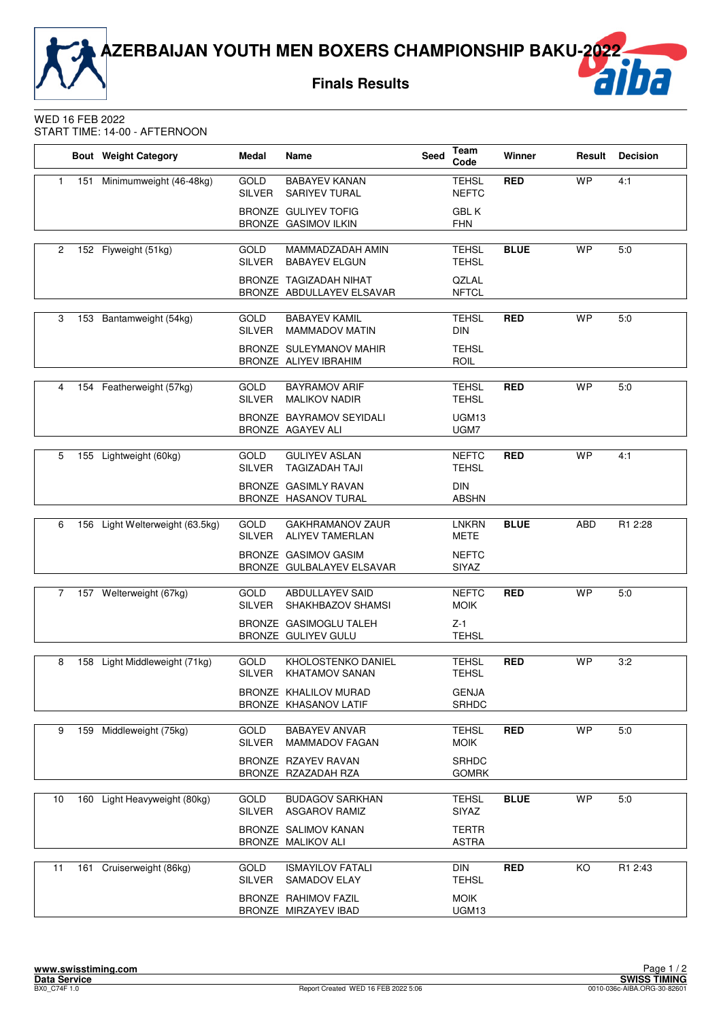**Finals Results**



#### WED 16 FEB 2022 START TIME: 14-00 - AFTERNOON

|                |     | <b>Bout</b> Weight Category     | Medal                        | Name                                                       | <b>Seed</b> | Team<br>Code                 | Winner      | Result    | <b>Decision</b> |
|----------------|-----|---------------------------------|------------------------------|------------------------------------------------------------|-------------|------------------------------|-------------|-----------|-----------------|
| 1              | 151 | Minimumweight (46-48kg)         | <b>GOLD</b><br><b>SILVER</b> | <b>BABAYEV KANAN</b><br><b>SARIYEV TURAL</b>               |             | <b>TEHSL</b><br><b>NEFTC</b> | <b>RED</b>  | <b>WP</b> | 4:1             |
|                |     |                                 |                              | <b>BRONZE GULIYEV TOFIG</b><br><b>BRONZE GASIMOV ILKIN</b> |             | <b>GBLK</b><br><b>FHN</b>    |             |           |                 |
| $\overline{c}$ |     | 152 Flyweight (51kg)            | <b>GOLD</b><br>SILVER        | MAMMADZADAH AMIN<br><b>BABAYEV ELGUN</b>                   |             | <b>TEHSL</b><br><b>TEHSL</b> | <b>BLUE</b> | <b>WP</b> | 5:0             |
|                |     |                                 |                              | BRONZE TAGIZADAH NIHAT<br>BRONZE ABDULLAYEV ELSAVAR        |             | QZLAL<br><b>NFTCL</b>        |             |           |                 |
| 3              |     | 153 Bantamweight (54kg)         | <b>GOLD</b><br><b>SILVER</b> | <b>BABAYEV KAMIL</b><br><b>MAMMADOV MATIN</b>              |             | <b>TEHSL</b><br><b>DIN</b>   | <b>RED</b>  | <b>WP</b> | 5:0             |
|                |     |                                 |                              | BRONZE SULEYMANOV MAHIR<br>BRONZE ALIYEV IBRAHIM           |             | <b>TEHSL</b><br><b>ROIL</b>  |             |           |                 |
| 4              |     | 154 Featherweight (57kg)        | <b>GOLD</b>                  | <b>BAYRAMOV ARIF</b>                                       |             | <b>TEHSL</b>                 | <b>RED</b>  | <b>WP</b> | 5:0             |
|                |     |                                 | <b>SILVER</b>                | <b>MALIKOV NADIR</b>                                       |             | <b>TEHSL</b>                 |             |           |                 |
|                |     |                                 |                              | BRONZE BAYRAMOV SEYIDALI<br>BRONZE AGAYEV ALI              |             | UGM <sub>13</sub><br>UGM7    |             |           |                 |
| 5              |     | 155 Lightweight (60kg)          | GOLD<br><b>SILVER</b>        | <b>GULIYEV ASLAN</b><br><b>TAGIZADAH TAJI</b>              |             | <b>NEFTC</b><br><b>TEHSL</b> | <b>RED</b>  | <b>WP</b> | 4:1             |
|                |     |                                 |                              | BRONZE GASIMLY RAVAN<br>BRONZE HASANOV TURAL               |             | <b>DIN</b><br><b>ABSHN</b>   |             |           |                 |
| 6              |     | 156 Light Welterweight (63.5kg) | <b>GOLD</b><br>SILVER        | <b>GAKHRAMANOV ZAUR</b><br><b>ALIYEV TAMERLAN</b>          |             | <b>LNKRN</b><br><b>METE</b>  | <b>BLUE</b> | ABD       | R1 2:28         |
|                |     |                                 |                              | BRONZE GASIMOV GASIM<br>BRONZE GULBALAYEV ELSAVAR          |             | <b>NEFTC</b><br><b>SIYAZ</b> |             |           |                 |
|                |     |                                 |                              |                                                            |             |                              |             |           |                 |
| 7              |     | 157 Welterweight (67kg)         | <b>GOLD</b><br><b>SILVER</b> | <b>ABDULLAYEV SAID</b><br>SHAKHBAZOV SHAMSI                |             | <b>NEFTC</b><br><b>MOIK</b>  | <b>RED</b>  | <b>WP</b> | 5:0             |
|                |     |                                 |                              | BRONZE GASIMOGLU TALEH<br>BRONZE GULIYEV GULU              |             | $Z-1$<br><b>TEHSL</b>        |             |           |                 |
| 8              |     | 158 Light Middleweight (71kg)   | <b>GOLD</b><br>SILVER        | KHOLOSTENKO DANIEL<br><b>KHATAMOV SANAN</b>                |             | <b>TEHSL</b><br><b>TEHSL</b> | <b>RED</b>  | <b>WP</b> | 3:2             |
|                |     |                                 |                              | BRONZE KHALILOV MURAD<br>BRONZE KHASANOV LATIF             |             | <b>GENJA</b><br><b>SRHDC</b> |             |           |                 |
| 9              |     | 159 Middleweight (75kg)         | GOLD<br><b>SILVER</b>        | <b>BABAYEV ANVAR</b><br><b>MAMMADOV FAGAN</b>              |             | <b>TEHSL</b><br><b>MOIK</b>  | <b>RED</b>  | <b>WP</b> | 5:0             |
|                |     |                                 |                              | BRONZE RZAYEV RAVAN<br>BRONZE RZAZADAH RZA                 |             | SRHDC<br><b>GOMRK</b>        |             |           |                 |
|                |     |                                 |                              |                                                            |             |                              |             |           |                 |
| 10             |     | 160 Light Heavyweight (80kg)    | GOLD<br><b>SILVER</b>        | <b>BUDAGOV SARKHAN</b><br><b>ASGAROV RAMIZ</b>             |             | <b>TEHSL</b><br><b>SIYAZ</b> | <b>BLUE</b> | <b>WP</b> | 5:0             |
|                |     |                                 |                              | BRONZE SALIMOV KANAN<br>BRONZE MALIKOV ALI                 |             | <b>TERTR</b><br><b>ASTRA</b> |             |           |                 |
| 11             |     | 161 Cruiserweight (86kg)        | GOLD<br><b>SILVER</b>        | <b>ISMAYILOV FATALI</b><br>SAMADOV ELAY                    |             | DIN<br><b>TEHSL</b>          | <b>RED</b>  | KO        | R1 2:43         |
|                |     |                                 |                              | BRONZE RAHIMOV FAZIL<br>BRONZE MIRZAYEV IBAD               |             | <b>MOIK</b><br>UGM13         |             |           |                 |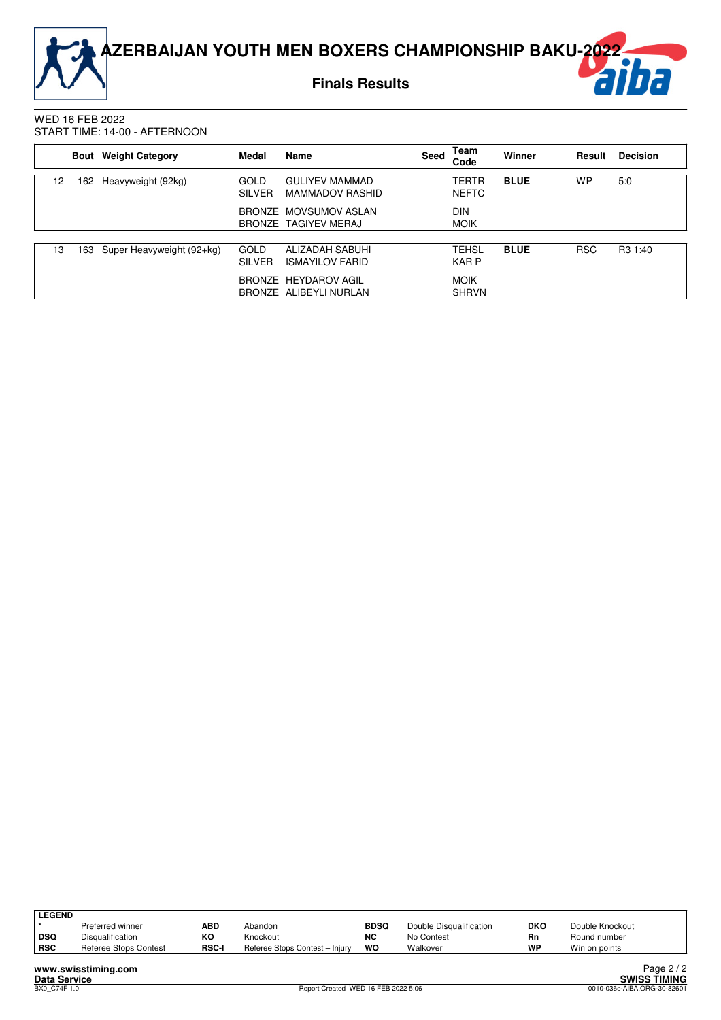**Finals Results**



#### WED 16 FEB 2022 START TIME: 14-00 - AFTERNOON

|                 | <b>Bout</b> | <b>Weight Category</b>    | Medal                        | <b>Name</b>                                     | Seed | Team<br>Code                 | Winner      | Result     | <b>Decision</b>     |
|-----------------|-------------|---------------------------|------------------------------|-------------------------------------------------|------|------------------------------|-------------|------------|---------------------|
| 12 <sup>°</sup> | 162         | Heavyweight (92kg)        | <b>GOLD</b><br><b>SILVER</b> | <b>GULIYEV MAMMAD</b><br><b>MAMMADOV RASHID</b> |      | <b>TERTR</b><br><b>NEFTC</b> | <b>BLUE</b> | <b>WP</b>  | 5:0                 |
|                 |             |                           |                              | BRONZE MOVSUMOV ASLAN<br>BRONZE TAGIYEV MERAJ   |      | <b>DIN</b><br><b>MOIK</b>    |             |            |                     |
|                 |             |                           |                              |                                                 |      |                              |             |            |                     |
| 13              | 163         | Super Heavyweight (92+kg) | GOLD<br><b>SILVER</b>        | ALIZADAH SABUHI<br><b>ISMAYILOV FARID</b>       |      | <b>TEHSL</b><br><b>KARP</b>  | <b>BLUE</b> | <b>RSC</b> | R <sub>3</sub> 1:40 |
|                 |             |                           |                              | BRONZE HEYDAROV AGIL<br>BRONZE ALIBEYLI NURLAN  |      | <b>MOIK</b><br><b>SHRVN</b>  |             |            |                     |

| LEGEND |                       |              |                                |             |                         |            |                 |                      |
|--------|-----------------------|--------------|--------------------------------|-------------|-------------------------|------------|-----------------|----------------------|
|        | Preferred winner      | ABD          | Abandon                        | <b>BDSQ</b> | Double Disqualification | <b>DKO</b> | Double Knockout |                      |
| ∣ DSQ  | Disqualification      | ĸо           | Knockout                       | <b>NC</b>   | No Contest              | Rn         | Round number    |                      |
| RSC    | Referee Stops Contest | <b>RSC-I</b> | Referee Stops Contest - Injury | WO          | Walkover                | WP         | Win on points   |                      |
|        | .                     |              |                                |             |                         |            |                 | $\sim$ $\sim$ $\sim$ |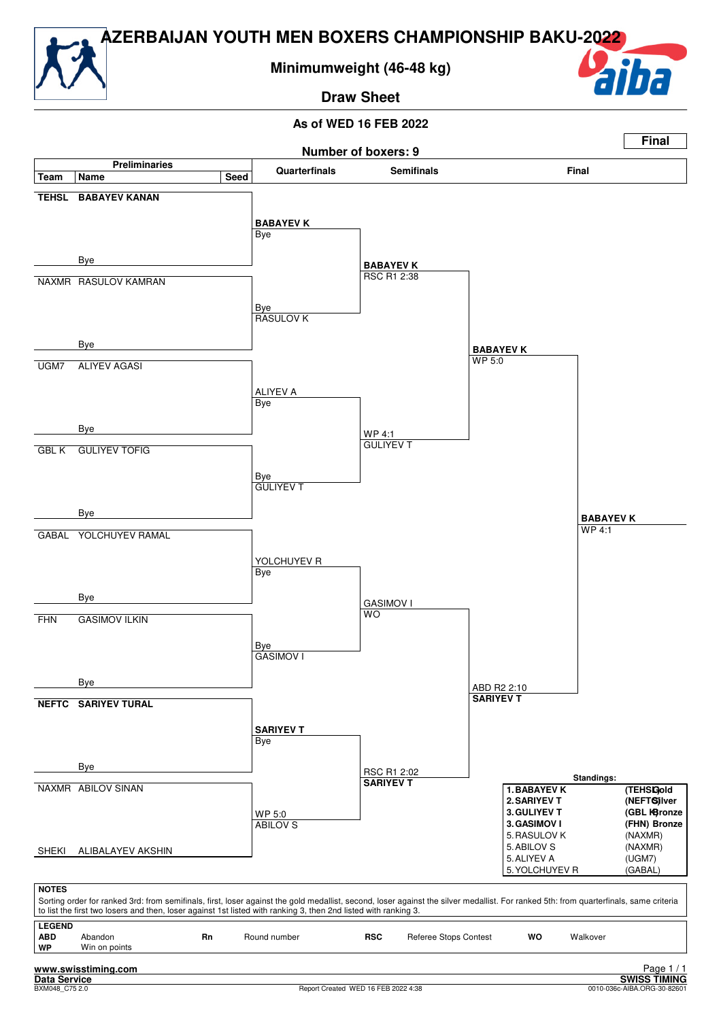

**Minimumweight (46-48 kg)**

**Draw Sheet**



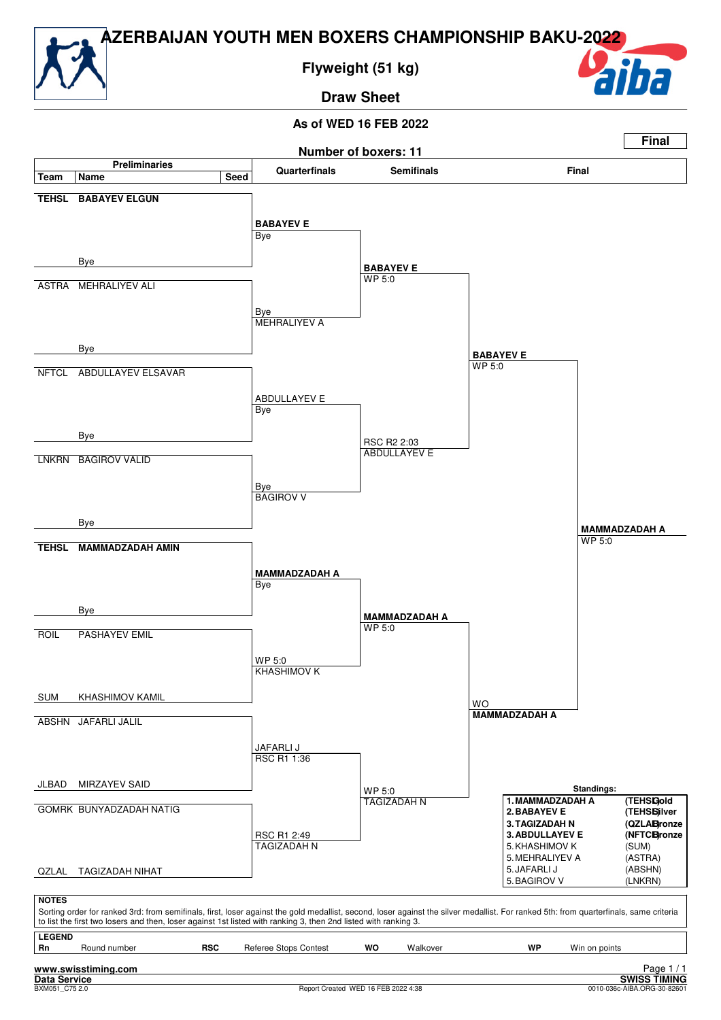

**Flyweight (51 kg)**

### **Draw Sheet**



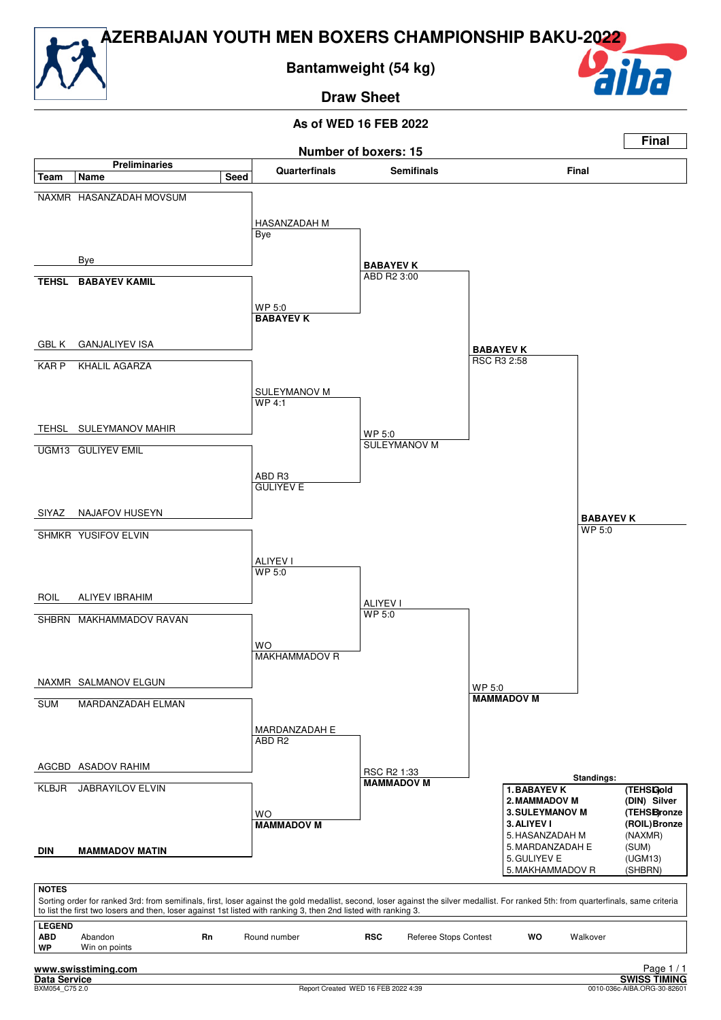

**Bantamweight (54 kg)**

**Draw Sheet**



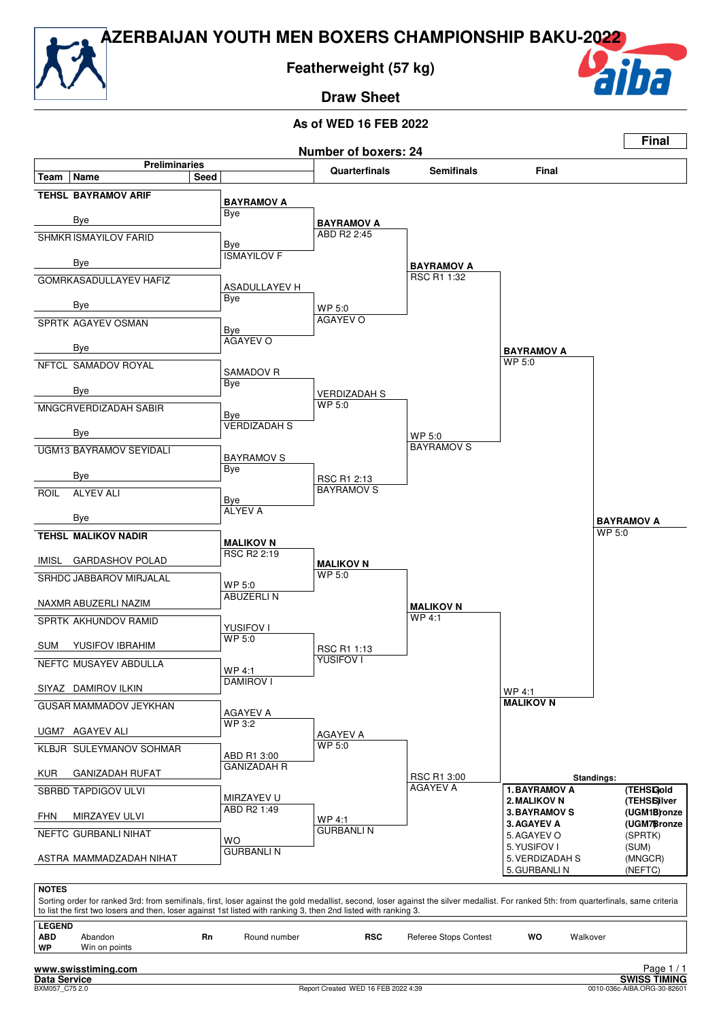

**Featherweight (57 kg)**

**Draw Sheet**



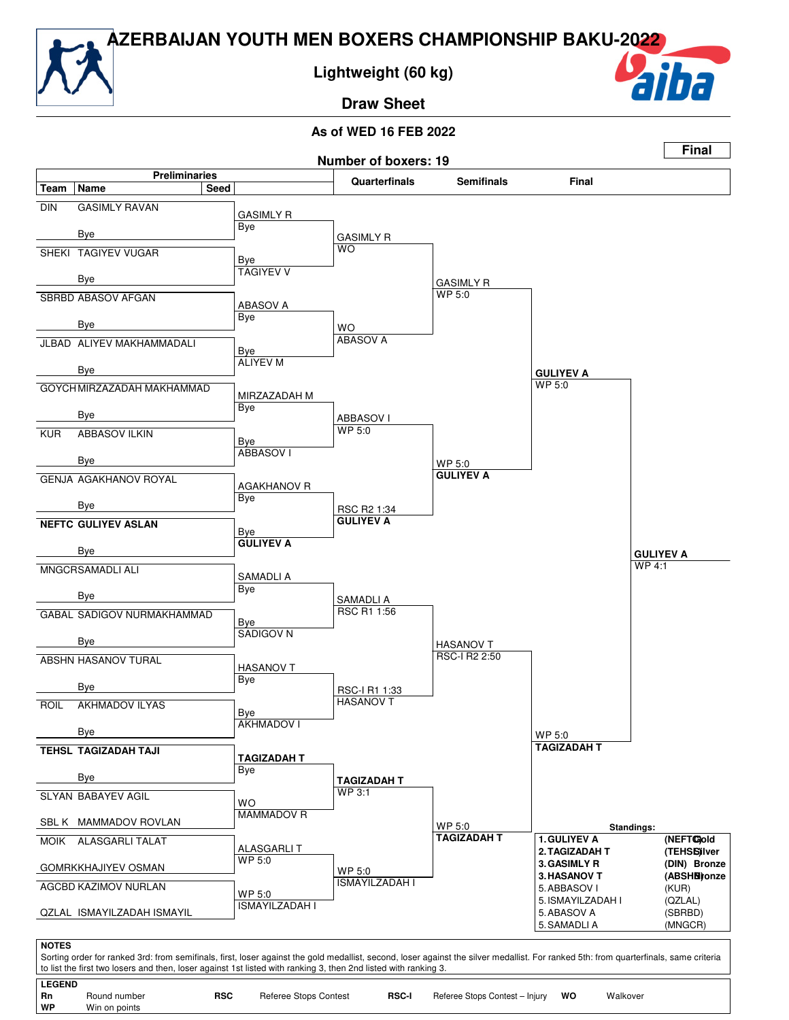

**Lightweight (60 kg)**

**Draw Sheet**



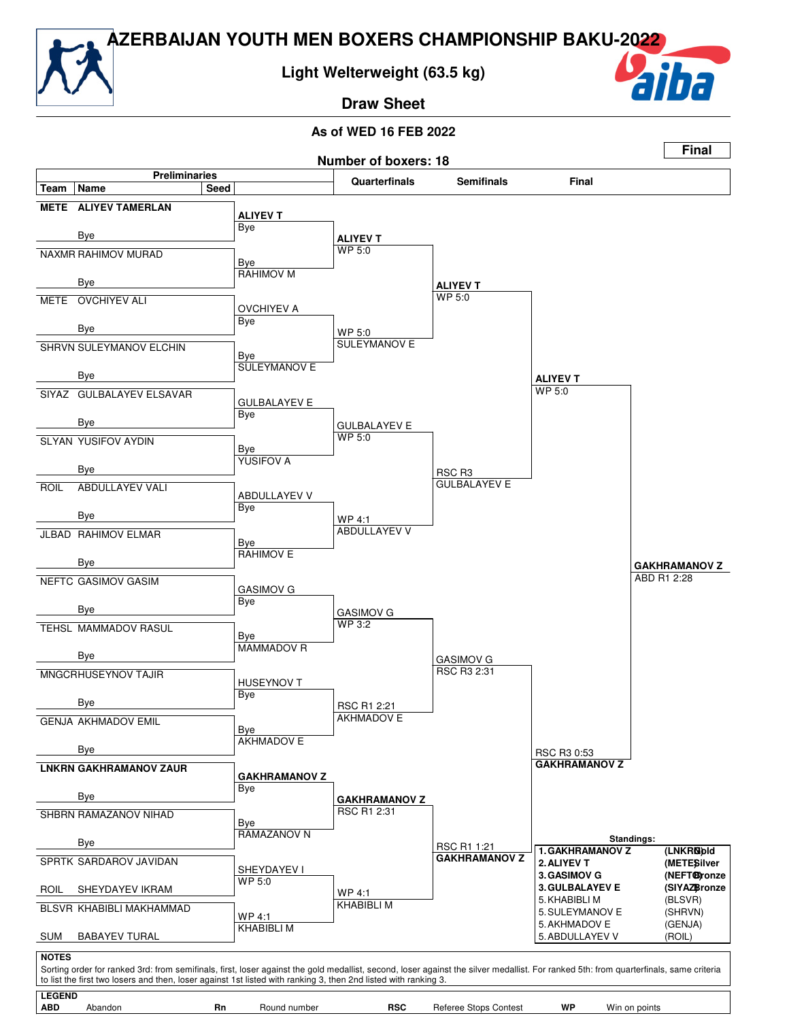

**Draw Sheet**

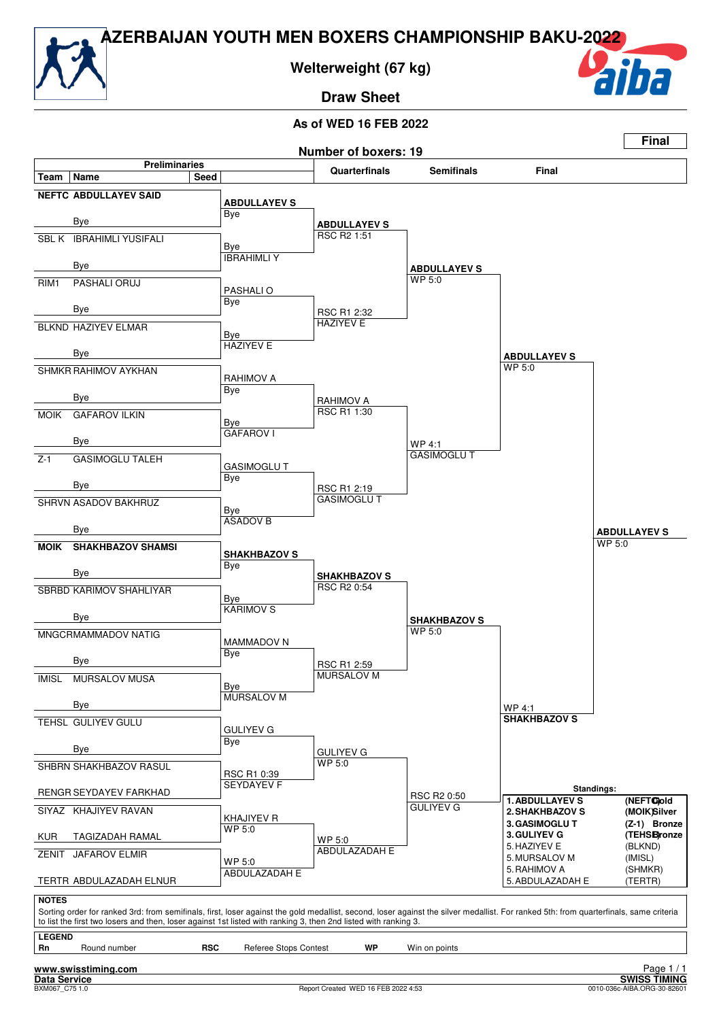

**Welterweight (67 kg)**

**Draw Sheet**



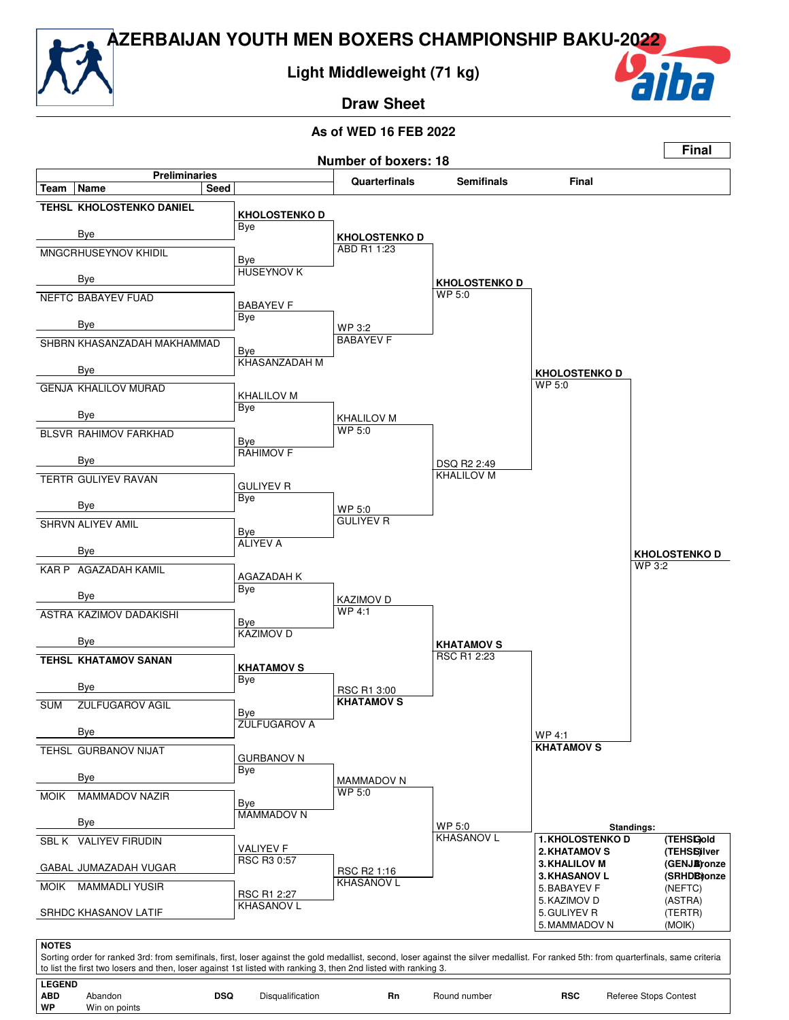### **Light Middleweight (71 kg)**

**Draw Sheet**

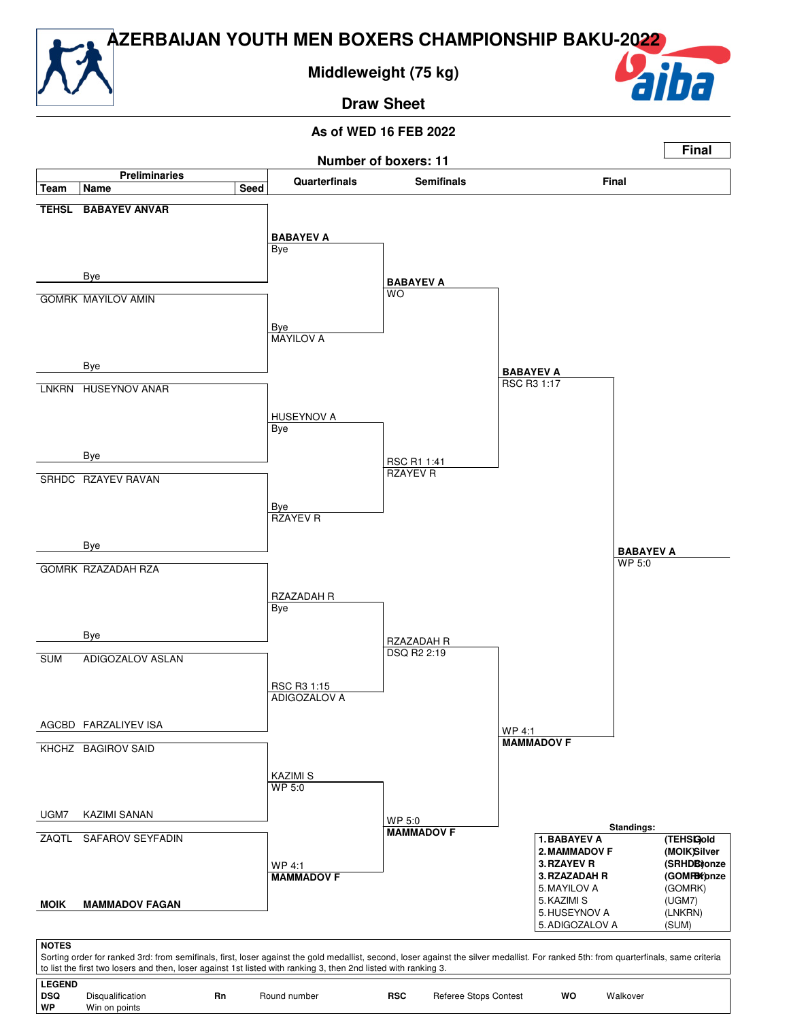**Middleweight (75 kg)**

**Draw Sheet**

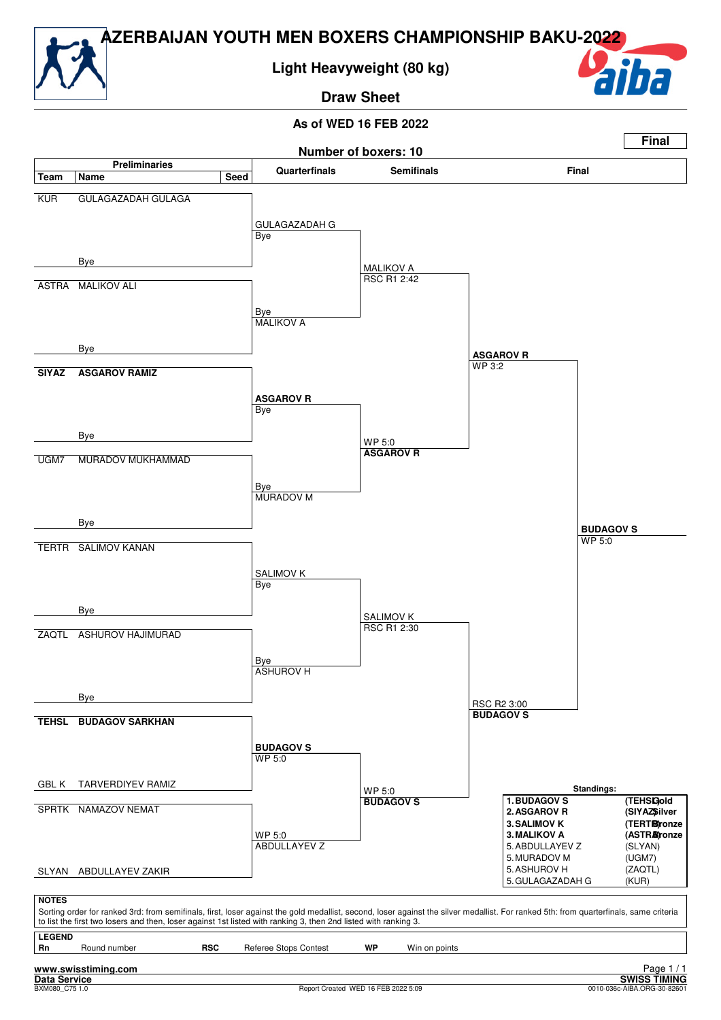

**Light Heavyweight (80 kg)**

**Draw Sheet**



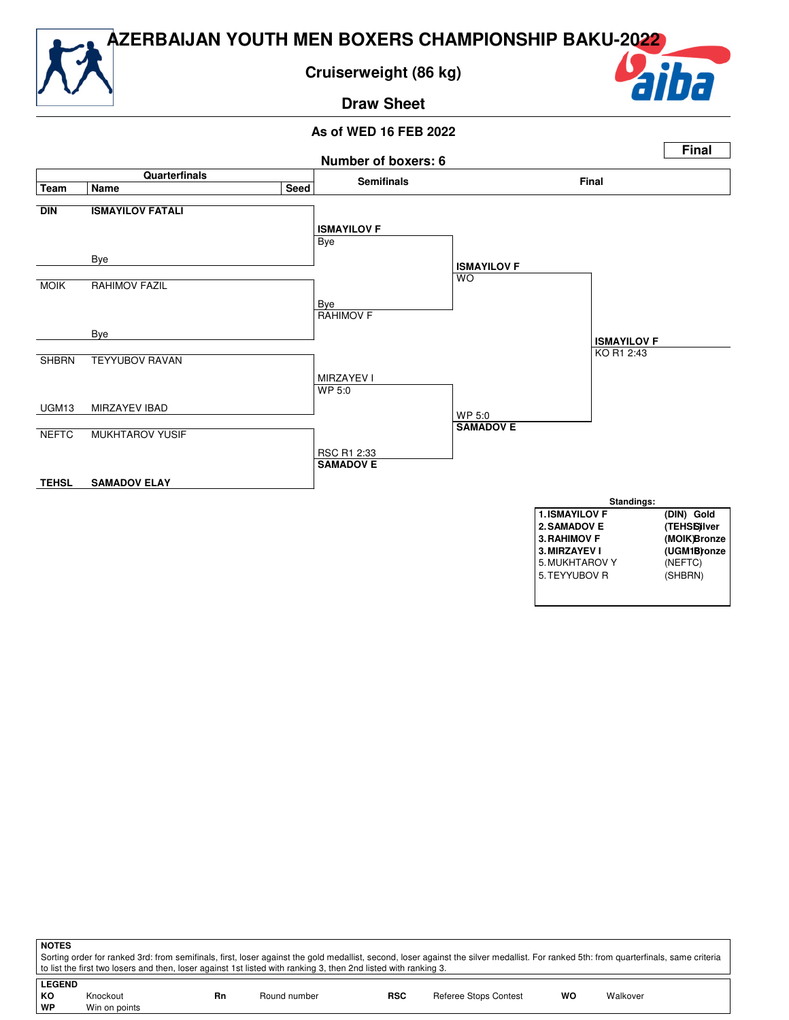### **Cruiserweight (86 kg)**

**Draw Sheet**

#### **As of WED 16 FEB 2022**



Sorting order for ranked 3rd: from semifinals, first, loser against the gold medallist, second, loser against the silver medallist. For ranked 5th: from quarterfinals, same criteria to list the first two losers and then, loser against 1st listed with ranking 3, then 2nd listed with ranking 3.

| <b>LEGEND</b> |               |    |              |     |                       |    |          |
|---------------|---------------|----|--------------|-----|-----------------------|----|----------|
| KO            | Knockout      | Rn | Round number | RSC | Referee Stops Contest | wo | Walkover |
| ∣ WP          | Win on points |    |              |     |                       |    |          |

**NOTES**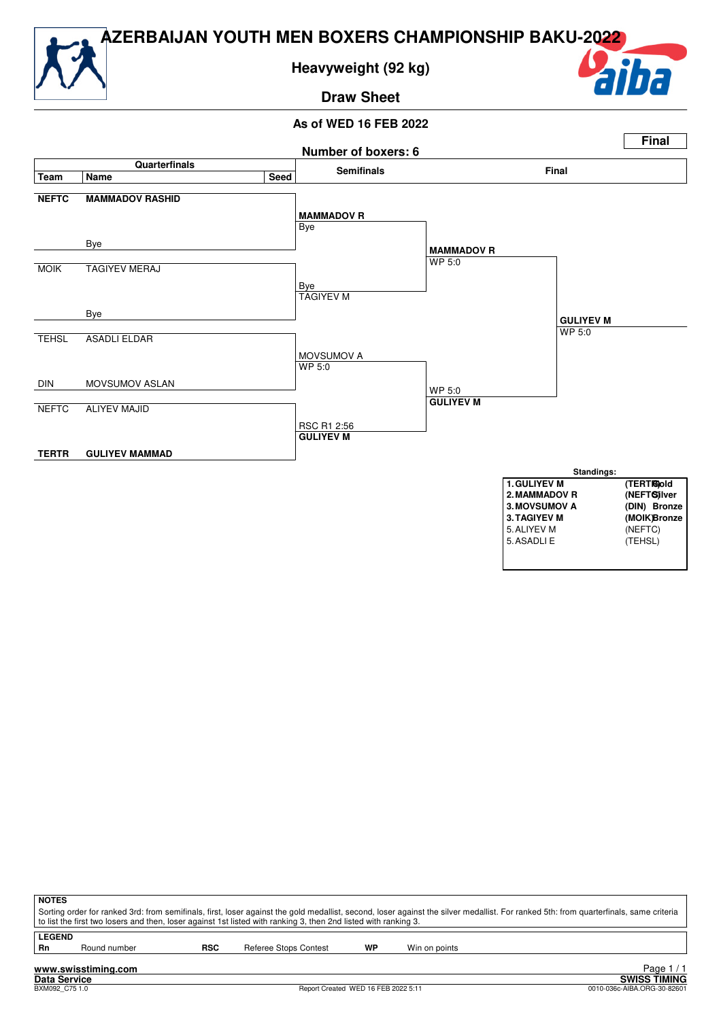

**Heavyweight (92 kg)**

### **Draw Sheet**





| <b>NOTES</b>  |                                                                                                                                                                                       |            |                       |    |               |  |  |  |  |  |  |
|---------------|---------------------------------------------------------------------------------------------------------------------------------------------------------------------------------------|------------|-----------------------|----|---------------|--|--|--|--|--|--|
|               | Sorting order for ranked 3rd: from semifinals, first, loser against the gold medallist, second, loser against the silver medallist. For ranked 5th: from quarterfinals, same criteria |            |                       |    |               |  |  |  |  |  |  |
|               | to list the first two losers and then, loser against 1st listed with ranking 3, then 2nd listed with ranking 3.                                                                       |            |                       |    |               |  |  |  |  |  |  |
| <b>LEGEND</b> |                                                                                                                                                                                       |            |                       |    |               |  |  |  |  |  |  |
| Rn            | Round number                                                                                                                                                                          | <b>RSC</b> | Referee Stops Contest | WP | Win on points |  |  |  |  |  |  |
|               |                                                                                                                                                                                       |            |                       |    |               |  |  |  |  |  |  |
|               |                                                                                                                                                                                       |            |                       |    |               |  |  |  |  |  |  |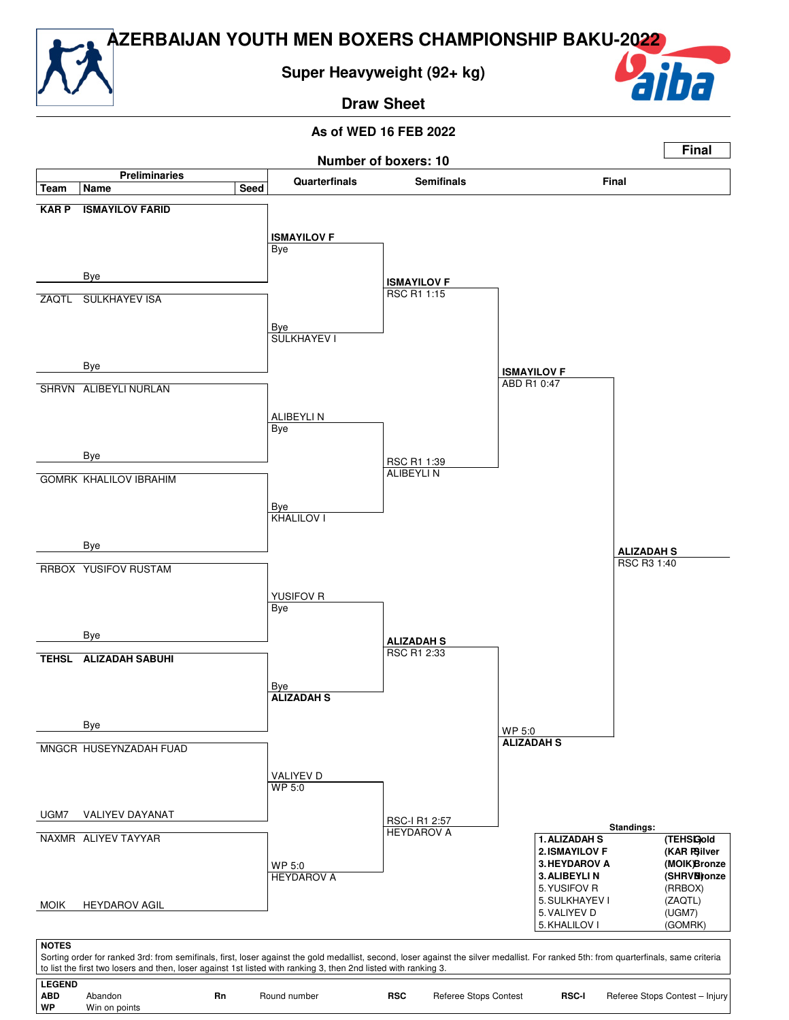

**Draw Sheet**

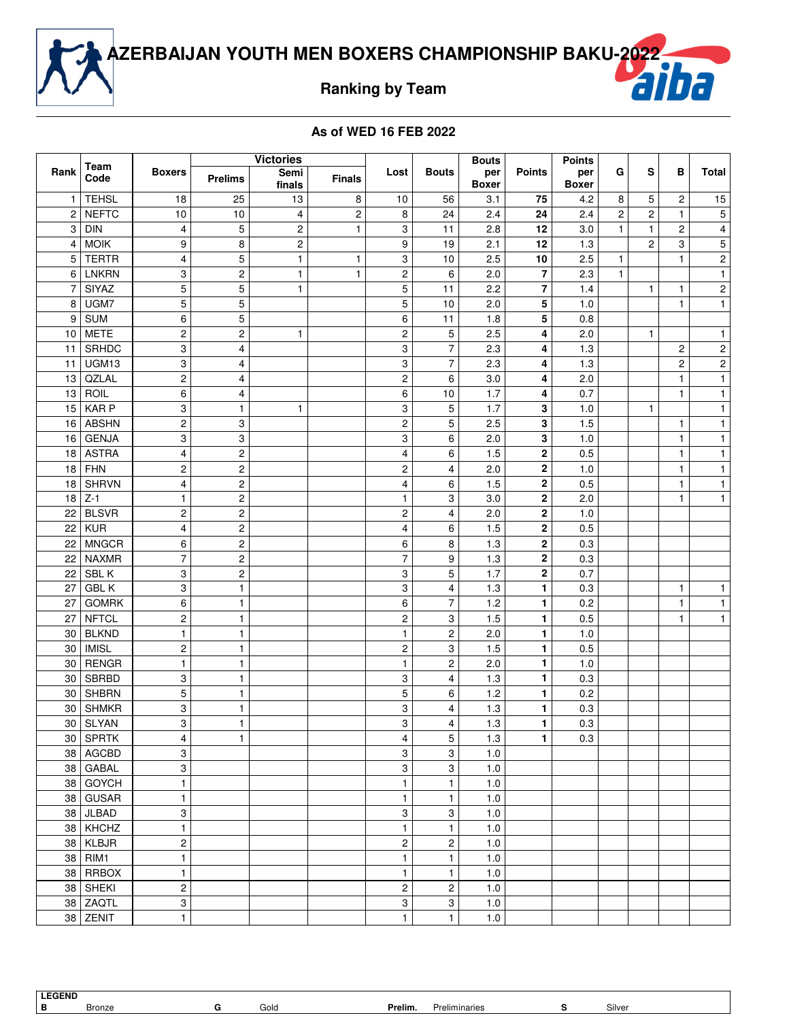

**Ranking by Team**

|                 | Team         |                         |                           | <b>Victories</b> |               |                         |                         | <b>Bouts</b>        |               | <b>Points</b>       |                |                         |                  |                         |
|-----------------|--------------|-------------------------|---------------------------|------------------|---------------|-------------------------|-------------------------|---------------------|---------------|---------------------|----------------|-------------------------|------------------|-------------------------|
| Rank            | Code         | <b>Boxers</b>           | <b>Prelims</b>            | Semi<br>finals   | <b>Finals</b> | Lost                    | <b>Bouts</b>            | per<br><b>Boxer</b> | <b>Points</b> | per<br><b>Boxer</b> | G              | s                       | в                | <b>Total</b>            |
| 1               | <b>TEHSL</b> | 18                      | 25                        | 13               | 8             | 10                      | 56                      | 3.1                 | 75            | 4.2                 | 8              | 5                       | 2                | 15                      |
| $\overline{2}$  | <b>NEFTC</b> | 10                      | 10                        | 4                | $\mathbf 2$   | 8                       | 24                      | 2.4                 | 24            | 2.4                 | $\overline{c}$ | $\overline{\mathbf{c}}$ | $\mathbf{1}$     | $\mathbf 5$             |
| 3               | <b>DIN</b>   | $\overline{\mathbf{4}}$ | 5                         | 2                | $\mathbf{1}$  | 3                       | 11                      | 2.8                 | 12            | 3.0                 | $\mathbf{1}$   | $\mathbf{1}$            | $\boldsymbol{2}$ | $\overline{\mathbf{4}}$ |
| $\vert 4 \vert$ | <b>MOIK</b>  | 9                       | 8                         | 2                |               | 9                       | 19                      | 2.1                 | 12            | 1.3                 |                | $\overline{c}$          | 3                | 5                       |
| 5               | <b>TERTR</b> | 4                       | 5                         | $\mathbf{1}$     | 1             | 3                       | 10                      | 2.5                 | 10            | 2.5                 | 1              |                         | $\mathbf{1}$     | $\overline{c}$          |
|                 | 6   LNKRN    | 3                       | $\boldsymbol{2}$          | $\mathbf{1}$     | $\mathbf{1}$  | $\boldsymbol{2}$        | 6                       | 2.0                 | 7             | 2.3                 | $\mathbf{1}$   |                         |                  | $\mathbf{1}$            |
| $\overline{7}$  | SIYAZ        | 5                       | 5                         | $\mathbf{1}$     |               | 5                       | 11                      | 2.2                 | 7             | 1.4                 |                | $\mathbf{1}$            | $\mathbf{1}$     | $\mathbf 2$             |
| 8               | UGM7         | 5                       | 5                         |                  |               | 5                       | 10                      | 2.0                 | 5             | 1.0                 |                |                         | $\mathbf{1}$     | $\mathbf{1}$            |
| 9               | SUM          | 6                       | 5                         |                  |               | 6                       | 11                      | 1.8                 | 5             | 0.8                 |                |                         |                  |                         |
|                 | $10$ METE    | $\mathbf 2$             | $\overline{c}$            | $\mathbf{1}$     |               | $\boldsymbol{2}$        | 5                       | 2.5                 | 4             | 2.0                 |                | $\mathbf{1}$            |                  | $\mathbf{1}$            |
| 11              | SRHDC        | 3                       | $\overline{4}$            |                  |               | 3                       | $\overline{7}$          | 2.3                 | 4             | 1.3                 |                |                         | $\boldsymbol{2}$ | $\boldsymbol{2}$        |
| 11 <sup>1</sup> | UGM13        | 3                       | 4                         |                  |               | 3                       | $\overline{7}$          | 2.3                 | 4             | 1.3                 |                |                         | $\boldsymbol{2}$ | $\mathbf{c}$            |
| 13 <sup>1</sup> | QZLAL        | $\mathbf 2$             | 4                         |                  |               | $\overline{c}$          | 6                       | 3.0                 | 4             | 2.0                 |                |                         | $\mathbf{1}$     | $\mathbf{1}$            |
|                 | 13   ROIL    | 6                       | $\overline{\mathbf{4}}$   |                  |               | 6                       | 10                      | 1.7                 | 4             | 0.7                 |                |                         | $\mathbf{1}$     | $\mathbf{1}$            |
| 15              | KAR P        | 3                       | 1                         | $\mathbf{1}$     |               | 3                       | 5                       | 1.7                 | 3             | 1.0                 |                | $\mathbf{1}$            |                  | $\mathbf{1}$            |
|                 | 16 ABSHN     | $\overline{\mathbf{c}}$ | 3                         |                  |               | $\mathbf 2$             | 5                       | 2.5                 | 3             | 1.5                 |                |                         | $\mathbf{1}$     | 1                       |
|                 | 16 GENJA     | 3                       | $\ensuremath{\mathsf{3}}$ |                  |               | 3                       | 6                       | 2.0                 | 3             | 1.0                 |                |                         | $\mathbf{1}$     | $\mathbf{1}$            |
|                 | 18 ASTRA     | 4                       | $\overline{c}$            |                  |               | $\overline{\mathbf{4}}$ | 6                       | 1.5                 | 2             | 0.5                 |                |                         | $\mathbf{1}$     | $\mathbf{1}$            |
|                 | $18$ FHN     | $\overline{c}$          | $\overline{c}$            |                  |               | $\overline{c}$          | 4                       | 2.0                 | $\mathbf 2$   | 1.0                 |                |                         | $\mathbf{1}$     | $\mathbf{1}$            |
| 18              | <b>SHRVN</b> | 4                       | $\overline{c}$            |                  |               | 4                       | 6                       | 1.5                 | $\mathbf 2$   | 0.5                 |                |                         | $\mathbf{1}$     | 1                       |
| 18              | $ Z-1 $      | $\mathbf{1}$            | $\overline{c}$            |                  |               | $\mathbf{1}$            | 3                       | 3.0                 | 2             | 2.0                 |                |                         | $\mathbf{1}$     | $\mathbf{1}$            |
| 22              | <b>BLSVR</b> | $\boldsymbol{2}$        | $\boldsymbol{2}$          |                  |               | $\boldsymbol{2}$        | 4                       | 2.0                 | 2             | 1.0                 |                |                         |                  |                         |
| 22              | <b>KUR</b>   | 4                       | $\overline{\mathbf{c}}$   |                  |               | $\overline{\mathbf{4}}$ | 6                       | 1.5                 | 2             | 0.5                 |                |                         |                  |                         |
| 22              | <b>MNGCR</b> | 6                       | $\overline{\mathbf{c}}$   |                  |               | 6                       | 8                       | 1.3                 | 2             | 0.3                 |                |                         |                  |                         |
| 22              | <b>NAXMR</b> | $\overline{7}$          | 2                         |                  |               | $\overline{7}$          | 9                       | 1.3                 | 2             | 0.3                 |                |                         |                  |                         |
| 22              | SBL K        | 3                       | $\overline{\mathbf{c}}$   |                  |               | 3                       | 5                       | 1.7                 | 2             | 0.7                 |                |                         |                  |                         |
| 27              | <b>GBLK</b>  | 3                       | 1                         |                  |               | 3                       | 4                       | 1.3                 | 1             | 0.3                 |                |                         | $\mathbf{1}$     | $\mathbf{1}$            |
| 27              | <b>GOMRK</b> | 6                       | 1                         |                  |               | 6                       | 7                       | 1.2                 | 1             | 0.2                 |                |                         | $\mathbf{1}$     | 1                       |
| 27              | <b>NFTCL</b> | $\overline{c}$          | 1                         |                  |               | $\overline{\mathbf{c}}$ | 3                       | 1.5                 | 1             | 0.5                 |                |                         | $\mathbf{1}$     | 1                       |
| 30              | <b>BLKND</b> | $\mathbf{1}$            | 1                         |                  |               | $\mathbf{1}$            | $\overline{c}$          | 2.0                 | 1             | 1.0                 |                |                         |                  |                         |
| 30              | <b>IMISL</b> | $\boldsymbol{2}$        | 1                         |                  |               | $\boldsymbol{2}$        | 3                       | 1.5                 | 1             | 0.5                 |                |                         |                  |                         |
| 30              | <b>RENGR</b> | $\mathbf{1}$            | 1                         |                  |               | 1                       | $\overline{\mathbf{c}}$ | 2.0                 | 1             | 1.0                 |                |                         |                  |                         |
| 30              | <b>SBRBD</b> | 3                       | $\mathbf{1}$              |                  |               | 3                       | $\overline{\mathbf{4}}$ | 1.3                 | 1             | 0.3                 |                |                         |                  |                         |
| 30              | <b>SHBRN</b> | $\overline{5}$          | $\mathbf{1}$              |                  |               | 5                       | 6                       | 1.2                 | 1             | 0.2                 |                |                         |                  |                         |
| 30              | <b>SHMKR</b> | 3                       | 1                         |                  |               | 3                       | 4                       | 1.3                 | 1             | 0.3                 |                |                         |                  |                         |
|                 | 30   SLYAN   | 3                       | 1                         |                  |               | 3                       | 4                       | 1.3                 | 1.            | 0.3                 |                |                         |                  |                         |
|                 | 30   SPRTK   | 4                       | $\mathbf{1}$              |                  |               | 4                       | 5                       | 1.3                 | 1.            | 0.3                 |                |                         |                  |                         |
|                 | 38   AGCBD   | 3                       |                           |                  |               | 3                       | 3                       | 1.0                 |               |                     |                |                         |                  |                         |
|                 | 38   GABAL   | 3                       |                           |                  |               | 3                       | 3                       | 1.0                 |               |                     |                |                         |                  |                         |
|                 | 38 GOYCH     | $\mathbf{1}$            |                           |                  |               | $\mathbf{1}$            | $\mathbf{1}$            | 1.0                 |               |                     |                |                         |                  |                         |
|                 | 38 GUSAR     | $\mathbf{1}$            |                           |                  |               | $\mathbf{1}$            | $\mathbf{1}$            | 1.0                 |               |                     |                |                         |                  |                         |
|                 | 38 JLBAD     | 3                       |                           |                  |               | 3                       | 3                       | 1.0                 |               |                     |                |                         |                  |                         |
|                 | 38   KHCHZ   | $\mathbf{1}$            |                           |                  |               | $\mathbf{1}$            | $\mathbf{1}$            | 1.0                 |               |                     |                |                         |                  |                         |
|                 | 38   KLBJR   | $\overline{\mathbf{c}}$ |                           |                  |               | $\overline{c}$          | $\overline{c}$          | 1.0                 |               |                     |                |                         |                  |                         |
|                 | 38   RIM1    | $\mathbf{1}$            |                           |                  |               | $\mathbf{1}$            | $\mathbf{1}$            | 1.0                 |               |                     |                |                         |                  |                         |
|                 | 38   RRBOX   | $\mathbf{1}$            |                           |                  |               | 1                       | 1                       | 1.0                 |               |                     |                |                         |                  |                         |
|                 | 38   SHEKI   | $\overline{\mathbf{c}}$ |                           |                  |               | 2                       | 2                       | 1.0                 |               |                     |                |                         |                  |                         |
|                 | 38 ZAQTL     | 3                       |                           |                  |               | 3                       | 3                       | 1.0                 |               |                     |                |                         |                  |                         |
|                 | 38 ZENIT     | $\mathbf{1}$            |                           |                  |               | $\mathbf{1}$            | $\mathbf{1}$            | 1.0                 |               |                     |                |                         |                  |                         |

| в             | Bronze | Gold | Prelim. | eliminaries<br>Pre | Silver |
|---------------|--------|------|---------|--------------------|--------|
| <b>LEGEND</b> |        |      |         |                    |        |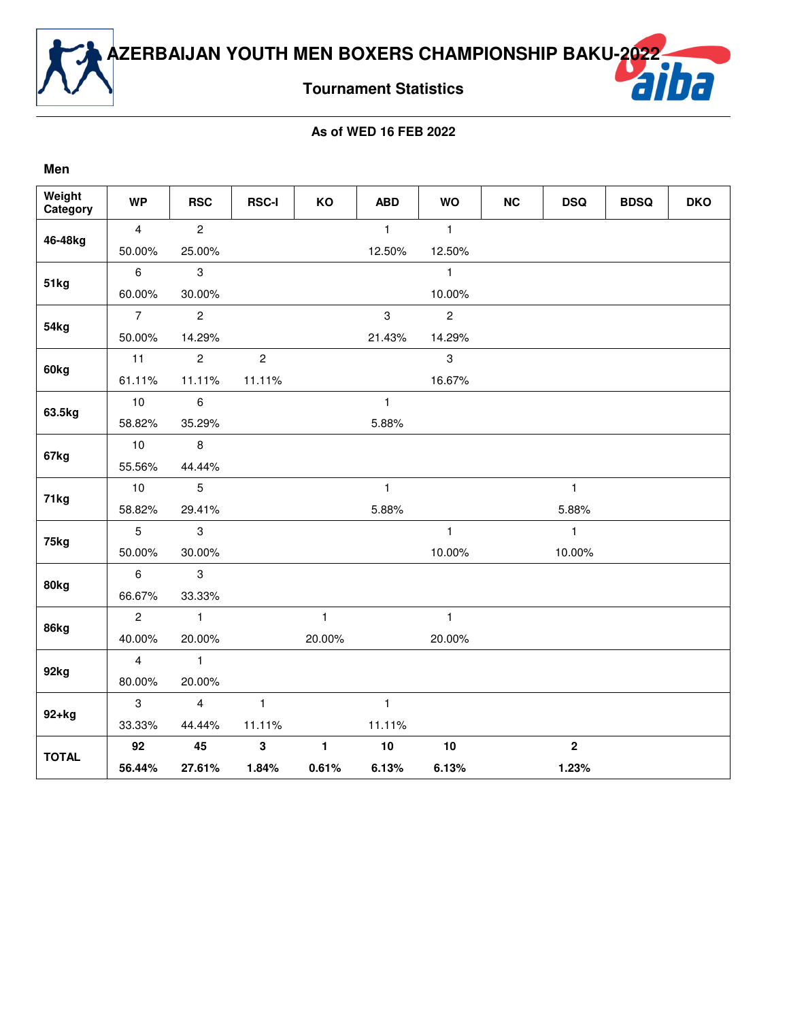

**Tournament Statistics**

| Weight<br>Category | <b>WP</b>      | <b>RSC</b>     | <b>RSC-I</b>   | KO             | <b>ABD</b>   | <b>WO</b>      | <b>NC</b> | <b>DSQ</b>       | <b>BDSQ</b> | <b>DKO</b> |
|--------------------|----------------|----------------|----------------|----------------|--------------|----------------|-----------|------------------|-------------|------------|
| 46-48kg            | $\overline{4}$ | $\overline{c}$ |                |                | $\mathbf{1}$ | $\mathbf{1}$   |           |                  |             |            |
|                    | 50.00%         | 25.00%         |                |                | 12.50%       | 12.50%         |           |                  |             |            |
|                    | 6              | 3              |                |                |              | $\mathbf{1}$   |           |                  |             |            |
| 51kg               | 60.00%         | 30.00%         |                |                |              | 10.00%         |           |                  |             |            |
|                    | $\overline{7}$ | $\overline{c}$ |                |                | 3            | $\overline{c}$ |           |                  |             |            |
| 54kg               | 50.00%         | 14.29%         |                |                | 21.43%       | 14.29%         |           |                  |             |            |
|                    | 11             | $\overline{2}$ | $\overline{c}$ |                |              | 3              |           |                  |             |            |
| 60kg               | 61.11%         | 11.11%         | 11.11%         |                |              | 16.67%         |           |                  |             |            |
|                    | 10             | 6              |                |                | $\mathbf{1}$ |                |           |                  |             |            |
| 63.5kg             | 58.82%         | 35.29%         |                |                | 5.88%        |                |           |                  |             |            |
| 67kg               | 10             | 8              |                |                |              |                |           |                  |             |            |
|                    | 55.56%         | 44.44%         |                |                |              |                |           |                  |             |            |
|                    | 10             | 5              |                |                | $\mathbf{1}$ |                |           | $\mathbf{1}$     |             |            |
| 71kg               | 58.82%         | 29.41%         |                |                | 5.88%        |                |           | 5.88%            |             |            |
|                    | 5              | 3              |                |                |              | $\mathbf{1}$   |           | $\mathbf{1}$     |             |            |
| 75kg               | 50.00%         | 30.00%         |                |                |              | 10.00%         |           | 10.00%           |             |            |
|                    | 6              | 3              |                |                |              |                |           |                  |             |            |
| 80kg               | 66.67%         | 33.33%         |                |                |              |                |           |                  |             |            |
|                    | $\overline{2}$ | $\mathbf{1}$   |                | $\mathbf{1}$   |              | $\mathbf{1}$   |           |                  |             |            |
| 86kg               | 40.00%         | 20.00%         |                | 20.00%         |              | 20.00%         |           |                  |             |            |
|                    | $\overline{4}$ | $\mathbf{1}$   |                |                |              |                |           |                  |             |            |
| 92kg               | 80.00%         | 20.00%         |                |                |              |                |           |                  |             |            |
|                    | 3              | $\overline{4}$ | $\mathbf{1}$   |                | $\mathbf{1}$ |                |           |                  |             |            |
| $92+kg$            | 33.33%         | 44.44%         | 11.11%         |                | 11.11%       |                |           |                  |             |            |
|                    | 92             | 45             | 3              | $\blacksquare$ | 10           | 10             |           | $\boldsymbol{2}$ |             |            |
| <b>TOTAL</b>       | 56.44%         | 27.61%         | 1.84%          | 0.61%          | 6.13%        | 6.13%          |           | 1.23%            |             |            |